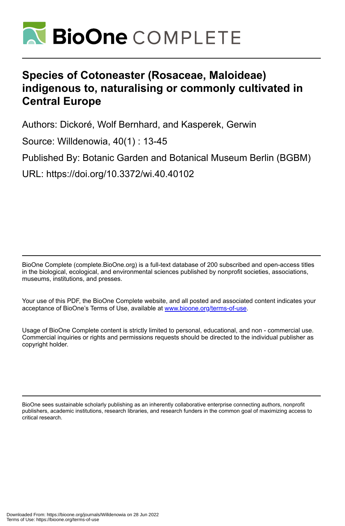

# **Species of Cotoneaster (Rosaceae, Maloideae) indigenous to, naturalising or commonly cultivated in Central Europe**

Authors: Dickoré, Wolf Bernhard, and Kasperek, Gerwin

Source: Willdenowia, 40(1) : 13-45

Published By: Botanic Garden and Botanical Museum Berlin (BGBM)

URL: https://doi.org/10.3372/wi.40.40102

BioOne Complete (complete.BioOne.org) is a full-text database of 200 subscribed and open-access titles in the biological, ecological, and environmental sciences published by nonprofit societies, associations, museums, institutions, and presses.

Your use of this PDF, the BioOne Complete website, and all posted and associated content indicates your acceptance of BioOne's Terms of Use, available at www.bioone.org/terms-of-use.

Usage of BioOne Complete content is strictly limited to personal, educational, and non - commercial use. Commercial inquiries or rights and permissions requests should be directed to the individual publisher as copyright holder.

BioOne sees sustainable scholarly publishing as an inherently collaborative enterprise connecting authors, nonprofit publishers, academic institutions, research libraries, and research funders in the common goal of maximizing access to critical research.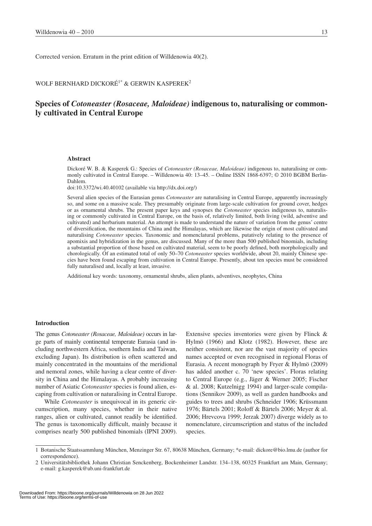Corrected version. Erratum in the print edition of Willdenowia 40(2).

## WOLF BERNHARD DICKORÉ<sup>1\*</sup> & GERWIN KASPEREK<sup>2</sup>

# **Species of** *Cotoneaster (Rosaceae, Maloideae)* **indigenous to, naturalising or commonly cultivated in Central Europe**

## **Abstract**

Dickoré W. B. & Kasperek G.: Species of *Cotoneaster (Rosaceae, Maloideae)* indigenous to, naturalising or commonly cultivated in Central Europe. – Willdenowia 40: 13–45. – Online ISSN 1868-6397; © 2010 BGBM Berlin-Dahlem.

doi:10.3372/wi.40.40102 (available via http://dx.doi.org/)

Several alien species of the Eurasian genus *Cotoneaster* are naturalising in Central Europe, apparently increasingly so, and some on a massive scale. They presumably originate from large-scale cultivation for ground cover, hedges or as ornamental shrubs. The present paper keys and synopses the *Cotoneaster* species indigenous to, naturalising or commonly cultivated in Central Europe, on the basis of, relatively limited, both living (wild, adventive and cultivated) and herbarium material. An attempt is made to understand the nature of variation from the genus' centre of diversification, the mountains of China and the Himalayas, which are likewise the origin of most cultivated and naturalising *Cotoneaster* species. Taxonomic and nomenclatural problems, putatively relating to the presence of apomixis and hybridization in the genus, are discussed. Many of the more than 500 published binomials, including a substantial proportion of those based on cultivated material, seem to be poorly defined, both morphologically and chorologically. Of an estimated total of only 50–70 *Cotoneaster* species worldwide, about 20, mainly Chinese species have been found escaping from cultivation in Central Europe. Presently, about ten species must be considered fully naturalised and, locally at least, invasive.

Additional key words: taxonomy, ornamental shrubs, alien plants, adventives, neophytes, China

## **Introduction**

The genus *Cotoneaster (Rosaceae, Maloideae)* occurs in large parts of mainly continental temperate Eurasia (and including northwestern Africa, southern India and Taiwan, excluding Japan). Its distribution is often scattered and mainly concentrated in the mountains of the meridional and nemoral zones, while having a clear centre of diversity in China and the Himalayas. A probably increasing number of Asiatic *Cotoneaster* species is found alien, escaping from cultivation or naturalising in Central Europe.

While *Cotoneaster* is unequivocal in its generic circumscription, many species, whether in their native ranges, alien or cultivated, cannot readily be identified. The genus is taxonomically difficult, mainly because it comprises nearly 500 published binomials (IPNI 2009).

Extensive species inventories were given by Flinck & Hylmö (1966) and Klotz (1982). However, these are neither consistent, nor are the vast majority of species names accepted or even recognised in regional Floras of Eurasia. A recent monograph by Fryer & Hylmö (2009) has added another c. 70 'new species'. Floras relating to Central Europe (e.g., Jäger & Werner 2005; Fischer & al. 2008; Kutzelnigg 1994) and larger-scale compilations (Sennikov 2009), as well as garden handbooks and guides to trees and shrubs (Schneider 1906; Krüssmann 1976; Bärtels 2001; Roloff & Bärtels 2006; Meyer & al. 2006; Hrevcova 1999; Jerzak 2007) diverge widely as to nomenclature, circumscription and status of the included species.

<sup>1</sup> Botanische Staatssammlung München, Menzinger Str. 67, 80638 München, Germany; \*e-mail: dickore@bio.lmu.de (author for correspondence).

<sup>2</sup> Universitätsbibliothek Johann Christian Senckenberg, Bockenheimer Landstr. 134–138, 60325 Frankfurt am Main, Germany; e-mail: g.kasperek@ub.uni-frankfurt.de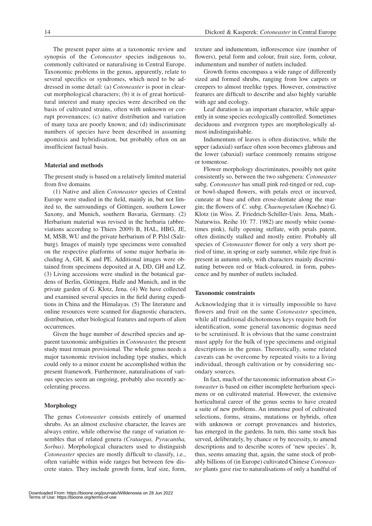The present paper aims at a taxonomic review and synopsis of the *Cotoneaster* species indigenous to, commonly cultivated or naturalising in Central Europe. Taxonomic problems in the genus, apparently, relate to several specifics or syndromes, which need to be addressed in some detail: (a) *Cotoneaster* is poor in clearcut morphological characters; (b) it is of great horticultural interest and many species were described on the basis of cultivated strains, often with unknown or corrupt provenances; (c) native distribution and variation of many taxa are poorly known; and (d) indiscriminate numbers of species have been described in assuming apomixis and hybridisation, but probably often on an insufficient factual basis.

## **Material and methods**

The present study is based on a relatively limited material from five domains.

(1) Native and alien *Cotoneaster* species of Central Europe were studied in the field, mainly in, but not limited to, the surroundings of Göttingen, southern Lower Saxony, and Munich, southern Bavaria, Germany. (2) Herbarium material was revised in the herbaria (abbreviations according to Thiers 2009) B, HAL, HBG, JE, M, MSB, WU and the private herbarium of P. Pilsl (Salzburg). Images of mainly type specimens were consulted on the respective platforms of some major herbaria including A, GH, K and PE. Additional images were obtained from specimens deposited at A, DD, GH and LZ. (3) Living accessions were studied in the botanical gardens of Berlin, Göttingen, Halle and Munich, and in the private garden of G. Klotz, Jena. (4) We have collected and examined several species in the field during expeditions in China and the Himalayas. (5) The literature and online resources were scanned for diagnostic characters, distribution, other biological features and reports of alien occurrences.

Given the huge number of described species and apparent taxonomic ambiguities in *Cotoneaster,* the present study must remain provisional. The whole genus needs a major taxonomic revision including type studies, which could only to a minor extent be accomplished within the present framework. Furthermore, naturalisations of various species seem an ongoing, probably also recently accelerating process.

#### **Morphology**

The genus *Cotoneaster* consists entirely of unarmed shrubs. As an almost exclusive character, the leaves are always entire, while otherwise the range of variation resembles that of related genera *(Crataegus, Pyracantha, Sorbus)*. Morphological characters used to distinguish *Cotoneaster* species are mostly difficult to classify, i.e., often variable within wide ranges but between few discrete states. They include growth form, leaf size, form, texture and indumentum, inflorescence size (number of flowers), petal form and colour, fruit size, form, colour, indumentum and number of nutlets included.

Growth forms encompass a wide range of differently sized and formed shrubs, ranging from low carpets or creepers to almost treelike types. However, constructive features are difficult to describe and also highly variable with age and ecology.

Leaf duration is an important character, while apparently in some species ecologically controlled. Sometimes deciduous and evergreen types are morphologically almost indistinguishable.

Indumentum of leaves is often distinctive, while the upper (adaxial) surface often soon becomes glabrous and the lower (abaxial) surface commonly remains strigose or tomentose.

Flower morphology discriminates, possibly not quite consistently so, between the two subgenera: *Cotoneaster* subg. *Cotoneaster* has small pink red-tinged or red, cupor bowl-shaped flowers, with petals erect or incurved, cuneate at base and often erose-dentate along the margin; the flowers of *C.* subg. *Chaenopetalum* (Koehne) G. Klotz (in Wiss. Z. Friedrich-Schiller-Univ. Jena, Math.- Naturwiss. Reihe 10: 77. 1982) are mostly white (sometimes pink), fully opening stellate, with petals patent, often distinctly stalked and mostly entire. Probably all species of *Cotoneaster* flower for only a very short period of time, in spring or early summer, while ripe fruit is present in autumn only, with characters mainly discriminating between red or black-coloured, in form, pubescence and by number of nutlets included.

## **Taxonomic constraints**

Acknowledging that it is virtually impossible to have flowers and fruit on the same *Cotoneaster* specimen, while all traditional dichotomous keys require both for identification, some general taxonomic dogmas need to be scrutinised. It is obvious that the same constraint must apply for the bulk of type specimens and original descriptions in the genus. Theoretically, some related caveats can be overcome by repeated visits to a living individual, through cultivation or by considering secondary sources.

In fact, much of the taxonomic information about *Cotoneaster* is based on either incomplete herbarium specimens or on cultivated material. However, the extensive horticultural career of the genus seems to have created a suite of new problems. An immense pool of cultivated selections, forms, strains, mutations or hybrids, often with unknown or corrupt provenances and histories, has emerged in the gardens. In turn, this same stock has served, deliberately, by chance or by necessity, to amend descriptions and to describe scores of 'new species'. It, thus, seems amazing that, again, the same stock of probably billions of (in Europe) cultivated Chinese *Cotoneaster* plants gave rise to naturalisations of only a handful of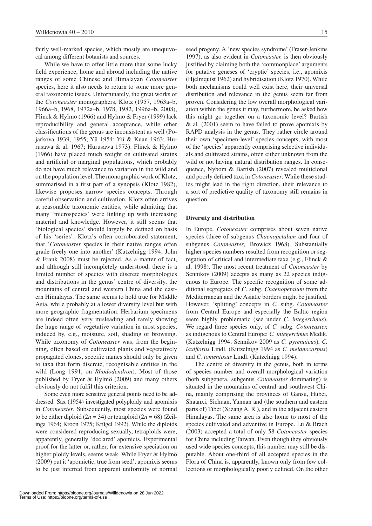fairly well-marked species, which mostly are unequivocal among different botanists and sources.

While we have to offer little more than some lucky field experience, home and abroad including the native ranges of some Chinese and Himalayan *Cotoneaster*  species, here it also needs to return to some more general taxonomic issues. Unfortunately, the great works of the *Cotoneaster* monographers, Klotz (1957, 1963a–b, 1966a–b, 1968, 1972a–b, 1978, 1982, 1996a–b, 2008), Flinck & Hylmö (1966) and Hylmö & Fryer (1999) lack reproducibility and general acceptance, while other classifications of the genus are inconsistent as well (Pojarkova 1939, 1955; Yü 1954; Yü & Kuan 1963; Hurusawa & al. 1967; Hurusawa 1973). Flinck & Hylmö (1966) have placed much weight on cultivated strains and artificial or marginal populations, which probably do not have much relevance to variation in the wild and on the population level. The monographic work of Klotz, summarised in a first part of a synopsis (Klotz 1982), likewise proposes narrow species concepts. Through careful observation and cultivation, Klotz often arrives at reasonable taxonomic entities, while admitting that many 'microspecies' were linking up with increasing material and knowledge. However, it still seems that 'biological species' should largely be defined on basis of his 'series'. Klotz's often corroborated statement, that '*Cotoneaster* species in their native ranges often grade freely one into another' (Kutzelnigg 1994; John & Frank 2008) must be rejected. As a matter of fact, and although still incompletely understood, there is a limited number of species with discrete morphologies and distributions in the genus' centre of diversity, the mountains of central and western China and the eastern Himalayas. The same seems to hold true for Middle Asia, while probably at a lower diversity level but with more geographic fragmentation. Herbarium specimens are indeed often very misleading and rarely showing the huge range of vegetative variation in most species, induced by, e.g., moisture, soil, shading or browsing. While taxonomy of *Cotoneaster* was, from the beginning, often based on cultivated plants and vegetatively propagated clones, specific names should only be given to taxa that form discrete, recognisable entities in the wild (Long 1991, on *Rhododendron*). Most of those published by Fryer & Hylmö (2009) and many others obviously do not fulfil this criterion.

Some even more sensitive general points need to be addressed. Sax (1954) investigated polyploidy and apomixis in *Cotoneaster*. Subsequently, most species were found to be either diploid  $(2n = 34)$  or tetraploid  $(2n = 68)$  (Zeilinga 1964; Kroon 1975; Krügel 1992). While the diploids were considered reproducing sexually, tetraploids were, apparently, generally 'declared' apomicts. Experimental proof for the latter or, rather, for extensive speciation on higher ploidy levels, seems weak. While Fryer & Hylmö (2009) put it 'apomictic, true from seed', apomixis seems to be just inferred from apparent uniformity of normal

seed progeny. A 'new species syndrome' (Fraser-Jenkins 1997), as also evident in *Cotoneaster,* is then obviously justified by claiming both the 'commonplace' arguments for putative geneses of 'cryptic' species, i.e., apomixis (Hjelmquist 1962) and hybridisation (Klotz 1970). While both mechanisms could well exist here, their universal distribution and relevance in the genus seem far from proven. Considering the low overall morphological variation within the genus it may, furthermore, be asked how this might go together on a taxonomic level? Bartish & al. (2001) seem to have failed to prove apomixis by RAPD analysis in the genus. They rather circle around their own 'specimen-level' species concepts, with most of the 'species' apparently comprising selective individuals and cultivated strains, often either unknown from the wild or not having natural distribution ranges. In consequence, Nybom & Bartish (2007) revealed multiclonal and poorly defined taxa in *Cotoneaster*. While these studies might lead in the right direction, their relevance to a sort of predictive quality of taxonomy still remains in question.

#### **Diversity and distribution**

In Europe, *Cotoneaster* comprises about seven native species (three of subgenus *Chaenopetalum* and four of subgenus *Cotoneaster;* Browicz 1968). Substantially higher species numbers resulted from recognition or segregation of critical and intermediate taxa (e.g., Flinck & al. 1998). The most recent treatment of *Cotoneaster* by Sennikov (2009) accepts as many as 22 species indigenous to Europe. The specific recognition of some additional segregates of *C.* subg. *Chaenopetalum* from the Mediterranean and the Asiatic borders might be justified. However, 'splitting' concepts in *C.* subg. *Cotoneaster* from Central Europe and especially the Baltic region seem highly problematic (see under *C. integerrimus*). We regard three species only, of *C.* subg. *Cotoneaster,*  as indigenous to Central Europe: *C. integerrimus* Medik. (Kutzelnigg 1994; Sennikov 2009 as *C. pyrenaicus*), *C. laxiflorus* Lindl. (Kutzelnigg 1994 as *C. melanocarpus*) and *C. tomentosus* Lindl. (Kutzelnigg 1994).

The centre of diversity in the genus, both in terms of species number and overall morphological variation (both subgenera, subgenus *Cotoneaster* dominating) is situated in the mountains of central and southwest China, mainly comprising the provinces of Gansu, Hubei, Shaanxi, Sichuan, Yunnan and (the southern and eastern parts of) Tibet (Xizang A. R.), and in the adjacent eastern Himalayas. The same area is also home to most of the species cultivated and adventive in Europe. Lu & Brach (2003) accepted a total of only 58 *Cotoneaster* species for China including Taiwan. Even though they obviously used wide species concepts, this number may still be disputable. About one-third of all accepted species in the Flora of China is, apparently, known only from few collections or morphologically poorly defined. On the other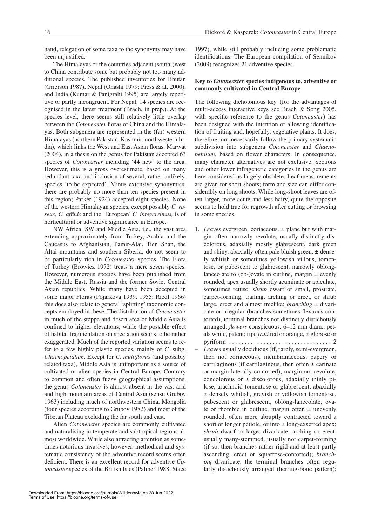hand, relegation of some taxa to the synonymy may have been unjustified.

The Himalayas or the countries adjacent (south-)west to China contribute some but probably not too many additional species. The published inventories for Bhutan (Grierson 1987), Nepal (Ohashi 1979; Press & al. 2000), and India (Kumar & Panigrahi 1995) are largely repetitive or partly incongruent. For Nepal, 14 species are recognised in the latest treatment (Brach, in prep.). At the species level, there seems still relatively little overlap between the *Cotoneaster* floras of China and the Himalayas. Both subgenera are represented in the (far) western Himalayas (northern Pakistan, Kashmir, northwestern India), which links the West and East Asian floras. Marwat (2004), in a thesis on the genus for Pakistan accepted 63 species of *Cotoneaster* including '44 new' to the area. However, this is a gross overestimate, based on many redundant taxa and inclusion of several, rather unlikely, species 'to be expected'. Minus extensive synonymies, there are probably no more than ten species present in this region; Parker (1924) accepted eight species. None of the western Himalayan species, except possibly *C. roseus*, *C. affinis* and the 'European' *C. integerrimus,* is of horticultural or adventive significance in Europe.

NW Africa, SW and Middle Asia, i.e., the vast area extending approximately from Turkey, Arabia and the Caucasus to Afghanistan, Pamir-Alai, Tien Shan, the Altai mountains and southern Siberia, do not seem to be particularly rich in *Cotoneaster* species. The Flora of Turkey (Browicz 1972) treats a mere seven species. However, numerous species have been published from the Middle East, Russia and the former Soviet Central Asian republics. While many have been accepted in some major Floras (Pojarkova 1939, 1955; Riedl 1966) this does also relate to general 'splitting' taxonomic concepts employed in these. The distribution of *Cotoneaster*  in much of the steppe and desert area of Middle Asia is confined to higher elevations, while the possible effect of habitat fragmentation on speciation seems to be rather exaggerated. Much of the reported variation seems to refer to a few highly plastic species, mainly of *C.* subg. *Chaenopetalum*. Except for *C. multiflorus* (and possibly related taxa), Middle Asia is unimportant as a source of cultivated or alien species in Central Europe. Contrary to common and often fuzzy geographical assumptions, the genus *Cotoneaster* is almost absent in the vast arid and high mountain areas of Central Asia (sensu Grubov 1963) including much of northwestern China, Mongolia (four species according to Grubov 1982) and most of the Tibetan Plateau excluding the far south and east.

Alien *Cotoneaster* species are commonly cultivated and naturalising in temperate and subtropical regions almost worldwide. While also attracting attention as sometimes notorious invasives, however, methodical and systematic consistency of the adventive record seems often deficient. There is an excellent record for adventive *Cotoneaster* species of the British Isles (Palmer 1988; Stace 1997), while still probably including some problematic identifications. The European compilation of Sennikov (2009) recognizes 21 adventive species.

## **Key to** *Cotoneaster* **species indigenous to, adventive or commonly cultivated in Central Europe**

The following dichotomous key (for the advantages of multi-access interactive keys see Brach & Song 2005, with specific reference to the genus *Cotoneaster*) has been designed with the intention of allowing identification of fruiting and, hopefully, vegetative plants. It does, therefore, not necessarily follow the primary systematic subdivision into subgenera *Cotoneaster* and *Chaenopetalum,* based on flower characters. In consequence, many character alternatives are not exclusive. Sections and other lower infrageneric categories in the genus are here considered as largely obsolete. Leaf measurements are given for short shoots; form and size can differ considerably on long shoots. While long-shoot leaves are often larger, more acute and less hairy, quite the opposite seems to hold true for regrowth after cutting or browsing in some species.

- 1. *Leaves* evergreen, coriaceous, ± plane but with margin often narrowly revolute, usually distinctly discolorous, adaxially mostly glabrescent, dark green and shiny, abaxially often pale bluish green,  $\pm$  densely whitish or sometimes yellowish villous, tomentose, or pubescent to glabrescent, narrowly oblonglanceolate to (ob-)ovate in outline, margin  $\pm$  evenly rounded, apex usually shortly acuminate or apiculate, sometimes retuse; *shrub* dwarf or small, prostrate, carpet-forming, trailing, arching or erect, or shrub large, erect and almost treelike; *branching* ± divaricate or irregular (branches sometimes flexuous-contorted), terminal branches not distinctly distichously arranged; *flowers* conspicuous, 6–12 mm diam., petals white, patent; ripe *fruit* red or orange, ± globose or pyriform  $\ldots \ldots \ldots \ldots \ldots \ldots \ldots \ldots \ldots \ldots$
- *Leaves* usually deciduous (if, rarely, semi-evergreen, then not coriaceous), membranaceous, papery or cartilaginous (if cartilaginous, then often  $\pm$  carinate or margin laterally contorted), margin not revolute, concolorous or  $\pm$  discolorous, adaxially thinly pilose, arachnoid-tomentose or glabrescent, abaxially ± densely whitish, greyish or yellowish tomentose, pubescent or glabrescent, oblong-lanceolate, ovate or rhombic in outline, margin often  $\pm$  unevenly rounded, often more abruptly contracted toward a short or longer petiole, or into  $\pm$  long-exserted apex; *shrub* dwarf to large, divaricate, arching or erect, usually many-stemmed, usually not carpet-forming (if so, then branches rather rigid and at least partly ascending, erect or squarrose-contorted); *branching* divaricate, the terminal branches often regularly distichously arranged (herring-bone pattern);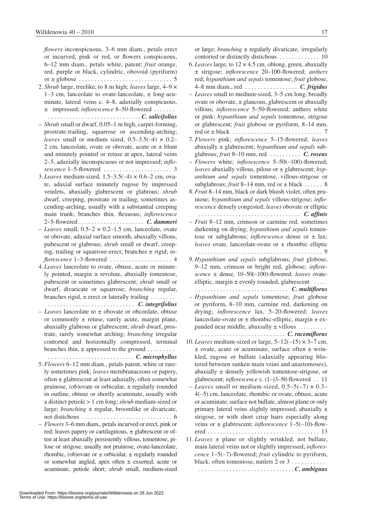*flowers* inconspicuous, 3–6 mm diam., petals erect or incurved, pink or red, or flowers conspicuous, 6–12 mm diam., petals white, patent; *fruit* orange, red, purple or black, cylindric, obovoid (pyriform) or ± globose. . . 5

- 2. *Shrub* large, treelike, to 8 m high; *leaves* large, 4–9 ×  $1-3$  cm, lanceolate to ovate-lanceolate,  $\pm$  long-acuminate, lateral veins c. 4–8, adaxially conspicuous, ± impressed; *inflorescence* 8–50-flowered. . .
- . *C. salicifolius* – *Shrub* small or dwarf, 0.05–1 m high, carpet-forming, prostrate-trailing, squarrose or ascending-arching; *leaves* small or medium sized,  $0.5-3.5(-4) \times 0.2-$ 2 cm, lanceolate, ovate or obovate, acute or ± blunt and minutely pointed or retuse at apex, lateral veins 2–5, adaxially inconspicuous or not impressed; *inflorescence* 1–5-flowered . 3
- 3. *Leaves* medium-sized, 1.5–3.5(–4) × 0.6–2 cm, ovate, adaxial surface minutely rugose by impressed veinlets, abaxially glabrescent or glabrous; *shrub*  dwarf, creeping, prostrate or trailing, sometimes ascending-arching, usually with a substantial creeping main trunk; branches thin, flexuous; *inflorescence*  2–5-flowered . . *C. dammeri*
- *Leaves* small, 0.5–2 × 0.2–1.5 cm, lanceolate, ovate or obovate, adaxial surface smooth, abaxially villous, pubescent or glabrous; *shrub* small or dwarf, creeping, trailing or squarrose-erect; branches ± rigid; *inflorescence* 1-3-flowered ........................... 4
- 4. *Leaves* lanceolate to ovate, obtuse, acute or minutely pointed, margin  $\pm$  revolute, abaxially tomentose, pubescent or sometimes glabrescent; *shrub* small or dwarf, divaricate or squarrose; *branching* regular, branches rigid,  $\pm$  erect or laterally trailing . . . . . . . .
- . . *C. integrifolius* – *Leaves* lanceolate to ± obovate or obcordate, obtuse or commonly ± retuse, rarely acute, margin plane, abaxially glabrous or glabrescent; *shrub* dwarf, prostrate, rarely somewhat arching; *branching* irregular contorted and horizontally compressed, terminal branches thin,  $\pm$  appressed to the ground........ . *C. microphyllus*
- 5. *Flowers* 6–12 mm diam., petals patent, white or rarely sometimes pink; *leaves* membranaceous or papery, often ± glabrescent at least adaxially, often somewhat pruinose, (ob) ovate or orbicular,  $\pm$  regularly rounded in outline, obtuse or shortly acuminate, usually with a distinct petiole > 1 cm long; *shrub* medium-sized or large; *branching*  $\pm$  regular, broomlike or divaricate, not distichous  $\ldots \ldots \ldots \ldots \ldots \ldots \ldots \ldots$  6
- *Flowers* 3–6 mm diam., petals incurved or erect, pink or red; leaves papery or cartilaginous, ± glabrescent or often at least abaxially persistently villous, tomentose, pilose or strigose, usually not pruinose, ovate-lanceolate, rhombic, (ob)ovate or  $\pm$  orbicular,  $\pm$  regularly rounded or somewhat angled, apex often ± exserted, acute or acuminate, petiole short; *shrub* small, medium-sized

or large; *branching* ± regularly divaricate, irregularly contorted or distinctly distichous . 10

- 6. *Leaves* large, to 12 × 4.5 cm, oblong, green, abaxially ± strigose; *inflorescence* 20–100-flowered; *anthers* red; *hypanthium and sepals* tomentose; *fruit* globose, 4–8 mm diam., red . . *C. frigidus*
- *Leaves* small to medium-sized, 3–5 cm long, broadly ovate or obovate,  $\pm$  glaucous, glabrescent or abaxially villous; *inflorescence* 5–50-flowered; anthers white or pink; *hypanthium and sepals* tomentose, strigose or glabrescent; *fruit* globose or pyriform, 8–14 mm, red or ± black . 7
- 7. *Flowers* pink; *inflorescence* 5–15-flowered; *leaves*  abaxially ± glabrescent; *hypanthium and sepals* subglabrous; *fruit* 8–10 mm, red . . *C. roseus*
- *Flowers* white; *inflorescence* 5–50(–100)-flowered; *leaves* abaxially villous, pilose or ± glabrescent; *hypanthium and sepals* tomentose, villous-strigose or subglabrous; *fruit* 8–14 mm, red or  $\pm$  black . . . . . . 8
- 8. *Fruit* 8–14 mm, black or dark bluish violet, often pruinose; *hypanthium and sepals* villous-strigose; *inflorescence* densely congested; *leaves* obovate or elliptic . . *C. affinis*

– *Fruit* 8–12 mm, crimson or carmine red, sometimes

- darkening on drying; *hypanthium and sepals* tomentose or subglabrous; *inflorescence* dense or  $\pm$  lax; *leaves* ovate, lanceolate-ovate or ± rhombic elliptic . 9
- 9. *Hypanthium and sepals* subglabrous; *fruit* globose, 9–12 mm, crimson or bright red, globose; *inflorescence* ± dense, 10–50(–100)-flowered; *leaves* ovateelliptic, margin  $\pm$  evenly rounded, glabrescent  $\dots$

. . *C. multiflorus*

– *Hypanthium and sepals* tomentose; *fruit* globose or pyriform, 8–10 mm, carmine red, darkening on drying; *inflorescence* lax, 5–20-flowered; *leaves* lanceolate-ovate or  $\pm$  rhombic-elliptic, margin  $\pm$  expanded near middle, abaxially  $\pm$  villous........

. . *C. racemiflorus*

- 10. *Leaves* medium-sized or large,  $5-12(-15) \times 3-7$  cm,  $±$  ovate, acute or acuminate, surface often  $±$  wrinkled, rugose or bullate (adaxially appearing blistered between sunken main veins and anastomoses), abaxially ± densely yellowish tomentose-strigose, or glabrescent; *inflorescence* c. (1–)3–50-flowered . . 11
- *– Leaves* small or medium-sized, 0.5–5(–7) × 0.3– 4(–5) cm, lanceolate, rhombic or ovate, obtuse, acute or acuminate, surface not bullate, almost plane or only primary lateral veins slightly impressed, abaxially ± strigose, or with short crisp hairs especially along veins or ± glabrescent; *inflorescence* 1–5(–10)-flowered . 13
- 11. *Leaves* ± plane or slightly wrinkled, not bullate, main lateral veins not or slightly impressed; *inflorescence* 1–5(–7)-flowered; *fruit* cylindric to pyriform, black, often tomentose, nutlets 2 or 3 . . . . . . . . . . .

. *C. ambiguus*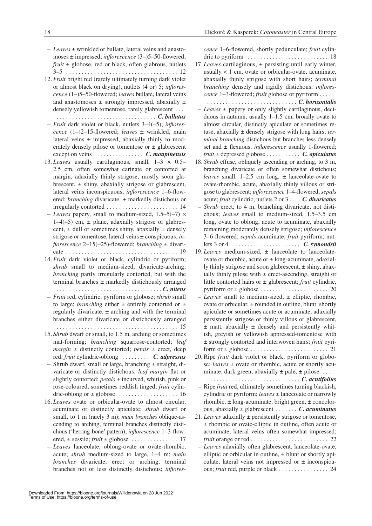- *Leaves* ± wrinkled or bullate, lateral veins and anastomoses ± impressed; *inflorescence* (3–)5–50-flowered; *fruit* ± globose, red or black, often glabrous, nutlets 3–5 . 12
- 12. *Fruit* bright red (rarely ultimately turning dark violet or almost black on drying), nutlets (4 or) 5; *inflorescence* (1–)5–50-flowered; *leaves* bullate, lateral veins and anastomoses  $\pm$  strongly impressed, abaxially  $\pm$ densely yellowish tomentose, rarely glabrescent . . .
- . *C. bullatus* – *Fruit* dark violet or black, nutlets 3–4(–5); *inflorescence* (1–)2–15-flowered; *leaves* ± wrinkled, main lateral veins  $\pm$  impressed, abaxially thinly to moderately densely pilose or tomentose or  $\pm$  glabrescent except on veins . . *C. moupinensis*
- 13. *Leaves* usually cartilaginous, small, 1–3 × 0.5– 2.5 cm, often somewhat carinate or contorted at margin, adaxially thinly strigose, mostly soon glabrescent,  $\pm$  shiny, abaxially strigose or glabrescent, lateral veins inconspicuous; *inflorescence* 1–6-flowered; *branching* divaricate,  $\pm$  markedly distichous or irregularly contorted . 14
- *Leaves* papery, small to medium-sized, 1.5–5(–7) ×  $1-4(-5)$  cm,  $\pm$  plane, adaxially strigose or glabrescent,  $\pm$  dull or sometimes shiny, abaxially  $\pm$  densely strigose or tomentose, lateral veins ± conspicuous; *inflorescence* 2–15(–25)-flowered; *branching* ± divaricate . 19
- 14. *Fruit* dark violet or black, cylindric or pyriform; *shrub* small to medium-sized, divaricate-arching; *branching* partly irregularly contorted, but with the terminal branches ± markedly distichously arranged . *C. nitens*
- *Fruit* red, cylindric, pyriform or globose; *shrub* small to large; *branching* either  $\pm$  entirely contorted or  $\pm$ regularly divaricate,  $\pm$  arching and with the terminal branches either divaricate or distichously arranged
- . 15 15. *Shrub* dwarf or small, to 1.5 m, arching or sometimes mat-forming; *branching* squarrose-contorted; *leaf margin* ± distinctly contorted; *petals* ± erect, deep red; *fruit* cylindric-oblong . . *C. adpressus*
- Shrub dwarf, small or large, branching ± straight, divaricate or distinctly distichous; *leaf margin* flat or slightly contorted; *petals* ± incurved, whitish, pink or rose-coloured, sometimes reddish tinged; *fruit* cylindric-oblong or ± globose . 16
- 16. *Leaves* ovate or orbicular-ovate to almost circular, acuminate or distinctly apiculate; *shrub* dwarf or small, to 1 m (rarely 3 m); *main branches* oblique-ascending to arching, terminal branches distinctly distichous ('herring-bone' pattern); *inflorescence* 1–3-flowered, ± sessile; *fruit* ± globose . 17
- *Leaves* lanceolate, oblong-ovate or ovate-rhombic, acute; *shrub* medium-sized to large, 1–4 m; *main branches* divaricate, erect or arching, terminal branches not or less distinctly distichous; *inflores-*

*cence* 1–6-flowered, shortly pedunculate; *fruit* cylindric to pyriform . 18

17. *Leaves* cartilaginous, ± persisting until early winter,

- usually < 1 cm, ovate or orbicular-ovate, acuminate, abaxially thinly strigose with short hairs; *terminal branching* densely and rigidly distichous; *inflorescence* 1–3-flowered; *fruit* globose or pyriform. . .
	- . *C. horizontalis*
- *Leaves* ± papery or only slightly cartilaginous, deciduous in autumn, usually 1–1.5 cm, broadly ovate to almost circular, distinctly apiculate or sometimes retuse, abaxially ± densely strigose with long hairs; *terminal branching* distichous but branches less densely set and ± flexuous; *inflorescence* usually 1-flowered; *fruit* ± depressed globose . *C. apiculatus*
- 18. *Shrub* effuse, obliquely ascending or arching, to 3 m, branching divaricate or often somewhat distichous; *leaves* small,  $1-2.5$  cm long,  $\pm$  lanceolate-ovate to ovate-rhombic, acute, abaxially thinly villous or strigose to glabrescent; *inflorescence* 1–4-flowered; *sepals*  acute; *fruit* cylindric; nutlets 2 or 3. . *C. divaricatus*
- *Shrub* erect, to 4 m, branching divaricate, not distichous; *leaves* small to medium-sized, 1.5–3.5 cm long, ovate to oblong, acute to acuminate, abaxially remaining moderately densely strigose; *inflorescence*  3–6-flowered; *sepals* acuminate; *fruit* pyriform; nutlets 3 or 4. . . *C. symondsii*
- 19. *Leaves* medium-sized, ± lanceolate to lanceolateovate or rhombic, acute or  $\pm$  long-acuminate, adaxially thinly strigose and soon glabrescent, ± shiny, abaxially thinly pilose with  $\pm$  erect-ascending, straight or little contorted hairs or ± glabrescent; *fruit* cylindric, pyriform or ± globose . 20
- *Leaves* small to medium-sized, ± elliptic, rhombic, ovate or orbicular, ± rounded in outline, blunt, shortly apiculate or sometimes acute or acuminate, adaxially persistently strigose or thinly villous or glabrescent,  $\pm$  matt, abaxially  $\pm$  densely and persistently whitish, greyish or yellowish appressed-tomentose with ± strongly contorted and interwoven hairs; *fruit* pyriform or ± globose . 21
- 20. Ripe *fruit* dark violet or black, pyriform or globose; *leaves* ± ovate or rhombic, acute or shortly acuminate, dark green, abaxially  $\pm$  pale,  $\pm$  pilose....

. *C. acutifolius*

- Ripe *fruit* red, ultimately sometimes turning blackish, cylindric or pyriform; *leaves* ± lanceolate or narrowly rhombic,  $\pm$  long-acuminate, bright green,  $\pm$  concolorous, abaxially ± glabrescent . *C. acuminatus*
- 21. *Leaves* adaxially ± persistently strigose or tomentose, ± rhombic or ovate-elliptic in outline, often acute or acuminate, lateral veins often somewhat impressed;  $$
- *Leaves* adaxially often glabrescent, lanceolate-ovate, elliptic or orbicular in outline,  $\pm$  blunt or shortly apiculate, lateral veins not impressed or  $\pm$  inconspicuous; *fruit* red, purple or black . . . . . . . . . . . . . . . 24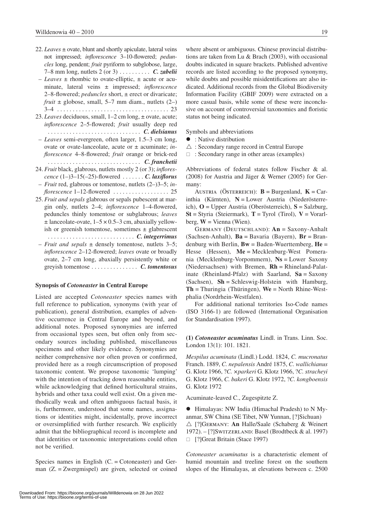- 22. *Leaves* ± ovate, blunt and shortly apiculate, lateral veins not impressed; *inflorescence* 3–10-flowered; *peduncles* long, pendent; *fruit* pyriform to subglobose, large, 7–8 mm long, nutlets 2 (or 3) . . *C. zabelii*
- *Leaves* ± rhombic to ovate-elliptic, ± acute or acuminate, lateral veins ± impressed; *inflorescence*  2–8-flowered; *peduncles* short, ± erect or divaricate; *fruit*  $\pm$  globose, small, 5–7 mm diam., nutlets (2–) 3–4 . 23
- 23. *Leaves* deciduous, small, 1–2 cm long, ± ovate, acute; *inflorescence* 2–5-flowered; *fruit* usually deep red . . *C. dielsianus*
- *Leaves* semi-evergreen, often larger, 1.5–3 cm long, ovate or ovate-lanceolate, acute or ± acuminate; *inflorescence* 4–8-flowered; *fruit* orange or brick-red . . *C. franchetii*
- 24. *Fruit* black, glabrous, nutlets mostly 2 (or 3); *inflorescence* (1–)3–15(–25)-flowered . *C. laxiflorus*
- *Fruit* red, glabrous or tomentose, nutlets (2–)3–5; *inflorescence* 1–12-flowered ...................... 25
- 25. *Fruit and sepals* glabrous or sepals pubescent at margin only, nutlets 2–4; *inflorescence* 1–4-flowered, peduncles thinly tomentose or subglabrous; *leaves*  $\pm$  lanceolate-ovate, 1–5  $\times$  0.5–3 cm, abaxially yellowish or greenish tomentose, sometimes  $\pm$  glabrescent . *C. integerrimus*
- *Fruit and sepals* ± densely tomentose, nutlets 3–5; *inflorescence* 2–12-flowered; *leaves* ovate or broadly ovate, 2–7 cm long, abaxially persistently white or greyish tomentose. . . *C. tomentosus*

## **Synopsis of** *Cotoneaster* **in Central Europe**

Listed are accepted *Cotoneaster* species names with full reference to publication, synonyms (with year of publication), general distribution, examples of adventive occurrence in Central Europe and beyond, and additional notes. Proposed synonymies are inferred from occasional types seen, but often only from secondary sources including published, miscellaneous specimens and other likely evidence. Synonymies are neither comprehensive nor often proven or confirmed, provided here as a rough circumscription of proposed taxonomic content. We propose taxonomic 'lumping' with the intention of tracking down reasonable entities, while acknowledging that defined horticultural strains, hybrids and other taxa could well exist. On a given methodically weak and often ambiguous factual basis, it is, furthermore, understood that some names, assignations or identities might, incidentally, prove incorrect or oversimplified with further research. We explicitly admit that the bibliographical record is incomplete and that identities or taxonomic interpretations could often not be verified.

Species names in English  $(C = \text{Cotoneaster})$  and German (Z. = Zwergmispel) are given, selected or coined

where absent or ambiguous. Chinese provincial distributions are taken from Lu & Brach (2003), with occasional doubts indicated in square brackets. Published adventive records are listed according to the proposed synonymy, while doubts and possible misidentifications are also indicated. Additional records from the Global Biodiversity Information Facility (GBIF 2009) were extracted on a more casual basis, while some of these were inconclusive on account of controversial taxonomies and floristic status not being indicated.

Symbols and abbreviations

- $\bullet$ : Native distribution
- $\triangle$ : Secondary range record in Central Europe
- $\Box$ : Secondary range in other areas (examples)

Abbreviations of federal states follow Fischer & al. (2008) for Austria and Jäger & Werner (2005) for Germany:

AUSTRIA (ÖSTERREICH):  $\mathbf{B} = \text{Burgenland}, \mathbf{K} = \text{Car}$ inthia (Kärnten), **N** = Lower Austria (Niederösterreich), **O** = Upper Austria (Oberösterreich), **S** = Salzburg, **St** = Styria (Steiermark), **T** = Tyrol (Tirol), **V** = Vorarlberg,  $W =$  Vienna (Wien).

Germany (Deutschland): **An** = Saxony-Anhalt (Sachsen-Anhalt), **Ba** = Bavaria (Bayern), **Br** = Brandenburg with Berlin, **Bw** = Baden-Wuerttemberg, **He** = Hesse (Hessen), **Me** = Mecklenburg-West Pomerania (Mecklenburg-Vorpommern), **Ns** = Lower Saxony (Niedersachsen) with Bremen, **Rh** = Rhineland-Palatinate (Rheinland-Pfalz) with Saarland,  $Sa =$ Saxony (Sachsen), **Sh** = Schleswig-Holstein with Hamburg, **Th** = Thuringia (Thüringen), **We** = North Rhine-Westphalia (Nordrhein-Westfalen).

For additional national territories Iso-Code names (ISO 3166-1) are followed (International Organisation for Standardisation 1997).

**(1)** *Cotoneaster acuminatus* Lindl. in Trans. Linn. Soc. London 13(1): 101. 1821.

*Mespilus acuminata* (Lindl.) Lodd. 1824, *C. mucronatus*  Franch. 1889, *C. nepalensis* André 1875, *C. wallichianus* G. Klotz 1966, ?*C. ×parkeri* G. Klotz 1966, ?*C. stracheyi* G. Klotz 1966, *C. bakeri* G. Klotz 1972, ?*C. kongboensis*  G. Klotz 1972

Acuminate-leaved C., Zugespitzte Z.

 $\bullet$  Himalayas: NW India (Himachal Pradesh) to N Myanmar, SW China (SE Tibet, NW Yunnan, [?]Sichuan)  $\triangle$  [?]GERMANY: **An** Halle/Saale (Schaberg & Weinert 1972). – [?]Switzerland: Basel (Brodtbeck & al. 1997)  $\Box$  [?]Great Britain (Stace 1997)

*Cotoneaster acuminatus* is a characteristic element of humid mountain and treeline forest on the southern slopes of the Himalayas, at elevations between c. 2500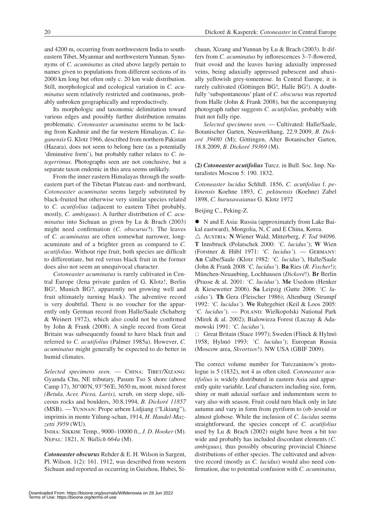and 4200 m, occurring from northwestern India to southeastern Tibet, Myanmar and northwestern Yunnan. Synonyms of *C. acuminatus* as cited above largely pertain to names given to populations from different sections of its 2000 km long but often only c. 20 km wide distribution. Still, morphological and ecological variation in *C. acuminatus* seem relatively restricted and continuous, probably unbroken geographically and reproductively.

Its morphologic and taxonomic delimitation toward various edges and possibly further distribution remains problematic. *Cotoneaster acuminatus* seems to be lacking from Kashmir and the far western Himalayas. *C. kaganensis* G. Klotz 1966, described from northern Pakistan (Hazara), does not seem to belong here (as a potentially 'diminutive form'), but probably rather relates to *C. integerrimus*. Photographs seen are not conclusive, but a separate taxon endemic in this area seems unlikely.

From the inner eastern Himalayas through the southeastern part of the Tibetan Plateau east- and northward, *Cotoneaster acuminatus* seems largely substituted by black-fruited but otherwise very similar species related to *C. acutifolius* (adjacent to eastern Tibet probably, mostly, *C. ambiguus*). A further distribution of *C. acuminatus* into Sichuan as given by Lu & Brach (2003) might need confirmation (*C. obscurus*?). The leaves of *C. acuminatus* are often somewhat narrower, longacuminate and of a brighter green as compared to *C. acutifolius*. Without ripe fruit, both species are difficult to differentiate, but red versus black fruit in the former does also not seem an unequivocal character.

*Cotoneaster acuminatus* is rarely cultivated in Central Europe (Jena private garden of G. Klotz!, Berlin BG!, Munich BG?, apparently not growing well and fruit ultimately turning black). The adventive record is very doubtful. There is no voucher for the apparently only German record from Halle/Saale (Schaberg & Weinert 1972), which also could not be confirmed by John & Frank (2008). A single record from Great Britain was subsequently found to have black fruit and referred to *C. acutifolius* (Palmer 1985a). However, *C. acuminatus* might generally be expected to do better in humid climates.

Selected specimens seen. - CHINA: TIBET/XIZANG: Gyamda Chu, NE tributary, Pasum Tso S shore (above Camp 17), 30°00'N, 93°56'E, 3650 m, mont. mixed forest *(Betula, Acer, Picea, Larix),* scrub, on steep slope, siliceous rocks and boulders, 30.8.1994, *B. Dickoré 11857*  (MSB). — Yunnan: Prope urbem Lidjiang ("Likiang"), imprimis in monte Yülung-schan, 1914, *H. Handel-Mazzetti 3959* (WU).

India: Sikkim: Temp., 9000–10000 ft., *J. D. Hooker* (M). Nepal: 1821, *N. Wallich 664a* (M).

*Cotoneaster obscurus* Rehder & E. H. Wilson in Sargent, Pl. Wilson. 1(2): 161. 1912, was described from western Sichuan and reported as occurring in Guizhou, Hubei, Sichuan, Xizang and Yunnan by Lu & Brach (2003). It differs from *C. acuminatus* by inflorescences 3–7-flowered, fruit ovoid and the leaves having adaxially impressed veins, being adaxially appressed pubescent and abaxially yellowish grey-tomentose. In Central Europe, it is rarely cultivated (Göttingen BG!, Halle BG!). A doubtfully 'subspontaneous' plant of *C. obscurus* was reported from Halle (John & Frank 2008), but the accompanying photograph rather suggests *C. acutifolius,* probably with fruit not fully ripe.

*Selected specimens seen*. — Cultivated: Halle/Saale, Botanischer Garten, Neuwerkhang, 22.9.2009, *B. Dickoré 39480* (M); Göttingen, Alter Botanischer Garten, 18.8.2009, *B. Dickoré 39369* (M).

**(2)** *Cotoneaster acutifolius* Turcz. in Bull. Soc. Imp. Naturalistes Moscou 5: 190. 1832.

*Cotoneaster lucidus* Schltdl. 1856, *C. acutifolius* f. *pekinensis* Koehne 1893, *C. pekinensis* (Koehne) Zabel 1898, *C. hurusawaianus* G. Klotz 1972

Beijing C., Peking-Z.

• N and E Asia: Russia (approximately from Lake Baikal eastward), Mongolia, N, C and E China, Korea.

 $\triangle$  Austria: **N** Wiener Wald, Mitterberg, *F. Tod 94096*. **T** Innsbruck (Polatschek 2000: *'C. lucidus'*); **W** Wien (Forstner & Hübl 1971: *'C. lucidus'*). — Germany: **An** Calbe/Saale (Klotz 1982: *'C. lucidus'*), Halle/Saale (John & Frank 2008 *'C. lucidus'*). **Ba** Ries (*R. Fischer*!); München-Neuaubing, Lochhausen (*Dickoré*!). **Br** Berlin (Prasse & al. 2001: *'C. lucidus'*). **Me** Usedom (Henker & Kiesewetter 2006). **Sa** Leipzig (Gutte 2006: *'C. lucidus'*). **Th** Gera (Fleischer 1986); Altenburg (Strumpf 1992: *'C. lucidus'*). **We** Ruhrgebiet (Keil & Loos 2005: 'C. lucidus'). — POLAND: Wielkopolski National Park (Mirek & al. 2002); Bialowieza Forest (Luczay & Adamowski 1991: *'C. lucidus'*).

□ Great Britain (Stace 1997); Sweden (Flinck & Hylmö 1958; Hylmö 1993: *'C. lucidus'*); European Russia (Moscow area, *Skvortsov*!). NW USA (GBIF 2009).

The correct volume number for Turczaninow's protologue is 5 (1832), not 4 as often cited. *Cotoneaster acutifolius* is widely distributed in eastern Asia and apparently quite variable. Leaf characters including size, form, shiny or matt adaxial surface and indumentum seem to vary also with season. Fruit could turn black only in late autumn and vary in form from pyriform to (ob-)ovoid or almost globose. While the inclusion of *C. lucidus* seems straightforward, the species concept of *C. acutifolius* used by Lu & Brach (2002) might have been a bit too wide and probably has included discordant elements *(C. ambiguus),* thus possibly obscuring provincial Chinese distributions of either species. The cultivated and adventive record (mostly as *C. lucidus*) would also need confirmation, due to potential confusion with *C. acuminatus,*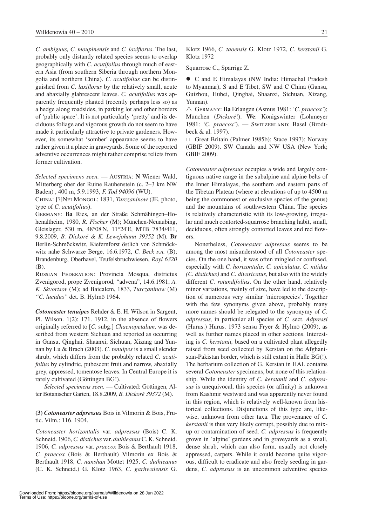*C. ambiguus, C. moupinensis* and *C. laxiflorus*. The last, probably only distantly related species seems to overlap geographically with *C. acutifolius* through much of eastern Asia (from southern Siberia through northern Mongolia and northern China). *C. acutifolius* can be distinguished from *C. laxiflorus* by the relatively small, acute and abaxially glabrescent leaves. *C. acutifolius* was apparently frequently planted (recently perhaps less so) as a hedge along roadsides, in parking lot and other borders of 'public space'. It is not particularly 'pretty' and its deciduous foliage and vigorous growth do not seem to have made it particularly attractive to private gardeners. However, its somewhat 'somber' appearance seems to have rather given it a place in graveyards. Some of the reported adventive occurrences might rather comprise relicts from former cultivation.

*Selected specimens seen.* — AUSTRIA: N Wiener Wald, Mitterberg ober der Ruine Rauhenstein (c. 2–3 km NW Baden) , 400 m, 5.9.1993, *F. Tod 94096* (WU).

China: [?]Nei Mongol: 1831, *Turczaninow* (JE, photo, type of *C. acutifolius*).

Germany: **Ba** Ries, an der Straße Schmähingen–Hohenaltheim, 1980, *R. Fischer* (M); München-Neuaubing, Gleislager, 530 m, 48°08'N, 11°24'E, MTB 7834/411, 9.8.2009, *B. Dickoré & K. Lewejohann 39352* (M)*.* **Br** Berlin-Schmöckwitz, Kiefernforst östlich von Schmöckwitz nahe Schwarze Berge, 16.6.1972, *C. Beck s.n.* (B); Brandenburg, Oberhavel, Teufelsbruchwiesen, *Royl 6320* (B).

Russian Federation: Provincia Mosqua, districtus Zvenigorod, prope Zvenigorod, "advena", 14.6.1981, *A. K. Skvortsov* (M); ad Baicalem, 1833, *Turczaninow* (M) *"C. lucidus"* det. B. Hylmö 1964.

*Cotoneaster tenuipes* Rehder & E. H. Wilson in Sargent, Pl. Wilson. 1(2): 171. 1912, in the absence of flowers originally referred to [*C.* subg.] *Chaenopetalum,* was described from western Sichuan and reported as occurring in Gansu, Qinghai, Shaanxi, Sichuan, Xizang and Yunnan by Lu & Brach (2003). *C. tenuipes* is a small slender shrub, which differs from the probably related *C. acutifolius* by cylindric, pubescent fruit and narrow, abaxially grey, appressed, tomentose leaves. In Central Europe it is rarely cultivated (Göttingen BG!).

*Selected specimens seen.* — Cultivated: Göttingen, Alter Botanischer Garten, 18.8.2009, *B. Dickoré 39372* (M).

**(3)** *Cotoneaster adpressus* Bois in Vilmorin & Bois, Frutic. Vilm.: 116. 1904.

*Cotoneaster horizontalis* var. *adpressus* (Bois) C. K. Schneid. 1906, *C. distichus* var. *duthieanus* C. K. Schneid. 1906, *C. adpressus* var. *praecox* Bois & Berthault 1918, *C. praecox* (Bois & Berthault) Vilmorin ex Bois & Berthault 1918, *C. nanshan* Mottet 1925, *C. duthieanus*  (C. K. Schneid.) G. Klotz 1963, *C. garhwalensis* G. Klotz 1966, *C. taoensis* G. Klotz 1972, *C. kerstanii* G. Klotz 1972

Squarrose C., Sparrige Z.

• C and E Himalayas (NW India: Himachal Pradesh to Myanmar), S and E Tibet, SW and C China (Gansu, Guizhou, Hubei, Qinghai, Shaanxi, Sichuan, Xizang, Yunnan).

 $\triangle$  GERMANY: **Ba** Erlangen (Asmus 1981: *'C. praecox'*); München (*Dickoré*!). **We**: Königswinter (Lohmeyer 1981: *'C. praecox'*). — Switzerland: Basel (Brodtbeck & al. 1997).

 $\Box$  Great Britain (Palmer 1985b); Stace 1997); Norway (GBIF 2009). SW Canada and NW USA (New York; GBIF 2009).

*Cotoneaster adpressus* occupies a wide and largely contiguous native range in the subalpine and alpine belts of the Inner Himalayas, the southern and eastern parts of the Tibetan Plateau (where at elevations of up to 4500 m being the commonest or exclusive species of the genus) and the mountains of southwestern China. The species is relatively characteristic with its low-growing, irregular and much contorted-squarrose branching habit, small, deciduous, often strongly contorted leaves and red flowers.

Nonetheless, *Cotoneaster adpressus* seems to be among the most misunderstood of all *Cotoneaster* species. On the one hand, it was often mingled or confused, especially with *C. horizontalis, C. apiculatus, C. nitidus (C. distichus)* and *C. divaricatus,* but also with the widely different *C. rotundifolius*. On the other hand, relatively minor variations, mainly of size, have led to the description of numerous very similar 'microspecies'. Together with the few synonyms given above, probably many more names should be relegated to the synonymy of *C. adpressus,* in particular all species of *C.* sect. *Adpressi* (Hurus.) Hurus. 1973 sensu Fryer & Hylmö (2009), as well as further names placed in other sections. Interesting is *C. kerstanii,* based on a cultivated plant allegedly raised from seed collected by Kerstan on the Afghanistan-Pakistan border, which is still extant in Halle BG(!). The herbarium collection of G. Kerstan in HAL contains several *Cotoneaster* specimens, but none of this relationship. While the identity of *C. kerstanii* and *C. adpressus* is unequivocal, this species (or affinity) is unknown from Kashmir westward and was apparently never found in this region, which is relatively well-known from historical collections. Disjunctions of this type are, likewise, unknown from other taxa. The provenance of *C. kerstanii* is thus very likely corrupt, possibly due to mixup or contamination of seed. *C. adpressus* is frequently grown in 'alpine' gardens and in graveyards as a small, dense shrub, which can also form, usually not closely appressed, carpets. While it could become quite vigorous, difficult to eradicate and also freely seeding in gardens, *C. adpressus* is an uncommon adventive species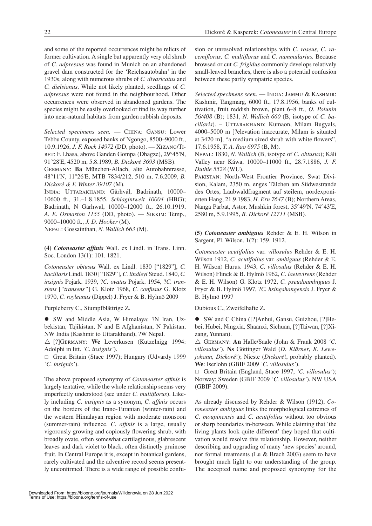and some of the reported occurrences might be relicts of former cultivation. A single but apparently very old shrub of *C. adpressus* was found in Munich on an abandoned gravel dam constructed for the 'Reichsautobahn' in the 1930s, along with numerous shrubs of *C. divaricatus* and *C. dielsianus*. While not likely planted, seedlings of *C. adpressus* were not found in the neighbourhood. Other occurrences were observed in abandoned gardens. The species might be easily overlooked or find its way further into near-natural habitats from garden rubbish deposits.

*Selected specimens seen.* — China: Gansu: Lower Tebbu County, exposed banks of Ngongo, 8500–9000 ft., 10.9.1926, *J. F. Rock 14972* (DD, photo). — Xizang/Ti-BET: E Lhasa, above Ganden Gompa (Dhagze), 29°45'N, 91°28'E, 4520 m, 5.8.1989, *B. Dickoré 3693* (MSB).

Germany: **Ba** München-Allach, alte Autobahntrasse, 48°11'N, 11°26'E, MTB 7834/212, 510 m, 7.6.2009, *B. Dickoré & F. Winter 39107* (M).

INDIA: UTTARAKHAND: Gărhvál, Badrinath, 10000-10600 ft., 31.–1.8.1855, *Schlagintweit 10004* (HBG); Badrinath, N Garhwal, 10000–12000 ft., 26.10.1919, *A. E. Osmaston 1155* (DD, photo). — Sikkim: Temp., 9000–10000 ft., *J. D. Hooker* (M).

Nepal: Gossainthan, *N. Wallich 663* (M).

**(4)** *Cotoneaster affinis* Wall. ex Lindl. in Trans. Linn. Soc. London 13(1): 101. 1821.

*Cotoneaster obtusus* Wall. ex Lindl. 1830 ["1829"], *C. bacillaris* Lindl. 1830 ["1829"], *C. lindleyi* Steud. 1840, *C. insignis* Pojark. 1939, ?*C. ovatus* Pojark. 1954, ?*C. transiens* [*"transens"*] G. Klotz 1968, *C. confusus* G. Klotz 1970, *C. royleanus* (Dippel) J. Fryer & B. Hylmö 2009

Purpleberry C., Stumpfblättrige Z.

• SW and Middle Asia, W Himalaya: ?N Iran, Uzbekistan, Tajikistan, N and E Afghanistan, N Pakistan, NW India (Kashmir to Uttarakhand), ?W Nepal.

 $\triangle$  [?]GERMANY: We Leverkusen (Kutzelnigg 1994: Adolphi in litt. *'C. insignis'*).

Great Britain (Stace 1997); Hungary (Udvardy 1999 *'C. insignis'*).

The above proposed synonymy of *Cotoneaster affinis* is largely tentative, while the whole relationship seems very imperfectly understood (see under *C. multiflorus*). Likely including *C. insignis* as a synonym, *C. affinis* occurs on the borders of the Irano-Turanian (winter-rain) and the western Himalayan region with moderate monsoon (summer-rain) influence. *C. affinis* is a large, usually vigorously growing and copiously flowering shrub, with broadly ovate, often somewhat cartilaginous, glabrescent leaves and dark violet to black, often distinctly pruinose fruit. In Central Europe it is, except in botanical gardens, rarely cultivated and the adventive record seems presently unconfirmed. There is a wide range of possible confusion or unresolved relationships with *C. roseus, C. racemiflorus, C. multiflorus* and *C. nummularius.* Because browsed or cut *C. frigidus* commonly develops relatively small-leaved branches, there is also a potential confusion between these partly sympatric species.

*Selected specimens seen.* — India: Jammu & Kashmir: Kashmir, Tangmarg, 6000 ft., 17.8.1956, banks of cultivation, fruit reddish brown, plant 6–8 ft., *O. Polunin 56/408* (B); 1831, *N. Wallich 660* (B, isotype of *C. bacillaris*). – Uttarakhand: Kumaon, Milam Bugyals, 4000–5000 m [?elevation inaccurate, Milam is situated at 3420 m], "a medium sized shrub with white flowers", 17.6.1958, *T. A. Rao 6975* (B, M).

Nepal: 1830, *N. Wallich* (B, isotype of *C. obtusus*); Káli Valley near Káwa, 10000–11000 ft., 28.7.1886, *J. F. Duthie 5528* (WU).

Pakistan: North-West Frontier Province, Swat Division, Kalam, 2350 m, enges Tälchen am Südwestrande des Ortes, Laubwaldfragment auf steilem, nordexponierten Hang, 21.9.1983, *H. Ern 7647* (B); Northern Areas, Nanga Parbat, Astor, Mushkin forest, 35°49'N, 74°43'E, 2580 m, 5.9.1995, *B. Dickoré 12711* (MSB)*.*

**(5)** *Cotoneaster ambiguus* Rehder & E. H. Wilson in Sargent, Pl. Wilson. 1(2): 159. 1912.

*Cotoneaster acutifolius* var. *villosulus* Rehder & E. H. Wilson 1912, *C. acutifolius* var. *ambiguus* (Rehder & E. H. Wilson) Hurus. 1943, *C. villosulus* (Rehder & E. H. Wilson) Flinck & B. Hylmö 1962, *C. laetevirens* (Rehder & E. H. Wilson) G. Klotz 1972, *C. pseudoambiguus* J. Fryer & B. Hylmö 1997, ?*C. hsingshangensis* J. Fryer & B. Hylmö 1997

Dubious C., Zweifelhafte Z.

● SW and C China ([?]Anhui, Gansu, Guizhou, [?]Hebei, Hubei, Ningxia, Shaanxi, Sichuan, [?]Taiwan, [?]Xizang, Yunnan).

 $\triangle$  GERMANY: **An** Halle/Saale (John & Frank 2008 *'C*. *villosulus'*). **Ns** Göttinger Wald (*D. Klärner*, *K. Lewejohann, Dickoré*!); Nieste (*Dickoré*!, probably planted). **We**: Iserlohn (GBIF 2009 *'C. villosulus'*).

□ Great Britain (England, Stace 1997, *'C. villosulus'*); Norway; Sweden (GBIF 2009 *'C. villosulus'*). NW USA (GBIF 2009).

As already discussed by Rehder & Wilson (1912), *Cotoneaster ambiguus* links the morphological extremes of *C. moupinensis* and *C. acutifolius* without too obvious or sharp boundaries in-between. While claiming that 'the living plants look quite different' they hoped that cultivation would resolve this relationship. However, neither describing and upgrading of many 'new species' around, nor formal treatments (Lu & Brach 2003) seem to have brought much light to our understanding of the group. The accepted name and proposed synonymy for the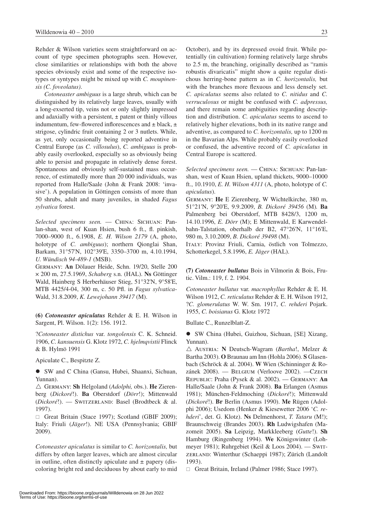Rehder & Wilson varieties seem straightforward on account of type specimen photographs seen. However, close similarities or relationships with both the above species obviously exist and some of the respective isotypes or syntypes might be mixed up with *C. moupinensis (C. foveolatus)*.

*Cotoneaster ambiguus* is a large shrub, which can be distinguished by its relatively large leaves, usually with a long-exserted tip, veins not or only slightly impressed and adaxially with a persistent, ± patent or thinly villous indumentum, few-flowered inflorescences and  $\pm$  black,  $\pm$ strigose, cylindric fruit containing 2 or 3 nutlets. While, as yet, only occasionally being reported adventive in Central Europe (as *C. villosulus*), *C. ambiguus* is probably easily overlooked, especially so as obviously being able to persist and propagate in relatively dense forest. Spontaneous and obviously self-sustained mass occurrence, of estimatedly more than 20 000 individuals, was reported from Halle/Saale (John & Frank 2008: 'invasive'). A population in Göttingen consists of more than 50 shrubs, adult and many juveniles, in shaded *Fagus sylvatica* forest.

*Selected specimens seen.* — China: Sichuan: Panlan-shan, west of Kuan Hsien, bush 6 ft., fl. pinkish, 7000–9000 ft., 6.1908, *E. H. Wilson 2179* (A, photo, holotype of *C. ambiguus*); northern Qionglai Shan, Barkam, 31°57'N, 102°39'E, 3350–3700 m, 4.10.1994, *U. Wündisch 94-489-1* (MSB).

Germany: **An** Dölauer Heide, Schn. 19/20, Stelle 200 × 200 m, 27.5.1969, *Schaberg* s.n. (HAL). **Ns** Göttinger Wald, Hainberg S Herberhäuser Stieg, 51°32'N, 9°58'E, MTB 4425/4-04, 300 m, c. 50 Pfl. in *Fagus sylvatica*-Wald, 31.8.2009, *K. Lewejohann 39417* (M).

**(6)** *Cotoneaster apiculatus* Rehder & E. H. Wilson in Sargent, Pl. Wilson. 1(2): 156. 1912.

?*Cotoneaster distichus* var. *tongolensis* C. K. Schneid. 1906, *C. kansuensis* G. Klotz 1972, *C. hjelmqvistii* Flinck & B. Hylmö 1991

Apiculate C., Bespitzte Z.

• SW and C China (Gansu, Hubei, Shaanxi, Sichuan, Yunnan).

r Germany: **Sh** Helgoland (*Adolphi,* obs.). **He** Zierenberg (*Dickoré*!). **Ba** Oberstdorf (*Dörr*!); Mittenwald (*Dickoré*!). — Switzerland: Basel (Brodtbeck & al. 1997).

 $\Box$  Great Britain (Stace 1997); Scotland (GBIF 2009); Italy: Friuli (*Jäger*!). NE USA (Pennsylvania; GBIF 2009).

*Cotoneaster apiculatus* is similar to *C. horizontalis,* but differs by often larger leaves, which are almost circular in outline, often distinctly apiculate and  $\pm$  papery (discoloring bright red and deciduous by about early to mid

October), and by its depressed ovoid fruit. While potentially (in cultivation) forming relatively large shrubs to 2.5 m, the branching, originally described as "ramis robustis divaricatis" might show a quite regular distichous herring-bone pattern as in *C. horizontalis,* but with the branches more flexuous and less densely set. *C. apiculatus* seems also related to *C. nitidus* and *C. verruculosus* or might be confused with *C. adpressus,*  and there remain some ambiguities regarding description and distribution. *C. apiculatus* seems to ascend to relatively higher elevations, both in its native range and adventive, as compared to *C. horizontalis,* up to 1200 m in the Bavarian Alps. While probably easily overlooked or confused, the adventive record of *C. apiculatus* in Central Europe is scattered.

*Selected specimens seen.* — China: Sichuan: Pan-lanshan, west of Kuan Hsien, upland thickets, 9000–10000 ft., 10.1910, *E. H. Wilson 4311* (A, photo, holotype of *C. apiculatus*).

Germany: **He** E Zierenberg, W Wichtelkirche, 380 m, 51°21'N, 9°20'E, 9.9.2009, *B. Dickoré 39456* (M)*.* **Ba** Palmenberg bei Oberstdorf, MTB 8428/3, 1200 m, 14.10.1996, *E. Dörr* (M); E Mittenwald, E Karwendelbahn-Talstation, oberhalb der B2, 47°26'N, 11°16'E, 980 m, 3.10.2009, *B. Dickoré 39498* (M).

Italy: Provinz Friuli, Carnia, östlich von Tolmezzo, Schotterkegel, 5.8.1996, *E. Jäger* (HAL).

**(7)** *Cotoneaster bullatus* Bois in Vilmorin & Bois, Frutic. Vilm.: 119, f. 2. 1904.

*Cotoneaster bullatus* var. *macrophyllus* Rehder & E. H. Wilson 1912, *C. reticulatus* Rehder & E. H. Wilson 1912, ?*C. glomerulatus* W. W. Sm. 1917, *C. rehderi* Pojark. 1955, *C. boisianus* G. Klotz 1972

Bullate C., Runzelblatt-Z.

**•** SW China (Hubei, Guizhou, Sichuan, [SE] Xizang, Yunnan).

r Austria: **N** Deutsch-Wagram (*Bartha*!, Melzer & Bartha 2003). **O** Braunau am Inn (Hohla 2006). **S** Glasenbach (Schröck & al. 2004). **W** Wien (Schinninger & Rozánek 2008). — Belgium (Verloove 2002). —Czech Republic: Praha (Pysek & al. 2002). — Germany: **An** Halle/Saale (John & Frank 2008). **Ba** Erlangen (Asmus 1981); München-Feldmoching (*Dickoré*!); Mittenwald (*Dickoré*!). **Br** Berlin (Asmus 1990). **Me** Rügen (Adolphi 2006); Usedom (Henker & Kiesewetter 2006 '*C. rehderi*', det. G. Klotz). **Ns** Delmenhorst, *T. Tataru* (M!); Braunschweig (Brandes 2003). **Rh** Ludwigshafen (Mazomeit 2005). **Sa** Leipzig, Markkleeberg (*Gutte*!). **Sh** Hamburg (Ringenberg 1994). **We** Königswinter (Lohmeyer 1981); Ruhrgebiet (Keil & Loos 2004). — Switzerland: Winterthur (Schaeppi 1987); Zürich (Landolt 1993).

Great Britain, Ireland (Palmer 1986; Stace 1997).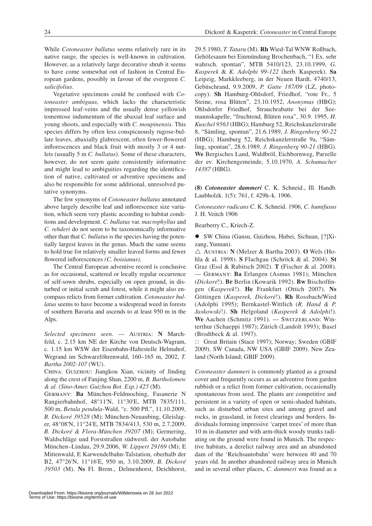While *Cotoneaster bullatus* seems relatively rare in its native range, the species is well-known in cultivation. However, as a relatively large decorative shrub it seems to have come somewhat out of fashion in Central European gardens, possibly in favour of the evergreen *C. salicifolius*.

Vegetative specimens could be confused with *Cotoneaster ambiguus,* which lacks the characteristic impressed leaf-veins and the usually dense yellowish tomentose indumentum of the abaxial leaf surface and young shoots, and especially with *C. moupinensis*. This species differs by often less conspicuously rugose-bullate leaves, abaxially glabrescent, often fewer-flowered inflorescences and black fruit with mostly 3 or 4 nutlets (usually 5 in *C. bullatus*). Some of these characters, however, do not seem quite consistently informative and might lead to ambiguities regarding the identification of native, cultivated or adventive specimens and also be responsible for some additional, unresolved putative synonyms.

The few synonyms of *Cotoneaster bullatus* annotated above largely describe leaf and inflorescence size variation, which seem very plastic according to habitat conditions and development. *C. bullatus* var. *macrophyllus* and *C. rehderi* do not seem to be taxonomically informative other than that *C. bullatus* is the species having the potentially largest leaves in the genus. Much the same seems to hold true for relatively smaller leaved forms and fewer flowered inflorescences *(C. boisianus)*.

The Central European adventive record is conclusive as for occasional, scattered or locally regular occurrence of self-sown shrubs, especially on open ground, in disturbed or initial scrub and forest, while it might also encompass relicts from former cultivation. *Cotoneaster bullatus* seems to have become a widespread weed in forests of southern Bavaria and ascends to at least 950 m in the Alps.

Selected specimens seen. - AUSTRIA: N Marchfeld, c. 2.15 km NE der Kirche von Deutsch-Wagram, c. 1.15 km WSW der Eisenbahn-Haltestelle Helmahof, Wegrand im Schwarzföhrenwald, 160–165 m, 2002, *T. Bartha 2002-107* (WU).

China: Guizhou: Jiangkou Xian, vicinity of Jinding along the crest of Fanjing Shan, 2200 m, *B. Bartholomew & al. (Sino-Amer. Guizhou Bot. Exp.) 425* (M).

Germany: **Ba** München-Feldmoching, Fasanerie N Rangierbahnhof, 48°11'N, 11°30'E, MTB 7835/111, 500 m, *Betula pendula*-Wald, "c. 500 Pfl.", 11.10.2009, *B. Dickoré 39528* (M); München-Neuaubing, Gleislager, 48°08'N, 11°24'E, MTB 7834/413, 530 m, 2.7.2009, *B. Dickoré & Flora-München 39207* (M); Germering, Waldschläge und Forststraßen südwestl. der Autobahn München–Lindau, 29.9.2006, *W. Lippert 29169* (M); E Mittenwald, E Karwendelbahn-Talstation, oberhalb der B2, 47°26'N, 11°16'E, 950 m, 3.10.2009, *B. Dickoré 39503* (M). **Ns** Fl. Brem., Delmenhorst, Deichhorst,

29.5.1980, *T. Tataru* (M). **Rh** Wied-Tal WNW Roßbach, Gehölzsaum bei Einmündung Brochenbach, "1 Ex. sehr wahrsch. spontan", MTB 5410/123, 23.10.1999, *G. Kasperek* & *K. Adolphi 99-122* (herb. Kasperek). **Sa** Leipzig, Markkleeberg, in der Neuen Hardt, 4740/13, Gebüschrand, 9.9.2009, *P. Gutte 187/09* (LZ, photocopy). **Sh** Hamburg-Ohlsdorf, Friedhof, "rote Fr., 5 Steine, rosa Blüten", 23.10.1952, *Anonymus* (HBG); Ohlsdorfer Friedhof, Strauchrabatte bei der Seemannskapelle, "fruchtend, Blüten rosa", 30.9. 1995, *H. Kuschel 9563* (HBG); Hamburg 52, Reichskanzlerstraße 8, "Sämling, spontan", 21.6.1989, *J. Ringenberg 90-22* (HBG); Hamburg 52, Reichskanzlerstraße 9a, "Sämling, spontan", 28.6.1989, *J. Ringenberg 90-21* (HBG). **We** Bergisches Land, Waldbröl, Eichbornweg, Parzelle der ev. Kirchengemeinde, 5.10.1970, *A. Schumacher 14387* (HBG).

**(8)** *Cotoneaster dammeri* C. K. Schneid., Ill. Handb. Laubholzk. 1(5): 761, f. 429h–k. 1906.

*Cotoneaster radicans* C. K. Schneid. 1906, *C. humifusus* J. H. Veitch 1906

Bearberry C., Kriech-Z.

• SW China (Gansu, Guizhou, Hubei, Sichuan, [?]Xizang, Yunnan).

r Austria: **N** (Melzer & Bartha 2003). **O** Wels (Hohla & al. 1998). **S** Flachgau (Schröck & al. 2004). **St** Graz (Essl & Rabitsch 2002). **T (**Fischer & al. 2008). — Germany: **Ba** Erlangen (Asmus 1981); München (*Dickoré*!). **Br** Berlin (Kowarik 1992). **Bw** Bischoffingen (*Kasperek*!). **He** Frankfurt (Ottich 2007). **Ns** Göttingen (*Kasperek, Dickoré*!). **Rh** Rossbach/Wied (Adolphi 1995); Bernkastel-Wittlich (*R. Hand & P. Jaskowski*!*)*. **Sh** Helgoland (*Kasperek & Adolphi*!). We Aachen (Schmitz 1991). - SWITZERLAND: Winterthur (Schaeppi 1987); Zürich (Landolt 1993); Basel (Brodtbeck & al. 1997).

□ Great Britain (Stace 1997); Norway; Sweden (GBIF 2009). SW Canada, NW USA (GBIF 2009). New Zealand (North Island; GBIF 2009).

*Cotoneaster dammeri* is commonly planted as a ground cover and frequently occurs as an adventive from garden rubbish or a relict from former cultivation, occasionally spontaneous from seed. The plants are competitive and persistent in a variety of open or semi-shaded habitats, such as disturbed urban sites and among gravel and rocks, in grassland, in forest clearings and borders. Individuals forming impressive 'carpet trees' of more than 10 m in diameter and with arm-thick woody trunks radiating on the ground were found in Munich. The respective habitats, a derelict railway area and an abandoned dam of the 'Reichsautobahn' were between 40 and 70 years old. In another abandoned railway area in Munich and in several other places, *C. dammeri* was found as a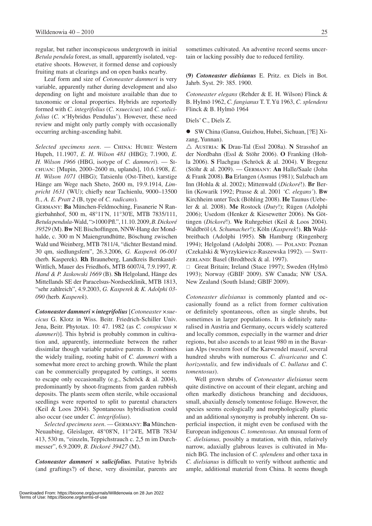regular, but rather inconspicuous undergrowth in initial *Betula pendula* forest, as small, apparently isolated, vegetative shoots. However, it formed dense and copiously fruiting mats at clearings and on open banks nearby.

Leaf form and size of *Cotoneaster dammeri* is very variable, apparently rather during development and also depending on light and moisture available than due to taxonomic or clonal properties. Hybrids are reportedly formed with *C. integrifolius* (*C*. ×*suecicus*) and *C. salicifolius (C. x'Hybridus Pendulus'). However, these need* review and might only partly comply with occasionally occurring arching-ascending habit.

*Selected specimens seen*. — China: Hubei: Western Hupeh, 11.1907, *E. H. Wilson 481* (HBG); 7.1900, *E. H. Wilson 1966* (HBG, isotype of *C. dammeri*). — Sichuan: [Mupin, 2000–2600 m, uplands], 10.6.1908, *E. H. Wilson 1071* (HBG); Tatsienlu (Ost-Tibet), karstige Hänge am Wege nach Sheto, 2600 m, 19.9.1914, *Limpricht 1631* (WU); chiefly near Tachienlu, 9000–13500 ft., *A. E. Pratt 2* (B, type of *C. radicans*)*.*

Germany: **Ba** München-Feldmoching, Fasanerie N Rangierbahnhof, 500 m, 48°11'N, 11°30'E, MTB 7835/111, *Betula pendula*-Wald, ">1000 Pfl.", 11.10. 2009, *B. Dickoré 39529* (M). **Bw** NE Bischoffingen, NNW-Hang der Mondhalde, c. 300 m N Maiengrundhütte, Böschung zwischen Wald und Weinberg, MTB 7811/4, "dichter Bestand mind. 30 qm, siedlungsfern", 26.3.2006, *G. Kasperek 06-001* (herb. Kasperek). **Rh** Brauneberg, Landkreis Bernkastel-Wittlich, Mauer des Friedhofs, MTB 6007/4, 7.9.1997, *R. Hand & P. Jaskowski 1669* (B). **Sh** Helgoland, Hänge des Mittellands SE der Paracelsus-Nordseeklinik, MTB 1813, "sehr zahlreich", 4.9.2003, *G. Kasperek* & *K. Adolphi 03-090* (herb. *Kasperek*).

*Cotoneaster dammeri × integrifolius* [*Cotoneaster ×suecicus* G. Klotz in Wiss. Beitr. Friedrich-Schiller Univ. Jena, Beitr. Phytotax. 10: 47. 1982 (as *C. conspicuus* × dammeri)]. This hybrid is probably common in cultivation and, apparently, intermediate between the rather dissimilar though variable putative parents. It combines the widely trailing, rooting habit of *C. dammeri* with a somewhat more erect to arching growth. While the plant can be commercially propagated by cuttings, it seems to escape only occasionally (e.g., Schröck & al. 2004), predominantly by shoot-fragments from garden rubbish deposits. The plants seem often sterile, while occasional seedlings were reported to split to parental characters (Keil & Loos 2004). Spontaneous hybridisation could also occur (see under *C. integrifolius*).

*Selected specimens seen*. — Germany: **Ba** München-Neuaubing, Gleislager, 48°08'N, 11°24'E, MTB 7834/ 413, 530 m, "einzeln, Teppichstrauch c. 2,5 m im Durchmesser", 6.9.2009, *B. Dickoré 39427* (M).

*Cotoneaster dammeri × salicifolius.* Putative hybrids (and graftings?) of these, very dissimilar, parents are

sometimes cultivated. An adventive record seems uncertain or lacking possibly due to reduced fertility.

**(9)** *Cotoneaster dielsianus* E. Pritz. ex Diels in Bot. Jahrb. Syst. 29: 385. 1900.

*Cotoneaster elegans* (Rehder & E. H. Wilson) Flinck & B. Hylmö 1962, *C. fangianus* T. T. Yü 1963, *C. splendens*  Flinck & B. Hylmö 1964

Diels' C., Diels Z.

● SW China (Gansu, Guizhou, Hubei, Sichuan, [?E] Xizang, Yunnan).

r Austria: **K** Drau-Tal (Essl 2008a). **N** Strasshof an der Nordbahn (Essl & Stöhr 2006). **O** Franking (Hohla 2006). **S** Flachgau (Schröck & al. 2004). **V** Bregenz (Stöhr & al. 2009). — Germany: **An** Halle/Saale (John & Frank 2008). **Ba** Erlangen (Asmus 1981); Sulzbach am Inn (Hohla & al. 2002); Mittenwald (*Dickoré*!). **Br** Berlin (Kowarik 1992; Prasse & al. 2001 *'C. elegans'*). **Bw** Kirchheim unter Teck (Böhling 2008). **He** Taunus (Uebeler & al. 2008). **Me** Rostock (*Duty*!); Rügen (Adolphi 2006); Usedom (Henker & Kiesewetter 2006). **Ns** Göttingen (*Dickoré*!). **We** Ruhrgebiet (Keil & Loos 2004). Waldbröl (*A. Schumacher*!); Köln (*Kasperek*!). **Rh** Waldbreitbach (Adolphi 1995). **Sh** Hamburg (Ringenberg 1994); Helgoland (Adolphi 2008). - POLAND: Poznan (Czekalski & Wyrzykiewicz-Raszewska 1992). — Switzerland: Basel (Brodtbeck & al. 1997).

 $\Box$  Great Britain; Ireland (Stace 1997); Sweden (Hylmö 1993); Norway (GBIF 2009). SW Canada; NW USA. New Zealand (South Island; GBIF 2009).

*Cotoneaster dielsianus* is commonly planted and occasionally found as a relict from former cultivation or definitely spontaneous, often as single shrubs, but sometimes in larger populations. It is definitely naturalised in Austria and Germany, occurs widely scattered and locally common, especially in the warmer and drier regions, but also ascends to at least 980 m in the Bavarian Alps (western foot of the Karwendel massif, several hundred shrubs with numerous *C. divaricatus* and *C. horizontalis,* and few individuals of *C. bullatus* and *C. tomentosus*).

Well grown shrubs of *Cotoneaster dielsianus* seem quite distinctive on account of their elegant, arching and often markedly distichous branching and deciduous, small, abaxially densely tomentose foliage. However, the species seems ecologically and morphologically plastic and an additional synonymy is probably inherent. On superficial inspection, it might even be confused with the European indigenous *C. tomentosus*. An unusual form of *C. dielsianus,* possibly a mutation, with thin, relatively narrow, adaxially glabrous leaves is cultivated in Munich BG. The inclusion of *C. splendens* and other taxa in *C. dielsianus* is difficult to verify without authentic and ample, additional material from China. It seems though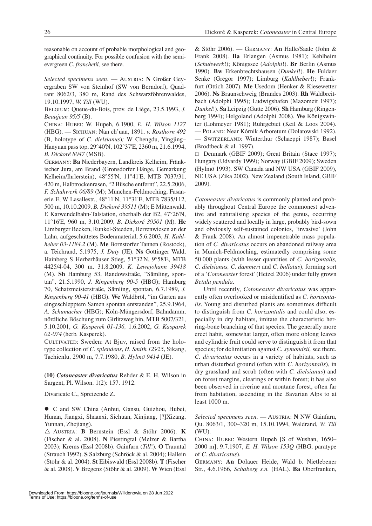reasonable on account of probable morphological and geographical continuity. For possible confusion with the semievergreen *C. franchetii,* see there.

*Selected specimens seen.* — AUSTRIA: N Großer Geyergraben SW von Steinhof (SW von Berndorf), Quadrant 8062/3, 380 m, Rand des Schwarzföhrenwaldes, 19.10.1997, *W. Till* (WU).

Belgium: Queue-du-Bois, prov. de Liège, 23.5.1993, *J. Beaujean 95/5* (B).

China: Hubei: W. Hupeh, 6.1900, *E. H. Wilson 1127*  (HBG). — Sichuan: Nan ch'uan, 1891, *v. Rosthorn 492* (B, holotype of *C. dielsianus*)*;* W Chengdu, Yingjing– Hanyuan pass top, 29°40'N, 102°37'E, 2360 m, 21.6.1994, *B. Dickoré 8047* (MSB).

Germany: **Ba** Niederbayern, Landkreis Kelheim, Fränkischer Jura, am Brand (Gronsdorfer Hänge, Gemarkung Kelheim/Ihrlerstein), 48°55'N, 11°41'E, MTB 7037/31, 420 m, Halbtrockenrasen, "2 Büsche entfernt", 22.5.2006, *F. Schuhwerk 06/89* (M); München-Feldmoching, Fasanerie E, W Lasallestr., 48°11'N, 11°31'E, MTB 7835/112, 500 m, 10.10.2009, *B. Dickoré 39511* (M); E Mittenwald, E Karwendelbahn-Talstation, oberhalb der B2, 47°26'N, 11°16'E, 960 m, 3.10.2009, *B. Dickoré 39501* (M). **He** Limburger Becken, Runkel-Steeden, Herrenwiesen an der Lahn, aufgeschüttetes Bodenmaterial, 5.6.2003, *H. Kahlheber 03-1184.2* (M). **Me** Bornstorfer Tannen (Rostock), a. Teichrand, 5.1975, *J. Duty* (JE). **Ns** Göttinger Wald, Hainberg S Herberhäuser Stieg, 51°32'N, 9°58'E, MTB 4425/4-04, 300 m, 31.8.2009, *K. Lewejohann 39418* (M). **Sh** Hamburg 53, Randowstraße, "Sämling, spontan", 21.5.1990, *J. Ringenberg 90-5* (HBG); Hamburg 70, Schatzmeisterstraße, Sämling, spontan, 6.7.1989, *J. Ringenberg 90-41* (HBG). **We** Waldbröl, "im Garten aus eingeschlepptem Samen spontan entstanden", 25.9.1964, *A. Schumacher* (HBG); Köln-Müngersdorf, Bahndamm, nördliche Böschung zum Girlitzweg hin, MTB 5007/321, 5.10.2001, *G. Kasperek 01-136,* 1.6.2002, *G. Kasparek 02-074* (herb. Kasperek).

CULTIVATED: Sweden: At Bjuv, raised from the holotype collection of *C. splendens*, *H. Smith 12925*, Sikang, Tachienlu, 2900 m, 7.7.1980, *B. Hylmö 9414* (JE).

**(10)** *Cotoneaster divaricatus* Rehder & E. H. Wilson in Sargent, Pl. Wilson. 1(2): 157. 1912.

Divaricate C., Spreizende Z.

 $\bullet$  C and SW China (Anhui, Gansu, Guizhou, Hubei, Hunan, Jiangxi, Shaanxi, Sichuan, Xinjiang, [?]Xizang, Yunnan, Zhejiang).

 $\triangle$  Austria: **B** Bernstein (Essl & Stöhr 2006). **K** (Fischer & al. 2008). **N** Piestingtal (Melzer & Bartha 2003); Krems (Essl 2008b). Gainfarn (*Till*!)*.* **O** Trauntal (Strauch 1992). **S** Salzburg (Schröck & al. 2004); Hallein (Stöhr & al. 2004). **St** Eibiswald (Essl 2008b). **T** (Fischer & al. 2008). **V** Bregenz (Stöhr & al. 2009). **W** Wien (Essl & Stöhr 2006). — Germany: **An** Halle/Saale (John & Frank 2008). **Ba** Erlangen (Asmus 1981); Kehlheim (*Schuhwerk*!); Königssee (*Adolphi*!). **Br** Berlin (Asmus 1990). **Bw** Erkenbrechtshausen (*Dunkel*!). **He** Fuldaer Senke (Gregor 1997); Limburg (*Kahlheber*!); Frankfurt (Ottich 2007). **Me** Usedom (Henker & Kiesewetter 2006). **Ns** Braunschweig (Brandes 2003). **Rh** Waldbreitbach (Adolphi 1995); Ludwigshafen (Mazomeit 1997); *Dunkel*!). **Sa** Leipzig (Gutte 2006). **Sh** Hamburg (Ringenberg 1994); Helgoland (Adolphi 2008). **We** Königswinter (Lohmeyer 1981); Ruhrgebiet (Keil & Loos 2004). — Poland: Near Kórnik Arboretum (Dolatowski 1992). — Switzerland: Winterthur (Schaeppi 1987); Basel (Brodtbeck & al. 1997).

 $\Box$  Denmark (GBIF 2009); Great Britain (Stace 1997); Hungary (Udvardy 1999); Norway (GBIF 2009); Sweden (Hylmö 1993). SW Canada and NW USA (GBIF 2009), NE USA (Zika 2002). New Zealand (South Island, GBIF 2009).

*Cotoneaster divaricatus* is commonly planted and probably throughout Central Europe the commonest adventive and naturalising species of the genus, occurring widely scattered and locally in large, probably bird-sown and obviously self-sustained colonies, 'invasive' (John & Frank 2008). An almost impenetrable mass population of *C. divaricatus* occurs on abandoned railway area in Munich-Feldmoching, estimatedly comprising some 50 000 plants (with lesser quantities of *C. horizontalis, C. dielsianus, C. dammeri* and *C. bullatus*), forming sort of a '*Cotoneaster* forest' (Hetzel 2006) under fully grown *Betula pendula*.

Until recently, *Cotoneaster divaricatus* was apparently often overlooked or misidentified as *C. horizontalis*. Young and disturbed plants are sometimes difficult to distinguish from *C. horizontalis* and could also, especially in dry habitats, imitate the characteristic herring-bone branching of that species. The generally more erect habit, somewhat larger, often more oblong leaves and cylindric fruit could serve to distinguish it from that species; for delimitation against *C. symondsii,* see there. *C. divaricatus* occurs in a variety of habitats, such as urban disturbed ground (often with *C. horizontalis*), in dry grassland and scrub (often with *C. dielsianus*) and on forest margins, clearings or within forest; it has also been observed in riverine and montane forest, often far from habitation, ascending in the Bavarian Alps to at least 1000 m.

*Selected specimens seen.* — AUSTRIA: **N** NW Gainfarn, Qu. 8063/1, 300–320 m, 15.10.1994, Waldrand, *W. Till*  (WU).

CHINA: HUBEI: Western Hupeh [S of Wushan, 1650– 2000 m], 9.7.1907, *E. H. Wilson 153Q* (HBG, paratype of *C. divaricatus*).

Germany: **An** Dölauer Heide, Wald b. Nietlebener Str., 4.6.1966, *Schaberg s.n.* (HAL). **Ba** Oberfranken,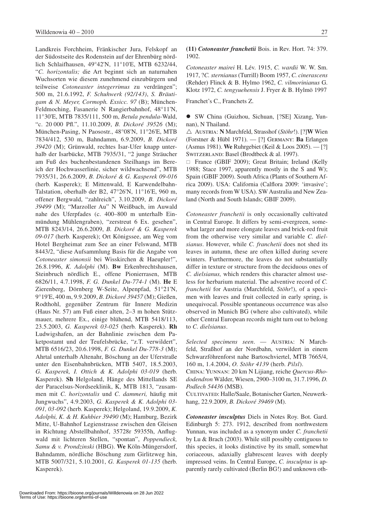Landkreis Forchheim, Fränkischer Jura, Felskopf an der Südostseite des Rodenstein auf der Ehrenbürg nördlich Schlaifhausen, 49°42'N, 11°10'E, MTB 6232/44, "*C. horizontalis;* die Art beginnt sich an naturnahen Wuchsorten wie diesem zunehmend einzubürgern und teilweise *Cotoneaster integerrimus* zu verdrängen"; 500 m, 21.6.1992, *F. Schuhwerk (92/143)*, *S. Bräutigam & N. Meyer, Cormoph. Exsicc. 97* (B); München-Feldmoching, Fasanerie N Rangierbahnhof, 48°11'N, 11°30'E, MTB 7835/111, 500 m, *Betula pendula*-Wald, "c. 20 000 Pfl.", 11.10.2009, *B. Dickoré 39526* (M); München-Pasing, N Paosostr., 48°08'N, 11°26'E, MTB 7834/412, 530 m, Bahndamm, 6.9.2009, *B. Dickoré 39420* (M); Grünwald, rechtes Isar-Ufer knapp unterhalb der Isarbücke, MTB 7935/31, "2 junge Sträucher am Fuß des buchenbestandenen Steilhangs im Bereich der Hochwasserlinie, sicher wildwachsend", MTB 7935/31, 26.6.2009, *B. Dickoré & G. Kasperek 09-016* (herb. Kasperek); E Mittenwald, E Karwendelbahn-Talstation, oberhalb der B2, 47°26'N, 11°16'E, 960 m, offener Bergwald, "zahlreich", 3.10.2009, *B. Dickoré 39499* (M); "Marzoller Au" N Weißbach, im Auwald nahe des Uferpfades (c. 400–800 m unterhalb Einmündung Mühlengraben), "zerstreut 6 Ex. gesehen", MTB 8243/14, 26.6.2009, *B. Dickoré & G. Kasperek 09-017* (herb. Kasperek); Ort Königssee, am Weg vom Hotel Bergheimat zum See an einer Felswand, MTB 8443/2, "diese Aufsammlung Basis für die Angabe von *Cotoneaster simonsii* bei Wisskirchen & Haeupler!", 26.8.1996, *K. Adolphi* (M). **Bw** Erkenbrechtshausen, Steinbruch nördlich E., offene Pionierrasen, MTB 6826/11, 4.7.1998, *F. G. Dunkel Du-774-1* (M). **He** E Zierenberg, Dörnberg W-Seite, Alpenpfad, 51°21'N, 9°19'E, 400 m, 9.9.2009, *B. Dickoré 39457* (M); Gießen, Rodthohl, gegenüber Zentrum für Innere Medizin (Haus Nr. 57) am Fuß einer alten, 2–3 m hohen Stützmauer, mehrere Ex., einige blühend, MTB 5418/113, 23.5.2003, *G. Kasperek 03-025* (herb. Kasperek). **Rh** Ludwigshafen, an der Bahnlinie zwischen dem Paketpostamt und der Teufelsbrücke, "z.T. verwildert", MTB 6516/23, 20.6.1998, *F. G. Dunkel Du-778-3* (M); Ahrtal unterhalb Altenahr, Böschung an der Uferstraße unter den Eisenbahnbrücken, MTB 5407, 18.5.2003, *G. Kasperek, I. Ottich & K. Adolphi 03-019* (herb. Kasperek). **Sh** Helgoland, Hänge des Mittellands SE der Paracelsus-Nordseeklinik, K, MTB 1813, "zusammen mit *C. horizontalis* und *C. dammeri,* häufig mit Jungwuchs", 4.9.2003, *G. Kasperek & K. Adolphi 03-091, 03-092* (herb. Kasperek); Helgoland, 19.9.2009, *K. Adolphi, K. & H. Kuhbier 39490* (M); Hamburg, Bezirk Mitte, U-Bahnhof Legienstrasse zwischen den Gleisen in Richtung Abstellbahnhof, 35728r 59355h, Anflugwald mit lichteren Stellen, "spontan", *Poppendieck, Samu & v. Prondzinski* (HBG). **We** Köln-Müngersdorf, Bahndamm, nördliche Böschung zum Girlitzweg hin, MTB 5007/321, 5.10.2001, *G. Kasperek 01-135* (herb. Kasperek).

## **(11)** *Cotoneaster franchetii* Bois. in Rev. Hort. 74: 379. 1902.

*Cotoneaster mairei* H. Lév. 1915, *C. wardii* W. W. Sm. 1917, ?*C. sternianus* (Turrill) Boom 1957, *C. cinerascens*  (Rehder) Flinck & B. Hylmo 1962, *C. vilmorinianus* G. Klotz 1972, *C. tengyuehensis* J. Fryer & B. Hylmö 1997

Franchet's C., Franchets Z.

• SW China (Guizhou, Sichuan, [?SE] Xizang, Yunnan), N Thailand.

r Austria: **N** Marchfeld, Strasshof (*Stöhr*!). [?]**W** Wien (Forstner & Hübl 1971). — [?] Germany: **Ba** Erlangen (Asmus 1981). **We** Ruhrgebiet (Keil & Loos 2005). — [?] SWITZERLAND: Basel (Brodtbeck & al. 1997).

□ France (GBIF 2009); Great Britain; Ireland (Kelly 1988; Stace 1997, apparently mostly in the S and W); Spain (GBIF 2009). South Africa (Plants of Southern Africa 2009). USA: California (Calflora 2009: 'invasive'; many records from W USA). SW Australia and New Zealand (North and South Islands; GBIF 2009).

*Cotoneaster franchetii* is only occasionally cultivated in Central Europe. It differs by semi-evergreen, somewhat larger and more elongate leaves and brick-red fruit from the otherwise very similar and variable *C. dielsianus*. However, while *C. franchetii* does not shed its leaves in autumn, these are often killed during severe winters. Furthermore, the leaves do not substantially differ in texture or structure from the deciduous ones of *C. dielsianus,* which renders this character almost useless for herbarium material. The adventive record of *C. franchetii* for Austria (Marchfeld, *Stöhr*!), of a specimen with leaves and fruit collected in early spring, is unequivocal. Possible spontaneous occurrence was also observed in Munich BG (where also cultivated), while other Central European records might turn out to belong to *C. dielsianus*.

*Selected specimens seen.* — AUSTRIA: N Marchfeld, Straßhof an der Nordbahn, verwildert in einem Schwarzföhrenforst nahe Bartoschviertel, MTB 7665/4, 160 m, 1.4.2004, *O. Stöhr 4139* (herb. *Pilsl*).

China: Yunnan: 20 km N Lijiang, reiche *Quercus-Rhododendron* Wälder, Wiesen, 2900–3100 m, 31.7.1996, *D. Podlech 54436* (MSB).

CULTIVATED: Halle/Saale, Botanischer Garten, Neuwerkhang, 22.9.2009, *B. Dickoré 39469* (M).

*Cotoneaster insculptus* Diels in Notes Roy. Bot. Gard. Edinburgh 5: 273. 1912, described from northwestern Yunnan, was included as a synonym under *C. franchetii* by Lu & Brach (2003). While still possibly contiguous to this species, it looks distinctive by its small, somewhat coriaceous, adaxially glabrescent leaves with deeply impressed veins. In Central Europe, *C. insculptus* is apparently rarely cultivated (Berlin BG!) and unknown oth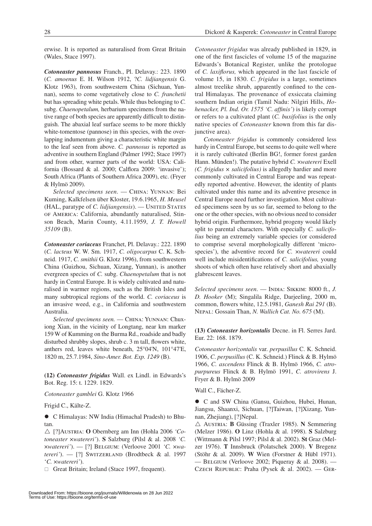erwise. It is reported as naturalised from Great Britain (Wales, Stace 1997).

*Cotoneaster pannosus* Franch., Pl. Delavay.: 223. 1890 (*C. amoenus* E. H. Wilson 1912, ?*C. lidjiangensis* G. Klotz 1963), from southwestern China (Sichuan, Yunnan), seems to come vegetatively close to *C. franchetii* but has spreading white petals. While thus belonging to *C.* subg. *Chaenopetalum,* herbarium specimens from the native range of both species are apparently difficult to distinguish. The abaxial leaf surface seems to be more thickly white-tomentose (pannose) in this species, with the overlapping indumentum giving a characteristic white margin to the leaf seen from above. *C. pannosus* is reported as adventive in southern England (Palmer 1992; Stace 1997) and from other, warmer parts of the world: USA: California (Bossard & al. 2000; Calflora 2009: 'invasive'); South Africa (Plants of Southern Africa 2009), etc. (Fryer & Hylmö 2009).

*Selected specimens seen*. — China: Yunnan: Bei Kuming, Kalkfelsen über Kloster, 19.6.1965, *H. Meusel*  (HAL, paratype of *C. lidjiangensis*). - UNITED STATES of America: California, abundantly naturalised, Stinson Beach, Marin County, 4.11.1959, *J. T. Howell 35109* (B).

*Cotoneaster coriaceus* Franchet, Pl. Delavay.: 222. 1890 (*C. lacteus* W. W. Sm. 1917, *C. oligocarpus* C. K. Schneid. 1917, *C. smithii* G. Klotz 1996), from southwestern China (Guizhou, Sichuan, Xizang, Yunnan), is another evergreen species of *C.* subg. *Chaenopetalum* that is not hardy in Central Europe. It is widely cultivated and naturalised in warmer regions, such as the British Isles and many subtropical regions of the world. *C. coriaceus* is an invasive weed, e.g., in California and southwestern Australia.

*Selected specimens seen.* — China: Yunnan: Chuxiong Xian, in the vicinity of Longtang, near km marker 159 W of Kumming on the Burma Rd., roadside and badly disturbed shrubby slopes, shrub c. 3 m tall, flowers white, anthers red, leaves white beneath, 25°04'N, 101°47'E, 1820 m, 25.7.1984, *Sino-Amer. Bot. Exp. 1249* (B).

**(12)** *Cotoneaster frigidus* Wall. ex Lindl. in Edwards's Bot. Reg. 15: t. 1229. 1829.

*Cotoneaster gamblei* G. Klotz 1966

Frigid C., Kälte-Z.

• C Himalayas: NW India (Himachal Pradesh) to Bhutan.

△ [?]Austria: **O** Obernberg am Inn (Hohla 2006 *'Cotoneaster* ×*watereri'*). **S** Salzburg (Pilsl & al. 2008 *'C.* ×*watereri'*). — [?] Belgium: (Verloove 2001 *'C.* ×*watereri'*). — [?] SWITZERLAND (Brodtbeck & al. 1997 '*C.* ×*watereri'*).

 $\Box$  Great Britain; Ireland (Stace 1997, frequent).

*Cotoneaster frigidus* was already published in 1829, in one of the first fascicles of volume 15 of the magazine Edwards's Botanical Register, unlike the protologue of *C. laxiflorus,* which appeared in the last fascicle of volume 15, in 1830. *C. frigidus* is a large, sometimes almost treelike shrub, apparently confined to the central Himalayas. The provenance of exsiccata claiming southern Indian origin (Tamil Nadu: Nilgiri Hills, *Hohenacker, Pl. Ind. Or. 1575 'C. affinis'*) is likely corrupt or refers to a cultivated plant (*C. buxifolius* is the only native species of *Cotoneaster* known from this far disjunctive area).

*Cotoneaster frigidus* is commonly considered less hardy in Central Europe, but seems to do quite well where it is rarely cultivated (Berlin BG!, former forest garden Hann. Münden!). The putative hybrid *C.* ×*watereri* Exell *(C. frigidus × salicifolius)* is allegedly hardier and more commonly cultivated in Central Europe and was repeatedly reported adventive. However, the identity of plants cultivated under this name and its adventive presence in Central Europe need further investigation. Most cultivated specimens seen by us so far, seemed to belong to the one or the other species, with no obvious need to consider hybrid origin. Furthermore, hybrid progeny would likely split to parental characters. With especially *C. salicifolius* being an extremely variable species (or considered to comprise several morphologically different 'microspecies'), the adventive record for *C.* ×*watereri* could well include misidentifications of *C. salicifolius,* young shoots of which often have relatively short and abaxially glabrescent leaves.

*Selected specimens seen.* — INDIA: SIKKIM: 8000 ft., *J. D. Hooker* (M); Singalila Ridge, Darjeeling, 2000 m, common, flowers white, 12.5.1981, *Ganesh Rai 291* (B). Nepal: Gossain Than, *N. Wallich Cat. No. 675* (M).

**(13)** *Cotoneaster horizontalis* Decne. in Fl. Serres Jard. Eur. 22: 168. 1879.

*Cotoneaster horizontalis* var. *perpusillus* C. K. Schneid. 1906, *C*. *perpusillus* (C. K. Schneid.) Flinck & B. Hylmö 1966, *C. ascendens* Flinck & B. Hylmö 1966, *C. atropurpureus* Flinck & B. Hylmö 1991, *C. atrovirens* J. Fryer & B. Hylmö 2009

Wall C., Fächer-Z.

● C and SW China (Gansu, Guizhou, Hubei, Hunan, Jiangsu, Shaanxi, Sichuan, [?]Taiwan, [?]Xizang, Yunnan, Zhejiang), [?]Nepal.

 $\triangle$  Austria: **B** Güssing (Traxler 1985). **N** Semmering (Melzer 1986). **O** Linz (Hohla & al. 1998). **S** Salzburg (Wittmann & Pilsl 1997; Pilsl & al. 2002). **St** Graz (Melzer 1976). **T** Innsbruck (Polatschek 2000). **V** Bregenz (Stöhr & al. 2009). **W** Wien (Forstner & Hübl 1971).  $-$  BELGIUM (Verloove 2002; Piqueray & al. 2008).  $-$ Czech Republic: Praha (Pysek & al. 2002). — Ger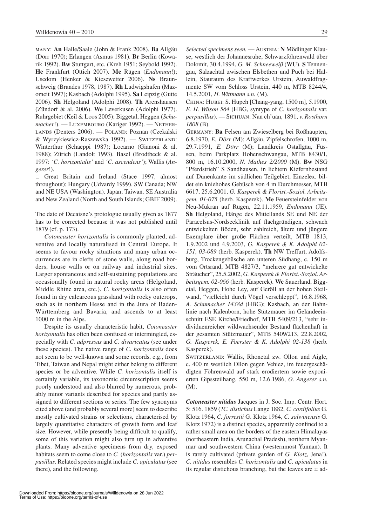many: **An** Halle/Saale (John & Frank 2008). **Ba** Allgäu (Dörr 1970); Erlangen (Asmus 1981). **Br** Berlin (Kowarik 1992). **Bw** Stuttgart, etc. (Kreh 1951; Seybold 1992). **He** Frankfurt (Ottich 2007). **Me** Rügen (*Endtmann*!); Usedom (Henker & Kiesewetter 2006). **Ns** Braunschweig (Brandes 1978, 1987). **Rh** Ludwigshafen (Mazomeit 1997); Kasbach (Adolphi 1995). **Sa** Leipzig (Gutte 2006). **Sh** Helgoland (Adolphi 2008). **Th** Arenshausen (Zündorf & al. 2006). **We** Leverkusen (Adolphi 1977). Ruhrgebiet (Keil & Loos 2005); Biggetal, Heggen (*Schumacher*!). — LUXEMBOURG (Kariger 1992). — NETHERlands (Denters 2006). — Poland: Poznan (Czekalski & Wyrzykiewicz-Raszewska 1992). — Switzerland: Winterthur (Schaeppi 1987); Locarno (Gianoni & al. 1988); Zürich (Landolt 1993). Basel (Brodtbeck & al. 1997: *'C. horizontalis'* and *'C. ascendens'*); Wallis (*Angerer*!).

Great Britain and Ireland (Stace 1997, almost throughout); Hungary (Udvardy 1999). SW Canada; NW and NE USA (Washington). Japan; Taiwan. SE Australia and New Zealand (North and South Islands; GBIF 2009).

The date of Decaisne's protologue usually given as 1877 has to be corrected because it was not published until 1879 (cf. p. 173).

*Cotoneaster horizontalis* is commonly planted, adventive and locally naturalised in Central Europe. It seems to favour rocky situations and many urban occurrences are in clefts of stone walls, along road borders, house walls or on railway and industrial sites. Larger spontaneous and self-sustaining populations are occasionally found in natural rocky areas (Helgoland, Middle Rhine area, etc.). *C. horizontalis* is also often found in dry calcareous grassland with rocky outcrops, such as in northern Hesse and in the Jura of Baden-Württemberg and Bavaria, and ascends to at least 1000 m in the Alps.

Despite its usually characteristic habit, *Cotoneaster horizontalis* has often been confused or intermingled, especially with *C. adpressus* and *C. divaricatus* (see under these species). The native range of *C. horizontalis* does not seem to be well-known and some records, e.g., from Tibet, Taiwan and Nepal might either belong to different species or be adventive. While *C. horizontalis* itself is certainly variable, its taxonomic circumscription seems poorly understood and also blurred by numerous, probably minor variants described for species and partly assigned to different sections or series. The few synonyms cited above (and probably several more) seem to describe mostly cultivated strains or selections, characterised by largely quantitative characters of growth form and leaf size. However, while presently being difficult to qualify, some of this variation might also turn up in adventive plants. Many adventive specimens from dry, exposed habitats seem to come close to *C.* (*horizontalis* var.) *perpusillus*. Related species might include *C. apiculatus* (see there), and the following.

*Selected specimens seen.* — Austria: N Mödlinger Klause, westlich der Johannesruhe, Schwarzföhrenwald über Dolomit, 30.4.1994, *G. M. Schneeweiß* (WU). **S** Tennengau, Salzachtal zwischen Elsbethen und Puch bei Hallein, Stauraum des Kraftwerkes Urstein, Auwaldfragmente SW vom Schloss Urstein, 440 m, MTB 8244/4, 14.5.2001, *H. Wittmann s.n.* (M).

China: Hubei: S. Hupeh [Chang-yang, 1500 m], 5.1900, *E. H. Wilson 564* (HBG, syntype of *C. horizontalis* var. *perpusillus*). — Sichuan: Nan ch'uan, 1891, *v. Rosthorn 1808* (B).

Germany: **Ba** Felsen am Zwieselberg bei Roßhaupten, 6.8.1970, *E. Dörr* (M); Allgäu, Zipfelschrofen, 1000 m, 29.7.1991, *E. Dörr* (M); Landkreis Ostallgäu, Füssen, beim Parkplatz Hohenschwangau, MTB 8430/1, 800 m, 16.10.2000, *N. Mathes 2/2000* (M). **Bw** NSG "Pferdstrieb" S Sandhausen, in lichtem Kiefernbestand auf Dünenkante im südlichen Teilgebiet, Einzelex. bildet ein kniehohes Gebüsch von 4 m Durchmesser, MTB 6617, 25.6.2001, *G. Kasperek & Florist.-Soziol. Arbeitsgem. 01-075* (herb. Kasperek). **Me** Feuersteinfelder von Neu-Mukran auf Rügen, 22.11.1959, *Endtmann* (JE). **Sh** Helgoland, Hänge des Mittellands SE und NE der Paracelsus-Nordseeklinik auf flachgründigen, schwach entwickelten Böden, sehr zahlreich, ältere und jüngere Exemplare über große Flächen verteilt, MTB 1813, 1.9.2002 und 4.9.2003, *G. Kasperek & K. Adolphi 02-151, 03-089* (herb. Kasperek). **Th** NW Treffurt, Adolfsburg, Trockengebüsche am unteren Südhang, c. 150 m vom Ortsrand, MTB 4827/3, "mehrere gut entwickelte Sträucher", 25.5.2002, *G. Kasperek & Florist.-Soziol. Arbeitsgem. 02-066* (herb. Kasperek). **We** Sauerland, Biggetal, Heggen, Hohe Ley, auf Geröll an der hohen Steilwand, "vielleicht durch Vögel verschleppt", 16.8.1968, *A. Schumacher 1438d* (HBG); Kasbach, an der Bahnlinie nach Kalenborn, hohe Stützmauer im Geländeeinschnitt ESE Kirche/Friedhof, MTB 5409/213, "sehr individuenreicher wildwachsender Bestand flächenhaft in der gesamten Stützmauer", MTB 5409/213, 22.8.2002, *G. Kasperek, E. Foerster & K. Adolphi 02-138* (herb. Kasperek).

Switzerland: Wallis, Rhonetal zw. Ollon und Aigle, c. 400 m westlich Ollon gegen Vehiez, im feuergeschädigten Föhrenwald auf stark erodiertem sowie exponierten Gipssteilhang, 550 m, 12.6.1986, *O. Angerer s.n.*  (M).

*Cotoneaster nitidus* Jacques in J. Soc. Imp. Centr. Hort. 5: 516. 1859 (?*C. distichus* Lange 1882, *C. cordifolius* G. Klotz 1964, *C. forrestii* G. Klotz 1964, *C. salwinensis* G. Klotz 1972) is a distinct species, apparently confined to a rather small area on the borders of the eastern Himalayas (northeastern India, Arunachal Pradesh), northern Myanmar and southwestern China (westernmost Yunnan). It is rarely cultivated (private garden of *G. Klotz*, Jena!). *C. nitidus* resembles *C. horizontalis* and *C. apiculatus* in its regular distichous branching, but the leaves are  $\pm$  ad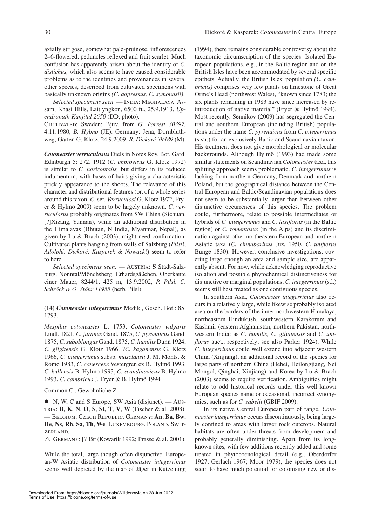axially strigose, somewhat pale-pruinose, inflorescences 2–6-flowered, peduncles reflexed and fruit scarlet. Much confusion has apparently arisen about the identity of *C. distichus,* which also seems to have caused considerable problems as to the identities and provenances in several other species, described from cultivated specimens with basically unknown origins *(C. adpressus, C. symondsii)*.

Selected specimens seen. - INDIA: MEGHALAYA: Assam, Khasi Hills, Laitlyngkon, 6500 ft., 25.9.1913, *Upendranath Kanjital 2650* (DD, photo).

Cultivated: Sweden: Bjuv, from *G. Forrest 30397,*  4.11.1980, *B. Hylmö* (JE). Germany: Jena, Dornbluthweg, Garten G. Klotz, 24.9.2009, *B. Dickoré 39489* (M).

*Cotoneaster verruculosus* Diels in Notes Roy. Bot. Gard. Edinburgh 5: 272. 1912 (*C. improvisus* G. Klotz 1972) is similar to *C. horizontalis,* but differs in its reduced indumentum, with bases of hairs giving a characteristic prickly appearance to the shoots. The relevance of this character and distributional features (or, of a whole series around this taxon, *C.* ser. *Verruculosi* G. Klotz 1972, Fryer & Hylmö 2009) seem to be largely unknown. *C. verruculosus* probably originates from SW China (Sichuan, [?]Xizang, Yunnan), while an additional distribution in the Himalayas (Bhutan, N India, Myanmar, Nepal), as given by Lu & Brach (2003), might need confirmation. Cultivated plants hanging from walls of Salzburg (*Pilsl*!, *Adolphi, Dickoré, Kasperek & Nowack*!) seem to refer to here.

*Selected specimens seen.* — Austria: **S** Stadt-Salzburg, Nonntal/Mönchsberg, Erhardsgäßchen, Oberkante einer Mauer, 8244/1, 425 m, 13.9.2002, *P. Pilsl, C. Schröck & O. Stöhr 11955* (herb. Pilsl).

## **(14)** *Cotoneaster integerrimus* Medik., Gesch. Bot.: 85. 1793.

*Mespilus cotoneaster* L. 1753, *Cotoneaster vulgaris* Lindl. 1821, *C. juranus* Gand. 1875, *C. pyrenaicus* Gand. 1875, *C. suboblongus* Gand. 1875, *C. humilis* Dunn 1924, *C. gilgitensis* G. Klotz 1966, ?*C. kaganensis* G. Klotz 1966, *C. integerrimus* subsp. *masclansii* J. M. Monts. & Romo 1983, *C. canescens* Vestergren ex B. Hylmö 1993, *C. kullensis* B. Hylmö 1993, *C. scandinavicus* B. Hylmö 1993, *C. cambricus* J. Fryer & B. Hylmö 1994

Common C., Gewöhnliche Z.

 $\bullet$  N, W, C and S Europe, SW Asia (disjunct). — Austria: **B**, **K**, **N**, **O**, **S**, **St**, **T**, **V**, **W** (Fischer & al. 2008). — Belgium. Czech Republic. Germany: **An**, **Ba**, **Bw**, **He**, **Ns**, **Rh**, **Sa**, **Th**, **We**. Luxembourg. Poland. Switzerland.

 $\triangle$  GERMANY: [?]**Br** (Kowarik 1992; Prasse & al. 2001).

While the total, large though often disjunctive, European-W Asiatic distribution of *Cotoneaster integerrimus* seems well depicted by the map of Jäger in Kutzelnigg (1994), there remains considerable controversy about the taxonomic circumscription of the species. Isolated European populations, e.g., in the Baltic region and on the British Isles have been accommodated by several specific epithets. Actually, the British Isles' population *(C. cambricus)* comprises very few plants on limestone of Great Orme's Head (northwest Wales), "known since 1783; the six plants remaining in 1983 have since increased by reintroduction of native material" (Fryer & Hylmö 1994). Most recently, Sennikov (2009) has segregated the Central and southern European (including British) populations under the name *C. pyrenaicus* from *C. integerrimus* (s.str.) for an exclusively Baltic and Scandinavian taxon. His treatment does not give morphological or molecular backgrounds. Although Hylmö (1993) had made some similar statements on Scandinavian *Cotoneaster* taxa, this splitting approach seems problematic. *C. integerrimus* is lacking from northern Germany, Denmark and northern Poland, but the geographical distance between the Central European and Baltic/Scandinavian populations does not seem to be substantially larger than between other disjunctive occurrences of this species. The problem could, furthermore, relate to possible intermediates or hybrids of *C. integerrimus* and *C. laxiflorus* (in the Baltic region) or *C. tomentosus* (in the Alps) and its discrimination against other northeastern European and northern Asiatic taxa (*C. cinnabarinus* Juz. 1950, *C. uniflorus* Bunge 1830). However, conclusive investigations, covering large enough an area and sample size, are apparently absent. For now, while acknowledging reproductive isolation and possible phytochemical distinctiveness for disjunctive or marginal populations, *C. integerrimus* (s.l.) seems still best treated as one contiguous species.

In southern Asia, *Cotoneaster integerrimus* also occurs in a relatively large, while likewise probably isolated area on the borders of the inner northwestern Himalaya, northeastern Hindukush, southwestern Karakorum and Kashmir (eastern Afghanistan, northern Pakistan, northwestern India: as *C. humilis, C. gilgitensis* and *C. uniflorus* auct., respectively; see also Parker 1924). While *C. integerrimus* could well extend into adjacent western China (Xinjiang), an additional record of the species for large parts of northern China (Hebei, Heilongjiang, Nei Mongol, Qinghai, Xinjiang) and Korea by Lu & Brach (2003) seems to require verification. Ambiguities might relate to odd historical records under this well-known European species name or occasional, incorrect synonymies, such as for *C. zabelii* (GBIF 2009).

In its native Central European part of range, *Cotoneaster integerrimus* occurs discontinuously, being largely confined to areas with larger rock outcrops. Natural habitats are often under threats from development and probably generally diminishing. Apart from its longknown sites, with few additions recently added and some treated in phytocoenological detail (e.g., Oberdorfer 1927; Gerlach 1967; Moor 1979), the species does not seem to have much potential for colonising new or dis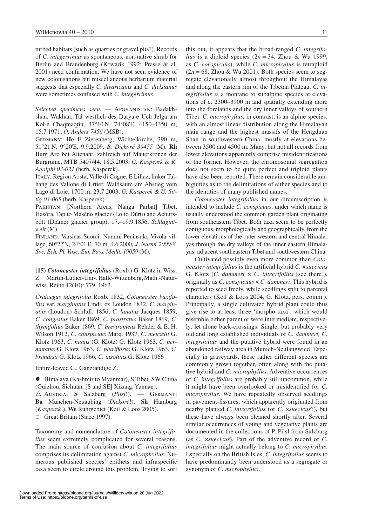turbed habitats (such as quarries or gravel pits?). Records of *C. integerrimus* as spontaneous, non-native shrub for Berlin and Brandenburg (Kowarik 1992; Prasse & al. 2001) need confirmation. We have not seen evidence of new colonisations but miscellaneous herbarium material suggests that especially *C. divaricatus* and *C. dielsianus*  were sometimes confused with *C. integerrimus*.

*Selected specimens seen.* — Afghanistan: Badakhshan, Wakhan, Tal westlich des Darya-e Uch Jelga am Kol-e Chaqmaqtin, 37°10'N, 74°08'E, 4150–4350 m, 15.7.1971, *O. Anders 7456* (MSB).

Germany: **He** E Zierenberg, Wichtelkirche, 390 m, 51°21'N, 9°20'E, 9.9.2009, *B. Dickoré 39455* (M). **Rh** Burg Are bei Altenahr, zahlreich auf Mauerkronen der Burgruine, MTB 5407/44, 18.5.2003, *G. Kasperek & K. Adolphi 03-021* (herb. Kasperek).

Italy: Region Aosta, Valle di Cogne, E Lillaz, linker Talhang des Vallone di Urtier, Waldsaum am Abstieg vom Lago di Loie, 1700 m, 23.7.2003, *G. Kasperek & U. Sittig 03-065* (herb. Kasperek).

Pakistan: [Northern Areas, Nanga Parbat] Tibet, Hasóra, Tap to Maséno glacier (Lolio Dúru) and Achursbótt (Diámer glacier group), 17.–19.9.1856, *Schlagintweit* (M).

Finland: Varsinas-Suomi, Nummi-Peninsula, Vivola village, 60°22'N, 24°01'E, 70 m, 4.6.2000, *J. Nurmi 2000-8, Soc. Èch. Pl. Vasc. Eur. Bass. Médit. 19059* (M).

**(15)** *Cotoneaster integrifolius* (Roxb.) G. Klotz in Wiss. Z. Martin-Luther-Univ. Halle-Wittenberg,Math.-Naturwiss. Reihe 12(10): 779. 1963.

*Crataegus integrifolia* Roxb. 1832, *Cotoneaster buxifolius* var. *marginatus* Lindl. ex Loudon 1842, *C. marginatus* (Loudon) Schltdl. 1856, *C. lanatus* Jacques 1859, *C. congestus* Baker 1869, *C. prostratus* Baker 1869, *C. thymifolius* Baker 1869, *C. brevirameus* Rehder & E. H. Wilson 1912, *C. conspicuus* Marq. 1937, *C. meuselii* G. Klotz 1963, *C. nanus* (G. Klotz) G. Klotz 1963, *C. permutatus* G. Klotz 1963, *C. pluriflorus* G. Klotz 1963, *C. brandisii* G. Klotz 1966, *C. insolitus* G. Klotz 1966

Entire-leaved C., Ganzrandige Z.

 $\bullet$  Himalaya (Kashmir to Myanmar), S Tibet, SW China (Guizhou, Sichuan, [S and SE] Xizang, Yunnan).  $\triangle$  Austria: **S** Salzburg (*Pilsl!*). — GERMANY: **Ba** München-Neuaubing (*Dickoré*!). **Sh** Hamburg (*Kasperek*!). **We** Ruhrgebiet (Keil & Loos 2005).  $\Box$  Great Britain (Stace 1997).

Taxonomy and nomenclature of *Cotoneaster integrifolius* seem extremely complicated for several reasons. The main source of confusion about *C. integrifolius* comprises its delimitation against *C. microphyllus*. Numerous published species' epithets and infraspecific taxa seem to circle around this problem. Trying to sort

this out, it appears that the broad-ranged *C. integrifolius* is a diploid species  $(2n = 34,$  Zhou & Wu 1999, as *C. conspicuus*), while *C. microphyllus* is tetraploid  $(2n = 68,$  Zhou & Wu 2001). Both species seem to segregate elevationally almost throughout the Himalayas and along the eastern rim of the Tibetan Plateau. *C. integrifolius* is a montane to subalpine species at elevations of c. 2300–3900 m and spatially extending more into the forelands and the dry inner valleys of southern Tibet. *C. microphyllus,* in contrast, is an alpine species, with an almost linear distribution along the Himalayan main range and the highest massifs of the Hengduan Shan in southwestern China, mostly at elevations between 3500 and 4500 m. Many, but not all records from lower elevations apparently comprise misidentifications of the former. However, the chromosomal segregation does not seem to be quite perfect and triploid plants have also been reported. There remain considerable ambiguities as to the delimitations of either species and to the identities of many published names.

*Cotoneaster integrifolius* in our circumscription is intended to include *C. conspicuus*, under which name is usually understood the common garden plant originating from southeastern Tibet. Both taxa seem to be perfectly contiguous, morphologically and geographically, from the lower elevations of the outer western and central Himalayas through the dry valleys of the inner eastern Himalayas, adjacent southeastern Tibet and southwestern China.

Cultivated possibly even more common than *Cotoneaster integrifolius* is the artificial hybrid *C.* ×*suecicus* G. Klotz (*C. dammeri × C. integrifolius* [see there]), originally as *C. conspicuus* × *C. dammeri*. This hybrid is reported to seed freely, while seedlings split to parental characters (Keil & Loos 2004, G. Klotz, pers. comm.). Principally, a single cultivated hybrid plant could thus give rise to at least three 'morpho-taxa', which would resemble either parent or were intermediate, respectively, let alone back-crossings. Single, but probably very old and long established individuals of *C. dammeri, C. integrifolius* and the putative hybrid were found in an abandoned railway area in Munich-Neulangwied. Especially in graveyards, these rather different species are commonly grown together, often along with the putative hybrid and *C. microphyllus*. Adventive occurrences of *C. integrifolius* are probably still uncommon, while it might have been overlooked or misidentified for *C. microphyllus*. We have repeatedly observed seedlings in pavement-fissures, which apparently originated from nearby planted *C. integrifolius* (or *C.* ×*suecicus*?), but these have always been cleaned shortly after. Several similar occurrences of young and vegetative plants are documented in the collections of P. Pilsl from Salzburg (as *C.* ×*suecicus*). Part of the adventive record of *C. integrifolius* might actually belong to *C. microphyllus*. Especially on the British Isles, *C. integrifolius* seems to have predominantly been understood as a segregate or synonym of *C. microphyllus*.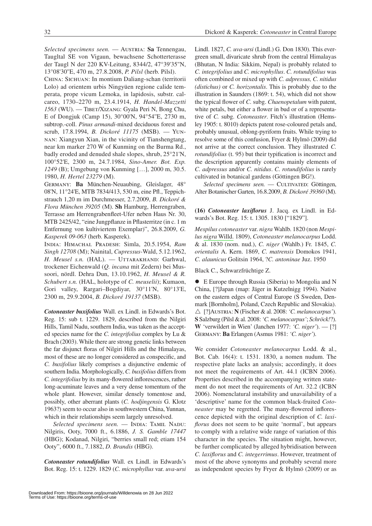*Selected specimens seen.* — AUSTRIA: Sa Tennengau, Taugltal SE von Vigaun, bewachsene Schotterterasse der Taugl N der 220 KV-Leitung, 8344/2, 47°39'35''N, 13°08'30''E, 470 m, 27.8.2008, *P. Pilsl* (herb. Pilsl).

China: Sichuan: In montium Daliang-schan (territorii Lolo) ad orientem urbis Ningyüen regione calide temperata, prope vicum Lemoka, in lapidosis, substr. calcareo, 1730–2270 m, 23.4.1914, *H. Handel-Mazzetti 1563* (WU). — Tibet/Xizang: Gyala Peri N, Bong Chu, E of Dongjuk (Camp 15), 30°00'N, 94°54''E, 2730 m, subtrop.-coll. *Pinus armandi*-mixed deciduous forest and scrub, 17.8.1994, *B. Dickoré 11175* (MSB). — Yunnan: Xiangyun Xian, in the vicinity of Tianshengtang, near km marker 270 W of Kunming on the Burma Rd., badly eroded and denuded shale slopes, shrub, 25°21'N, 100°52'E, 2300 m, 24.7.1984, *Sino-Amer. Bot. Exp. 1249* (B); Umgebung von Kunming […], 2000 m, 30.5. 1980, *H. Hertel 23279* (M).

Germany: **Ba** München-Neuaubing, Gleislager, 48° 08'N, 11°24'E, MTB 7834/413, 530 m, eine Pfl., Teppichstrauch 1,20 m im Durchmesser, 2.7.2009, *B. Dickoré & Flora München 39205* (M). **Sh** Hamburg, Herrengraben, Terrasse am Herrengrabenfleet-Ufer neben Haus Nr. 30, MTB 2425/42, "eine Jungpflanze in Pflasterritze (in c. 1 m Entfernung von kultiviertem Exemplar)", 26.8.2009, *G. Kasperek 09-063* (herb. Kasperek).

India: Himachal Pradesh: Simla, 20.5.1954, *Ram Singh 12708* (M); Nainital, *Cupressus*-Wald, 5.12.1962, H. Meusel *s.n.* (HAL). — UTTARAKHAND: Garhwal, trockener Eichenwald (*Q. incana* mit Zedern) bei Mussoori, nördl. Dehra Dun, 13.10.1962, *H. Meusel & R. Schubert s.n.* (HAL, holotype of *C. meuselii*); Kumaon, Gori valley, Rargari–Bogdiyar, 30°11'N, 80°13'E, 2300 m, 29.9.2004, *B. Dickoré 19137* (MSB).

*Cotoneaster buxifolius* Wall. ex Lindl. in Edwards's Bot. Reg. 15: sub t. 1229. 1829, described from the Nilgiri Hills, Tamil Nadu, southern India, was taken as the accepted species name for the *C. integrifolius* complex by Lu & Brach (2003). While there are strong genetic links between the far disjunct floras of Nilgiri Hills and the Himalayas, most of these are no longer considered as conspecific, and *C. buxifolius* likely comprises a disjunctive endemic of southern India. Morphologically, *C. buxifolius* differs from *C. integrifolius* by its many-flowered inflorescences, rather long-acuminate leaves and a very dense tomentum of the whole plant. However, similar densely tomentose and, possibly, other aberrant plants (*C. hodjingensis* G. Klotz 1963?) seem to occur also in southwestern China, Yunnan, which in their relationships seem largely unresolved.

Selected specimens seen. - INDIA: TAMIL NADU: Nilgiris, Ooty, 7000 ft., 6.1886, *J. S. Gamble 17447* (HBG); Kodanad, Nilgiri, "berries small red; etiam 154 Ooty", 6000 ft., 7.1882, *D. Brandis* (HBG).

*Cotoneaster rotundifolius* Wall. ex Lindl. in Edwards's Bot. Reg. 15: t. 1229. 1829 (*C. microphyllus* var. *uva-ursi*

Lindl. 1827, *C. uva-ursi* (Lindl.) G. Don 1830). This evergreen small, divaricate shrub from the central Himalayas (Bhutan, N India: Sikkim, Nepal) is probably related to *C. integrifolius* and *C. microphyllus*. *C. rotundifolius* was often combined or mixed up with *C. adpressus, C. nitidus (distichus)* or *C. horizontalis*. This is probably due to the illustration in Saunders (1869: t. 54), which did not show the typical flower of *C.* subg. *Chaenopetalum* with patent, white petals, but either a flower in bud or of a representative of *C.* subg. *Cotoneaster*. Fitch's illustration (Hemsley 1905: t. 8010) depicts patent rose-coloured petals and, probably unusual, oblong-pyriform fruits. While trying to resolve some of this confusion, Fryer & Hylmö (2009) did not arrive at the correct conclusion. They illustrated *C. rotundifolius* (t. 95) but their typification is incorrect and the description apparently contains mainly elements of *C. adpressus* and/or *C. nitidus*. *C. rotundifolius* is rarely cultivated in botanical gardens (Göttingen BG!).

Selected specimens seen. - CULTIVATED: Göttingen, Alter Botanischer Garten, 16.8.2009, *B. Dickoré 39360* (M).

**(16)** *Cotoneaster laxiflorus* J. Jacq. ex Lindl. in Edwards's Bot. Reg. 15: t. 1305. 1830 ["1829"].

*Mespilus cotoneaster* var. *nigra* Wahlb. 1820 (non *Mespilus [nigra](http://www.ipni.org/ipni/idAuthorSearch.do?id=11692-1&back_page=%2Fipni%2FeditAdvPlantNameSearch.do%3Ffind_infragenus%3D%26find_isAPNIRecord%3Dtrue%26find_geoUnit%3D%26find_includePublicationAuthors%3Dtrue%26find_addedSince%3D%26find_family%3D%26find_genus%3DMespilus%2B%26find_sortByFamily%3Dtrue%26find_isGCIRecord%3Dtrue%26find_infrafamily%3D%26find_rankToReturn%3Dall%26find_publicationTitle%3D%26find_authorAbbrev%3D%26find_infraspecies%3D%26find_includeBasionymAuthors%3Dtrue%26find_modifiedSince%3D%26find_isIKRecord%3Dtrue%26find_species%3D*%26output_format%3Dnormal">a)* [Willd.](http://www.ipni.org/ipni/idAuthorSearch.do?id=11692-1&back_page=%2Fipni%2FeditAdvPlantNameSearch.do%3Ffind_infragenus%3D%26find_isAPNIRecord%3Dtrue%26find_geoUnit%3D%26find_includePublicationAuthors%3Dtrue%26find_addedSince%3D%26find_family%3D%26find_genus%3DMespilus%2B%26find_sortByFamily%3Dtrue%26find_isGCIRecord%3Dtrue%26find_infrafamily%3D%26find_rankToReturn%3Dall%26find_publicationTitle%3D%26find_authorAbbrev%3D%26find_infraspecies%3D%26find_includeBasionymAuthors%3Dtrue%26find_modifiedSince%3D%26find_isIKRecord%3Dtrue%26find_species%3D*%26output_format%3Dnormal) 1809), *Cotoneaster melanocarpus* Lodd. & al. 1830 (nom. nud.), *C. niger* (Wahlb.) Fr. 1845, *C. orientalis* A. Kern. 1869, *C. matrensis* Domokos 1941, *C. alaunicus* Golitsin 1964, ?*C. antoninae* Juz. 1950

Black C., Schwarzfrüchtige Z.

 $\bullet$  E Europe through Russia (Siberia) to Mongolia and N China, [?]Japan (map: Jäger in Kutzelnigg 1994). Native on the eastern edges of Central Europe (S Sweden, Denmark [Bornholm], Poland, Czech Republic and Slovakia). r [?]Austria: **N** (Fischer & al. 2008: *'C. melanocarpus'*). **S** Salzburg (Pilsl & al. 2008: *'C. melanocarpus'*; *Schröck!*?). **W** 'verwildert in Wien' (Janchen 1977: *'C. niger'*). — [?] Germany: **Ba** Erlangen (Asmus 1981: *'C. niger'*).

We consider *Cotoneaster melanocarpus* Lodd. & al., Bot. Cab. 16(4): t. 1531. 1830, a nomen nudum. The respective plate lacks an analysis; accordingly, it does not meet the requirements of Art. 44.1 (ICBN 2006). Properties described in the accompanying written statement do not meet the requirements of Art. 32.2 (ICBN 2006). Nomenclatural instability and unavailability of a 'descriptive' name for the common black-fruited *Cotoneaster* may be regretted. The many-flowered inflorescence depicted with the original description of *C. laxiflorus* does not seem to be quite 'normal', but appears to comply with a relative wide range of variation of this character in the species. The situation might, however, be further complicated by alleged hybridisation between *C. laxiflorus* and *C. integerrimus*. However, treatment of most of the above synonyms and probably several more as independent species by Fryer & Hylmö (2009) or as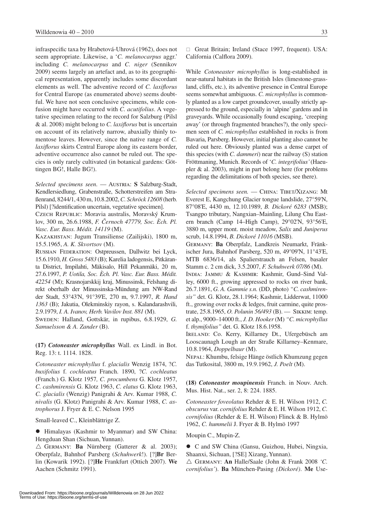infraspecific taxa by Hrabetová-Uhrová (1962), does not seem appropriate. Likewise, a '*C. melanocarpus* aggr.' including *C. melanocarpus* and *C. niger* (Sennikov 2009) seems largely an artefact and, as to its geographical representation, apparently includes some discordant elements as well. The adventive record of *C. laxiflorus* for Central Europe (as enumerated above) seems doubtful. We have not seen conclusive specimens, while confusion might have occurred with *C. acutifolius*. A vegetative specimen relating to the record for Salzburg (Pilsl & al. 2008) might belong to *C. laxiflorus* but is uncertain on account of its relatively narrow, abaxially thinly tomentose leaves. However, since the native range of *C. laxiflorus* skirts Central Europe along its eastern border, adventive occurrence also cannot be ruled out. The species is only rarely cultivated (in botanical gardens: Göttingen BG!, Halle BG!).

*Selected specimens seen.* — AUSTRIA: S Salzburg-Stadt, Kendlersiedlung, Grabenstraße, Schotterstreifen am Straßenrand, 8244/1, 430 m, 10.8.2002, *C. Schröck 12608* (herb. Pilsl) [?identification uncertain, vegetative specimen].

Czech Republic: Moravia australis, Moravský Krumlov, 300 m, 26.6.1988, *F. Cernoch 47779, Soc. Èch. Pl. Vasc. Eur. Bass. Médit. 14119* (M).

Kazakhstan: Jugum Transiliense (Zailijski), 1800 m, 15.5.1965, *A. K. Skvortsov* (M).

Russian Federation: Ostpreussen, Dallwitz bei Lyck, 15.6.1910, *H. Gross 5483* (B); Karelia ladogensis, Pitkäranta District, Impilahti, Mäkisalo, Hill Pekanmäki, 20 m, 27.6.1997, *P. Uotila, Soc. Èch. Pl. Vasc. Eur. Bass. Médit. 42254* (M); Krasnojarskkij kraj, Minussinsk, Felshang direkt oberhalb der Minussinska-Mündung am NW-Rand der Stadt, 53°43'N, 91°39'E, 270 m, 9.7.1997, *R. Hand 1363* (B); Jakutia, Olekminskiy rayon, s. Kalandarashvili, 2.9.1979, *I. A. Ivanov, Herb. Vavilov Inst. 881* (M).

SWEDEN: Halland, Gottskär, in rupibus, 6.8.1929, *G. Samuelsson & A. Zander* (B).

**(17)** *Cotoneaster microphyllus* Wall. ex Lindl. in Bot. Reg. 13: t. 1114. 1828.

*Cotoneaster microphyllus* f. *glacialis* Wenzig 1874, ?*C. buxifolius* f. *cochleatus* Franch. 1890, ?*C. cochleatus*  (Franch.) G. Klotz 1957*, C. procumbens* G. Klotz 1957, *C. cashmirensis* G. Klotz 1963, *C. elatus* G. Klotz 1963, *C. glacialis* (Wenzig) Panigrahi & Arv. Kumar 1988, *C. nivalis* (G. Klotz) Panigrahi & Arv. Kumar 1988, *C. astrophorus* J. Fryer & E. C. Nelson 1995

Small-leaved C., Kleinblättrige Z.

 $\bullet$  Himalayas (Kashmir to Myanmar) and SW China: Hengduan Shan (Sichuan, Yunnan).

 $\triangle$  GERMANY: **Ba** Nürnberg (Gatterer & al. 2003); Oberpfalz, Bahnhof Parsberg (*Schuhwerk*!). [?]**Br** Berlin (Kowarik 1992). [?]**He** Frankfurt (Ottich 2007). **We** Aachen (Schmitz 1991).

 $\Box$  Great Britain; Ireland (Stace 1997, frequent). USA: California (Calflora 2009).

While *Cotoneaster microphyllus* is long-established in near-natural habitats in the British Isles (limestone-grassland, cliffs, etc.), its adventive presence in Central Europe seems somewhat ambiguous. *C. microphyllus* is commonly planted as a low carpet groundcover, usually strictly appressed to the ground, especially in 'alpine' gardens and in graveyards. While occasionally found escaping, 'creeping away' (or through fragmented branches?), the only specimen seen of *C. microphyllus* established in rocks is from Bavaria, Parsberg. However, initial planting also cannot be ruled out here. Obviously planted was a dense carpet of this species (with *C. dammeri*) near the railway (S) station Fröttmaning, Munich. Records of '*C. integrifolius'* (Haeupler & al. 2003), might in part belong here (for problems regarding the delimitations of both species, see there).

Selected specimens seen. — CHINA: TIBET/XIZANG: Mt Everest E, Kangchung Glacier tongue landslide, 27°59'N, 87°08'E, 4430 m, 12.10.1989, *B. Dickoré 6283* (MSB); Tsangpo tributary, Nangxian–Mainling, Lilung Chu Eastern branch (Camp 14–High Camp), 29°02'N, 93°56'E, 3880 m, upper mont. moist meadow, *Salix* and *Juniperus*  scrub, 14.8.1994, *B. Dickoré 11016* (MSB).

Germany: **Ba** Oberpfalz, Landkreis Neumarkt, Fränkischer Jura, Bahnhof Parsberg, 520 m, 49°09'N, 11°43'E, MTB 6836/14, als Spalierstrauch an Felsen, basaler Stamm c. 2 cm dick, 3.5.2007, *F. Schuhwerk 07/86* (M).

India: Jammu & Kashmir: Kashmir, Gund–Sind Valley, 6000 ft., growing appressed to rocks on river bank, 26.7.1891, *G. A. Gammie s.n.* (DD, photo) *"C. cashmirensis"* det. G. Klotz, 28.1.1964; Kashmir, Lidderwat, 11000 ft., growing over rocks & ledges, fruit carmine, quite prostrate, 25.8.1965, *O. Polunin 56/493* (B). — Sikkim: temp. et alp., 9000–14000 ft., *J. D. Hooker* (M) *"C. microphyllus* f. *thymifolius"* det. G. Klotz 18.6.1958.

Ireland: Co. Kerry, Killarney Dt., Ufergebüsch am Looscaunagh Lough an der Straße Killarney–Kenmare, 10.8.1964, *Doppelbaur* (M).

Nepal: Khumbu, felsige Hänge östlich Khumzung gegen das Tutkosital, 3800 m, 19.9.1962, *J. Poelt* (M).

**(18)** *Cotoneaster moupinensis* Franch. in Nouv. Arch. Mus. Hist. Nat., ser. 2, 8: 224. 1885.

*Cotoneaster foveolatus* Rehder & E. H. Wilson 1912, *C. obscurus* var. *cornifolius* Rehder & E. H. Wilson 1912, *C. cornifolius* (Rehder & E. H. Wilson) Flinck & B. Hylmö 1962, *C. hummelii* J. Fryer & B. Hylmö 1997

Moupin C., Mupin-Z.

• C and SW China (Gansu, Guizhou, Hubei, Ningxia, Shaanxi, Sichuan, [?SE] Xizang, Yunnan).

 $\triangle$  GERMANY: **An** Halle/Saale (John & Frank 2008 *'C*. *cornifolius'*). **Ba** München-Pasing *(Dickoré)*. **Me** Use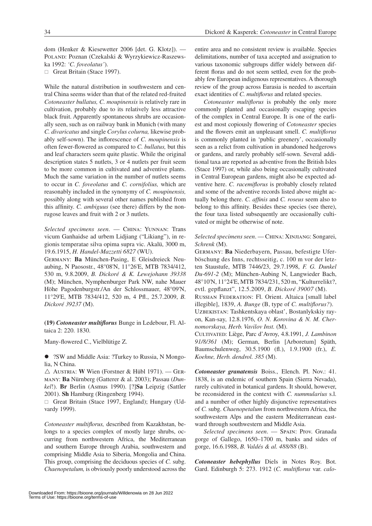dom (Henker & Kiesewetter 2006 [det. G. Klotz]). — Poland: Poznan (Czekalski & Wyrzykiewicz-Raszewska 1992: *'C. foveolatus'*).

 $\Box$  Great Britain (Stace 1997).

While the natural distribution in southwestern and central China seems wider than that of the related red-fruited *Cotoneaster bullatus, C. moupinensis* is relatively rare in cultivation, probably due to its relatively less attractive black fruit. Apparently spontaneous shrubs are occasionally seen, such as on railway bank in Munich (with many *C. divaricatus* and single *Corylus colurna,* likewise probably self-sown). The inflorescence of *C. moupinensis* is often fewer-flowered as compared to *C. bullatus,* but this and leaf characters seem quite plastic. While the original description states 5 nutlets, 3 or 4 nutlets per fruit seem to be more common in cultivated and adventive plants. Much the same variation in the number of nutlets seems to occur in *C. foveolatus* and *C. cornifolius,* which are reasonably included in the synonymy of *C. moupinensis,*  possibly along with several other names published from this affinity. *C. ambiguus* (see there) differs by the nonrugose leaves and fruit with 2 or 3 nutlets.

*Selected specimens seen*. — China: Yunnan: Trans vicum Ganhaidse ad urbem Lidjiang ("Likiang"), in regionis temperatae silva opima supra vic. Akalü, 3000 m, 19.6.1915, *H. Handel-Mazzetti 6827* (WU).

Germany: **Ba** München-Pasing, E Gleisdreieck Neuaubing, N Paosostr., 48°08'N, 11°26'E, MTB 7834/412, 530 m, 9.8.2009, *B. Dickoré & K. Lewejohann 39338* (M); München, Nymphenburger Park NW, nahe Mauer Höhe Pagodenburgstr./An der Schlossmauer, 48°09'N, 11°29'E, MTB 7834/412, 520 m, 4 Pfl., 25.7.2009, *B. Dickoré 39237* (M).

**(19)** *Cotoneaster multiflorus* Bunge in Ledebour, Fl. Altaica 2: 220. 1830.

Many-flowered C., Vielblütige Z.

• ?SW and Middle Asia: ?Turkey to Russia, N Mongolia, N China.

 $\triangle$  Austria: **W** Wien (Forstner & Hübl 1971). — GERmany: **Ba** Nürnberg (Gatterer & al. 2003); Passau (*Dunkel*!). **Br** Berlin (Asmus 1990). [?]**Sa** Leipzig (Sattler 2001). **Sh** Hamburg (Ringenberg 1994).

 $\Box$  Great Britain (Stace 1997, England); Hungary (Udvardy 1999).

*Cotoneaster multiflorus,* described from Kazakhstan, belongs to a species complex of mostly large shrubs, occurring from northwestern Africa, the Mediterranean and southern Europe through Arabia, southwestern and comprising Middle Asia to Siberia, Mongolia and China. This group, comprising the deciduous species of *C.* subg. *Chaenopetalum,* is obviously poorly understood across the

entire area and no consistent review is available. Species delimitations, number of taxa accepted and assignation to various taxonomic subgroups differ widely between different floras and do not seem settled, even for the probably few European indigenous representatives. A thorough review of the group across Eurasia is needed to ascertain exact identities of *C. multiflorus* and related species.

*Cotoneaster multiflorus* is probably the only more commonly planted and occasionally escaping species of the complex in Central Europe. It is one of the earliest and most copiously flowering of *Cotoneaster* species and the flowers emit an unpleasant smell. *C. multiflorus* is commonly planted in 'public greenery', occasionally seen as a relict from cultivation in abandoned hedgerows or gardens, and rarely probably self-sown. Several additional taxa are reported as adventive from the British Isles (Stace 1997) or, while also being occasionally cultivated in Central European gardens, might also be expected adventive here. *C. racemiflorus* is probably closely related and some of the adventive records listed above might actually belong there. *C. affinis* and *C. roseus* seem also to belong to this affinity. Besides these species (see there), the four taxa listed subsequently are occasionally cultivated or might be otherwise of note.

## *Selected specimens seen*. — China: Xinjiang: Songarei, *Schrenk* (M).

Germany: **Ba** Niederbayern, Passau, befestigte Uferböschung des Inns, rechtsseitig, c. 100 m vor der letzten Staustufe, MTB 7446/23, 29.7.1998, *F. G. Dunkel Du-691-2* (M); München-Aubing N, Langwieder Bach, 48°10'N, 11°24'E, MTB 7834/231, 520 m, "Kulturrelikt?, evtl. gepflanzt", 12.5.2009, *B. Dickoré 39007* (M). Russian Federation: Fl. Orient. Altaica [small label illegible], 1839, *A. Bunge* (B, type of *C. multiflorus?*). Uzbekistan: Tashkentskaya oblast', Bostanlykskiy rayon, Kan-say, 12.8.1976, *O. N. Korovina & N. M. Chernomorskaya, Herb. Vavilov Inst.* (M). Cultivated: Liège, Parc d'Avroy, 4.8.1991, *J. Lambinon* 

*91/8/361* (M); German, Berlin [Arboretum] Späth, Baumschulenweg, 30.5.1900 (fl.), 1.9.1900 (fr.), *E. Koehne, Herb. dendrol. 385* (M).

*Cotoneaster granatensis* Boiss., Elench. Pl. Nov.: 41. 1838, is an endemic of southern Spain (Sierra Nevada), rarely cultivated in botanical gardens. It should, however, be reconsidered in the context with *C. nummularius* s.l. and a number of other highly disjunctive representatives of *C.* subg. *Chaenopetalum* from northwestern Africa, the southwestern Alps and the eastern Mediterranean eastward through southwestern and Middle Asia.

*Selected specimens seen*. — Spain: Prov. Granada gorge of Gallego, 1650–1700 m, banks and sides of gorge, 16.6.1988, *B. Valdés & al. 488/88* (B).

*Cotoneaster hebephyllus* Diels in Notes Roy. Bot. Gard. Edinburgh 5: 273. 1912 (*C. multiflorus* var. *calo-*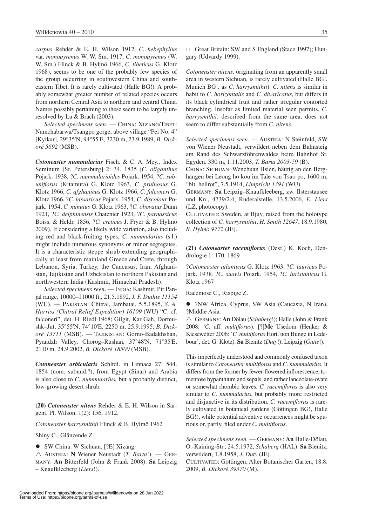*carpus* Rehder & E. H. Wilson 1912, *C. hebephyllus*  var. *monopyrenus* W. W. Sm. 1917, *C. monopyrenus* (W. W. Sm.) Flinck & B. Hylmö 1966, *C. tibeticus* G. Klotz 1968), seems to be one of the probably few species of the group occurring in southwestern China and southeastern Tibet. It is rarely cultivated (Halle BG!). A probably somewhat greater number of related species occurs from northern Central Asia to northern and central China. Names possibly pertaining to these seem to be largely unresolved by Lu & Brach (2003).

*Selected specimens seen*. — China: Xizang/Tibet: Namchabarwa/Tsangpo gorge, above village "Pei No. 4" [Kyikar], 29°35'N, 94°55'E, 3230 m, 23.9.1989, *B. Dickoré 5692* (MSB).

*Cotoneaster nummularius* Fisch. & C. A. Mey., Index Seminum [St. Petersburg] 2: 34. 1835 (*C. oliganthus*  Pojark. 1938, ?*C. nummularioides* Pojark. 1954, ?*C. subuniflorus* (Kitamura) G. Klotz 1963, *C. pruinosus* G. Klotz 1966, *C. afghanicus* G. Klotz 1966, *C. falconeri* G. Klotz 1966, ?*C. hissaricus* Pojark. 1954, *C. discolour* Pojark. 1954, *C. minutus* G. Klotz 1963, ?*C. obovatus* Dunn 1921, ?*C. delphinensis* Chatenier 1923, ?*C. parnassicus*  Boiss. & Heldr. 1856, ?*C. creticus* J. Fryer & B. Hylmö 2009). If considering a likely wide variation, also including red and black-fruiting types, *C. nummularius* (s.l.) might include numerous synonyms or minor segregates. It is a characteristic steppe shrub extending geographically at least from mainland Greece and Crete, through Lebanon, Syria, Turkey, the Caucasus, Iran, Afghanistan, Tajikistan and Uzbekistan to northern Pakistan and northwestern India (Kashmir, Himachal Pradesh).

*Selected specimens seen.* — INDIA: Kashmir, Pir Panjal range, 10000–11000 ft., 21.5.1892, J*. F. Duthie 11154* (WU). — Pakistan: Chitral, Jambatai, 5.5.1895, *S. A. Harriss (Chitral Relief Expedition) 16109* (WU) "C. cf. falconeri", det. H. Riedl 1968; Gilgit, Kar Gah, Dormushk–Jut, 35°55'N, 74°10'E, 2250 m, 25.9.1995, *B. Dickoré 13711* (MSB). — Tajikistan: Gorno-Badakhshan, Pyandzh Valley, Chorog–Rushan, 37°48'N, 71°35'E, 2110 m, 24.9.2002, *B. Dickoré 18500* (MSB).

*Cotoneaster orbicularis* Schltdl. in Linnaea 27: 544. 1854 (nom. subnud.?), from Egypt (Sinai) and Arabia is also close to *C. nummularius,* but a probably distinct, low-growing desert shrub.

**(20)** *Cotoneaster nitens* Rehder & E. H. Wilson in Sargent, Pl. Wilson. 1(2): 156. 1912.

*Cotoneaster harrysmithii* Flinck & B. Hylmö 1962

Shiny C., Glänzende Z.

• SW China: W Sichuan, [?E] Xizang.

r Austria: **N** Wiener Neustadt (*T. Barta*!). — Germany: **An** Bitterfeld (John & Frank 2008). **Sa** Leipzig – Knaufkleeberg (*Liers*!).

 $\Box$  Great Britain: SW and S England (Stace 1997); Hungary (Udvardy 1999).

*Cotoneaster nitens,* originating from an apparently small area in western Sichuan, is rarely cultivated (Halle BG!, Munich BG!, as *C. harrysmithii*). *C. nitens* is similar in habit to *C. horizontalis* and *C. divaricatus,* but differs in its black cylindrical fruit and rather irregular contorted branching. Insofar as limited material seen permits, *C. harrysmithii,* described from the same area, does not seem to differ substantially from *C. nitens*.

Selected specimens seen. - Australa: N Steinfeld, SW von Wiener Neustadt, verwildert neben dem Bahnsteig am Rand des Schwarzföhrenwaldes beim Bahnhof St. Egyden, 330 m, 1.11.2003, *T. Barta 2003-59* (B).

China: Sichuan: Wenchuan Hsien, häufig an den Berghängen bei Leong ho kou im Tale von Tsao po, 1600 m, "blt. hellrot", 7.5.1914, *Limpricht 1391* (WU).

Germany: **Sa** Leipzig–Knaufkleeberg, zw. Ilsterstausee und Kn., 4739/2.4, Ruderalstelle, 13.5.2006, *E. Liers* (LZ, photocopy).

CULTIVATED: Sweden, at Bjuv, raised from the holotype collection of *C. harrysmithii*, *H. Smith 12647*, 18.9.1980, *B. Hylmö 9772* (JE).

**(21)** *Cotoneaster racemiflorus* (Desf.) K. Koch, Dendrologie 1: 170. 1869

?*Cotoneaster atlanticus* G. Klotz 1963, ?*C. tauricus* Pojark. 1938*,* ?*C. suavis* Pojark. 1954, ?*C. luristanicus* G. Klotz 1967

Racemose C., Rispige Z.

l ?NW Africa, Cyprus, SW Asia (Caucasia, N Iran), ?Middle Asia.

r Germany: **An** Dölau (*Schaberg*!); Halle (John & Frank 2008: '*C.* aff. *multiflorus*). [?]**Me** Usedom (Henker & Kiesewetter 2006: '*C. multiflorus* Hort. non Bunge in Ledebour', det. G. Klotz). **Sa** Bienitz (*Duty*!); Leipzig (*Gutte*!).

This imperfectly understood and commonly confused taxon is similar to *Cotoneaster multiflorus* and *C. nummularius*. It differs from the former by fewer-flowered inflorescence, tomentose hypanthium and sepals, and rather lanceolate-ovate or somewhat rhombic leaves. *C. racemiflorus* is also very similar to *C. nummularius*, but probably more restricted and disjunctive in its distribution. *C. racemiflorus* is rarely cultivated in botanical gardens (Göttingen BG!, Halle BG!), while potential adventive occurrences might be spurious or, partly, filed under *C. multiflorus*.

*Selected specimens seen.* — Germany: **An** Halle-Dölau, O.-Kaining-Str., 24.5.1972, *Schaberg* (HAL). **Sa** Bienitz, verwildert, 1.8.1958, *J. Duty* (JE).

Cultivated: Göttingen, Alter Botanischer Garten, 18.8. 2009, *B. Dickoré 39370* (M).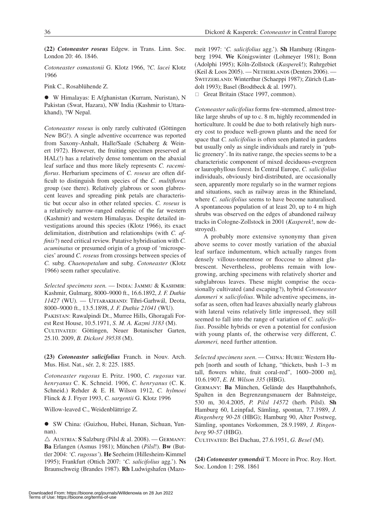**(22)** *Cotoneaster roseus* Edgew. in Trans. Linn. Soc. London 20: 46. 1846.

*Cotoneaster osmastonii* G. Klotz 1966, ?*C. lacei* Klotz 1966

Pink C., Rosablühende Z.

l W Himalayas: E Afghanistan (Kurram, Nuristan), N Pakistan (Swat, Hazara), NW India (Kashmir to Uttarakhand), ?W Nepal.

*Cotoneaster roseus* is only rarely cultivated (Göttingen New BG!). A single adventive occurrence was reported from Saxony-Anhalt, Halle/Saale (Schaberg & Weinert 1972). However, the fruiting specimen preserved at HAL(!) has a relatively dense tomentum on the abaxial leaf surface and thus more likely represents *C. racemiflorus*. Herbarium specimens of *C. roseus* are often difficult to distinguish from species of the *C. multiflorus* group (see there). Relatively glabrous or soon glabrescent leaves and spreading pink petals are characteristic but occur also in other related species. *C. roseus* is a relatively narrow-ranged endemic of the far western (Kashmir) and western Himalayas. Despite detailed investigations around this species (Klotz 1966), its exact delimitation, distribution and relationships (with *C. affinis*?) need critical review. Putative hybridisation with *C. acuminatus* or presumed origin of a group of 'microspecies' around *C. roseus* from crossings between species of *C.* subg. *Chaenopetalum* and subg. *Cotoneaster* (Klotz 1966) seem rather speculative.

*Selected specimens seen.* — India: Jammu & Kashmir: Kashmir, Gulmarg, 8000–9000 ft., 16.6.1892, *J. F. Duthie 11427* (WU). — Uttarakhand: Tihri-Garhwál, Deota, 8000–9000 ft., 13.5.1898, *J. F. Duthie 21041* (WU). Pakistan: Rawalpindi Dt., Murree Hills, Ghoragali Forest Rest House, 10.5.1971, *S. M. A. Kazmi 3183* (M). Cultivated: Göttingen, Neuer Botanischer Garten, 25.10. 2009, *B. Dickoré 39538* (M).

**(23)** *Cotoneaster salicifolius* Franch. in Nouv. Arch. Mus. Hist. Nat., sér. 2, 8: 225. 1885.

*Cotoneaster rugosus* E. Pritz. 1900, *C. rugosus* var. *henryanus* C. K. Schneid. 1906, *C. henryanus* (C. K. Schneid.) Rehder & E. H. Wilson 1912, *C. hylmoei*  Flinck & J. Fryer 1993, *C. sargentii* G. Klotz 1996

Willow-leaved C., Weidenblättrige Z.

● SW China: (Guizhou, Hubei, Hunan, Sichuan, Yunnan).

 $\triangle$  Austria: **S** Salzburg (Pilsl & al. 2008). — GERMANY: **Ba** Erlangen (Asmus 1981); München (*Pilsl*!). **Bw** (Buttler 2004: *'C. rugosus'*). **He** Seeheim (Hillesheim-Kimmel 1995); Frankfurt (Ottich 2007: '*C. salicifolius* agg.'). **Ns** Braunschweig (Brandes 1987). **Rh** Ludwigshafen (Mazomeit 1997: '*C. salicifolius* agg.'). **Sh** Hamburg (Ringenberg 1994. **We** Königswinter (Lohmeyer 1981); Bonn (Adolphi 1995); Köln-Zollstock (*Kasperek*!); Ruhrgebiet (Keil & Loos 2005). — Netherlands (Denters 2006). — Switzerland: Winterthur (Schaeppi 1987); Zürich (Landolt 1993); Basel (Brodtbeck & al. 1997).

 $\Box$  Great Britain (Stace 1997, common).

*Cotoneaster salicifolius* forms few-stemmed, almost treelike large shrubs of up to c. 8 m, highly recommended in horticulture. It could be due to both relatively high nursery cost to produce well-grown plants and the need for space that *C. salicifolius* is often seen planted in gardens but usually only as single individuals and rarely in 'public greenery'. In its native range, the species seems to be a characteristic component of mixed deciduous-evergreen or laurophyllous forest. In Central Europe, *C. salicifolius* individuals, obviously bird-distributed, are occasionally seen, apparently more regularly so in the warmer regions and situations, such as railway areas in the Rhineland, where *C. salicifolius* seems to have become naturalised. A spontaneous population of at least 20, up to 4 m high shrubs was observed on the edges of abandoned railway tracks in Cologne-Zollstock in 2001 (*Kasperek*!, now destroyed).

A probably more extensive synonymy than given above seems to cover mostly variation of the abaxial leaf surface indumentum, which actually ranges from densely villous-tomentose or floccose to almost glabrescent. Nevertheless, problems remain with lowgrowing, arching specimens with relatively shorter and subglabrous leaves. These might comprise the occasionally cultivated (and escaping?), hybrid *Cotoneaster dammeri × salicifolius*. While adventive specimens, insofar as seen, often had leaves abaxially nearly glabrous with lateral veins relatively little impressed, they still seemed to fall into the range of variation of *C. salicifolius*. Possible hybrids or even a potential for confusion with young plants of, the otherwise very different, *C. dammeri,* need further attention.

*Selected specimens seen*. — China: Hubei: Western Hupeh [north and south of Ichang, "thickets, bush 1–3 m tall, flowers white, fruit coral-red", 1600–2000 m], 10.6.1907, *E. H. Wilson 335* (HBG).

Germany: **Ba** München, Gelände des Hauptbahnhofs, Spalten in den Begrenzungsmauern der Bahnsteige, 530 m, 30.4.2005, *P. Pilsl 14572* (herb. Pilsl). **Sh** Hamburg 60, Leinpfad, Sämling, spontan, 7.7.1989, *J. Ringenberg 90-28* (HBG); Hamburg 90, Alter Postweg, Sämling, spontanes Vorkommen, 28.9.1989, *J. Ringenberg 90-57* (HBG).

Cultivated: Bei Dachau, 27.6.1951, *G. Besel* (M).

**(24)** *Cotoneaster symondsii* T. Moore in Proc. Roy. Hort. Soc. London 1: 298. 1861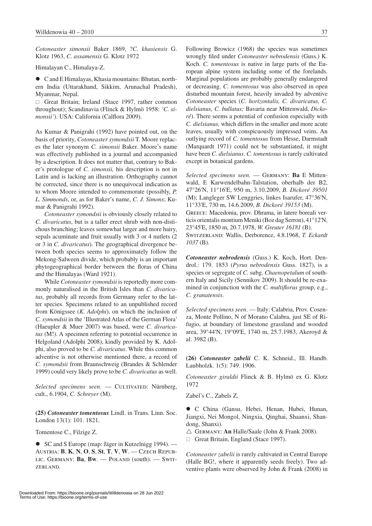*Cotoneaster simonsii* Baker 1869, ?*C. khasiensis* G. Klotz 1963, *C. assamensis* G. Klotz 1972

Himalayan C., Himalaya-Z.

 $\bullet$  C and E Himalayas, Khasia mountains: Bhutan, northern India (Uttarakhand, Sikkim, Arunachal Pradesh), Myanmar, Nepal.

 $\Box$  Great Britain; Ireland (Stace 1997, rather common throughout); Scandinavia (Flinck & Hylmö 1958: *'C. simonsii'*). USA: California (Calflora 2009).

As Kumar & Panigrahi (1992) have pointed out, on the basis of priority, *Cotoneaster symondsii* T. Moore replaces the later synonym *C. simonsii* Baker. Moore's name was effectively published in a journal and accompanied by a description. It does not matter that, contrary to Baker's protologue of *C. simonsii,* his description is not in Latin and is lacking an illustration. Orthography cannot be corrected, since there is no unequivocal indication as to whom Moore intended to commemorate (possibly, *P. L. Simmonds*, or, as for Baker's name, *C. J. Simons*; Kumar & Panigrahi 1992).

*Cotoneaster symondsii* is obviously closely related to *C. divaricatus*, but is a taller erect shrub with non-distichous branching; leaves somewhat larger and more hairy, sepals acuminate and fruit usually with 3 or 4 nutlets (2 or 3 in *C. divaricatus*). The geographical divergence between both species seems to approximately follow the Mekong-Salween divide, which probably is an important phytogeographical border between the floras of China and the Himalayas (Ward 1921).

While *Cotoneaster symondsii* is reportedly more commonly naturalised in the British Isles than *C. divaricatus,* probably all records from Germany refer to the latter species. Specimens related to an unpublished record from Königssee (*K. Adolphi*), on which the inclusion of *C. symondsii* in the 'Illustrated Atlas of the German Flora' (Haeupler & Muer 2007) was based, were *C. divaricatus* (M!). A specimen referring to potential occurrence in Helgoland (Adolphi 2008), kindly provided by K. Adolphi, also proved to be *C. divaricatus*. While this common adventive is not otherwise mentioned there, a record of *C. symondsii* from Braunschweig (Brandes & Schlender 1999) could very likely prove to be *C. divaricatus* as well.

Selected specimens seen. - CULTIVATED: Nürnberg, cult., 6.1904, *C. Schreyer* (M).

**(25)** *Cotoneaster tomentosus* Lindl. in Trans. Linn. Soc. London 13(1): 101. 1821.

Tomentose C., Filzige Z.

● SC and S Europe (map: Jäger in Kutzelnigg 1994). — Austria: **B**, **K**, **N**, **O**, **S**, **St**, **T**, **V**, **W**. — Czech Republic. Germany: **Ba**, **Bw**. — Poland (south). — Swit-ZERLAND.

Following Browicz (1968) the species was sometimes wrongly filed under *Cotoneaster nebrodensis* (Guss.) K. Koch. *C. tomentosus* is native in large parts of the European alpine system including some of the forelands. Marginal populations are probably generally endangered or decreasing. *C. tomentosus* was also observed in open disturbed mountain forest, heavily invaded by adventive *Cotoneaster* species (*C. horizontalis, C. divaricatus, C. dielsianus, C. bullatus;* Bavaria near Mittenwald, *Dickoré*). There seems a potential of confusion especially with *C. dielsianus,* which differs in the smaller and more acute leaves, usually with conspicuously impressed veins. An outlying record of *C. tomentosus* from Hesse, Darmstadt (Marquardt 1971) could not be substantiated, it might have been *C. dielsianus*. *C. tomentosus* is rarely cultivated except in botanical gardens.

*Selected specimens seen.* — Germany: **Ba** E Mittenwald, E Karwendelbahn-Talstation, oberhalb der B2, 47°26'N, 11°16'E, 950 m, 3.10.2009, *B. Dickoré 39501* (M); Langleger SW Lenggries, linkes Isarufer, 47°36'N, 11°33'E, 730 m, 14.6.2009, *B. Dickoré 39153* (M). GREECE: Macedonia, prov. Dhrama, in latere boreali verticis orientalis montium Meniki (Boz dag Serron), 41°12'N, 23°45'E, 1850 m, 20.7.1978, *W. Greuter 16181* (B). Switzerland: Wallis, Derborence, 4.8.1968, *T. Eckardt 1037* (B).

*Cotoneaster nebrodensis* (Guss.) K. Koch, Hort. Dendrol.: 179. 1853 (*Pyrus nebrodensis* Guss. 1827), is a species or segregate of *C.* subg. *Chaenopetalum* of southern Italy and Sicily (Sennikov 2009). It should be re-examined in conjunction with the *C. multiflorus* group, e.g., *C. granatensis*.

*Selected specimens seen*. — Italy: Calabria, Prov. Cosenza, Monte Pollino, N of Morano Calabra, just SE of Rifugio, at boundary of limestone grassland and wooded area, 39°44'N, 19°09'E, 1740 m, 25.7.1983, Akeroyd & al. 3982 (B).

**(26)** *Cotoneaster zabelii* C. K. Schneid., Ill. Handb. Laubholzk. 1(5): 749. 1906.

*Cotoneaster giraldii* Flinck & B. Hylmö ex G. Klotz 1972

Zabel's C., Zabels Z.

 $\bullet$  C China (Gansu, Hebei, Henan, Hubei, Hunan, Jiangxi, Nei Mongol, Ningxia, Qinghai, Shaanxi, Shandong, Shanxi).

 $\triangle$  GERMANY: **An** Halle/Saale (John & Frank 2008).

 $\Box$  Great Britain, England (Stace 1997).

*Cotoneaster zabelii* is rarely cultivated in Central Europe (Halle BG!, where it apparently seeds freely). Two adventive plants were observed by John & Frank (2008) in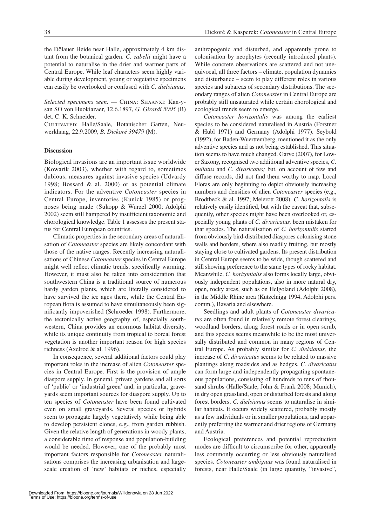the Dölauer Heide near Halle, approximately 4 km distant from the botanical garden. *C. zabelii* might have a potential to naturalise in the drier and warmer parts of Central Europe. While leaf characters seem highly variable during development, young or vegetative specimens can easily be overlooked or confused with *C. dielsianus*.

*Selected specimens seen*. — China: Shaanxi: Kan-ysan SO von Huokiazaer, 12.6.1897, *G. Girardi 5005* (B) det. C. K. Schneider.

CULTIVATED: Halle/Saale, Botanischer Garten, Neuwerkhang, 22.9.2009, *B. Dickoré 39479* (M).

## **Discussion**

Biological invasions are an important issue worldwide (Kowarik 2003), whether with regard to, sometimes dubious, measures against invasive species (Udvardy 1998; Bossard & al. 2000) or as potential climate indicators. For the adventive *Cotoneaster* species in Central Europe, inventories (Kunick 1985) or prognoses being made (Sukopp & Wurzel 2000; Adolphi 2002) seem still hampered by insufficient taxonomic and chorological knowledge. Table 1 assesses the present status for Central European countries.

Climatic properties in the secondary areas of naturalisation of *Cotoneaster* species are likely concordant with those of the native ranges. Recently increasing naturalisations of Chinese *Cotoneaster* species in Central Europe might well reflect climatic trends, specifically warming. However, it must also be taken into consideration that southwestern China is a traditional source of numerous hardy garden plants, which are literally considered to have survived the ice ages there, while the Central European flora is assumed to have simultaneously been significantly impoverished (Schroeder 1998). Furthermore, the tectonically active geography of, especially southwestern, China provides an enormous habitat diversity, while its unique continuity from tropical to boreal forest vegetation is another important reason for high species richness (Axelrod & al. 1996).

In consequence, several additional factors could play important roles in the increase of alien *Cotoneaster* species in Central Europe. First is the provision of ample diaspore supply. In general, private gardens and all sorts of 'public' or 'industrial green' and, in particular, graveyards seem important sources for diaspore supply. Up to ten species of *Cotoneaster* have been found cultivated even on small graveyards. Several species or hybrids seem to propagate largely vegetatively while being able to develop persistent clones, e.g., from garden rubbish. Given the relative length of generations in woody plants, a considerable time of response and population-building would be needed. However, one of the probably most important factors responsible for *Cotoneaster* naturalisations comprises the increasing urbanisation and largescale creation of 'new' habitats or niches, especially anthropogenic and disturbed, and apparently prone to colonisation by neophytes (recently introduced plants). While concrete observations are scattered and not unequivocal, all three factors – climate, population dynamics and disturbance – seem to play different roles in various species and subareas of secondary distributions. The secondary ranges of alien *Cotoneaster* in Central Europe are probably still unsaturated while certain chorological and ecological trends seem to emerge.

*Cotoneaster horizontalis* was among the earliest species to be considered naturalised in Austria (Forstner & Hübl 1971) and Germany (Adolphi 1977). Seybold (1992), for Baden-Wuerttemberg, mentioned it as the only adventive species and as not being established. This situation seems to have much changed. Garve (2007), for Lower Saxony, recognised two additional adventive species, *C. bullatus* and *C. divaricatus;* but, on account of few and diffuse records, did not find them worthy to map. Local Floras are only beginning to depict obviously increasing numbers and densities of alien *Cotoneaster* species (e.g., Brodtbeck & al. 1997; Meierott 2008). *C. horizontalis* is relatively easily identified, but with the caveat that, subsequently, other species might have been overlooked or, especially young plants of *C. divaricatus,* been mistaken for that species. The naturalisation of *C. horizontalis* started from obviously bird-distributed diaspores colonising stone walls and borders, where also readily fruiting, but mostly staying close to cultivated gardens. Its present distribution in Central Europe seems to be wide, though scattered and still showing preference to the same types of rocky habitat. Meanwhile, *C. horizontalis* also forms locally large, obviously independent populations, also in more natural dry, open, rocky areas, such as on Helgoland (Adolphi 2008), in the Middle Rhine area (Kutzelnigg 1994, Adolphi pers. comm.), Bavaria and elsewhere.

Seedlings and adult plants of *Cotoneaster divaricatus* are often found in relatively remote forest clearings, woodland borders, along forest roads or in open scrub, and this species seems meanwhile to be the most universally distributed and common in many regions of Central Europe. As probably similar for *C. dielsianus,* the increase of *C. divaricatus* seems to be related to massive plantings along roadsides and as hedges. *C. divaricatus* can form large and independently propagating spontaneous populations, consisting of hundreds to tens of thousand shrubs (Halle/Saale, John & Frank 2008; Munich), in dry open grassland, open or disturbed forests and along forest borders. *C. dielsianus* seems to naturalise in similar habitats. It occurs widely scattered, probably mostly as a few individuals or in smaller populations, and apparently preferring the warmer and drier regions of Germany and Austria.

Ecological preferences and potential reproduction modes are difficult to circumscribe for other, apparently less commonly occurring or less obviously naturalised species. *Cotoneaster ambiguus* was found naturalised in forests, near Halle/Saale (in large quantity, "invasive",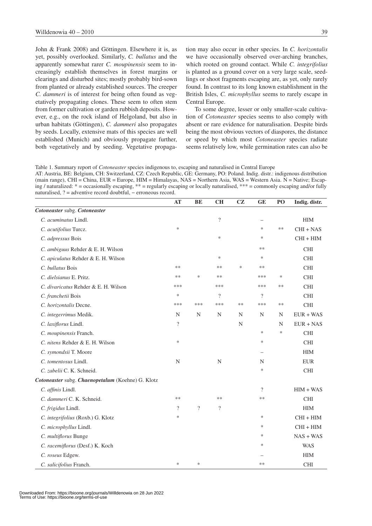John & Frank 2008) and Göttingen. Elsewhere it is, as yet, possibly overlooked. Similarly, *C. bullatus* and the apparently somewhat rarer *C. moupinensis* seem to increasingly establish themselves in forest margins or clearings and disturbed sites; mostly probably bird-sown from planted or already established sources. The creeper *C. dammeri* is of interest for being often found as vegetatively propagating clones. These seem to often stem from former cultivation or garden rubbish deposits. However, e.g., on the rock island of Helgoland, but also in urban habitats (Göttingen), *C. dammeri* also propagates by seeds. Locally, extensive mats of this species are well established (Munich) and obviously propagate further, both vegetatively and by seeding. Vegetative propagation may also occur in other species. In *C. horizontalis* we have occasionally observed over-arching branches, which rooted on ground contact. While *C. integrifolius* is planted as a ground cover on a very large scale, seedlings or shoot fragments escaping are, as yet, only rarely found. In contrast to its long known establishment in the British Isles, *C. microphyllus* seems to rarely escape in Central Europe.

To some degree, lesser or only smaller-scale cultivation of *Cotoneaster* species seems to also comply with absent or rare evidence for naturalisation. Despite birds being the most obvious vectors of diaspores, the distance or speed by which most *Cotoneaster* species radiate seems relatively low, while germination rates can also be

Table 1. Summary report of *Cotoneaster* species indigenous to, escaping and naturalised in Central Europe AT: Austria, BE: Belgium, CH: Switzerland, CZ: Czech Republic, GE: Germany, PO: Poland. Indig. distr.: indigenous distribution (main range), CHI = China, EUR = Europe, HIM = Himalayas, NAS = Northern Asia, WAS = Western Asia. N = Native; Escaping / naturalized: \* = occasionally escaping, \*\* = regularly escaping or locally naturalised, \*\*\* = commonly escaping and/or fully naturalised, ? = adventive record doubtful, − erroneous record.

|                                                   | AT          | <b>BE</b>                | <b>CH</b>                | CZ     | <b>GE</b>                | PO     | Indig. distr. |
|---------------------------------------------------|-------------|--------------------------|--------------------------|--------|--------------------------|--------|---------------|
| Cotoneaster subg. Cotoneaster                     |             |                          |                          |        |                          |        |               |
| C. acuminatus Lindl.                              |             |                          | $\overline{\mathcal{L}}$ |        |                          |        | <b>HIM</b>    |
| C. acutifolius Turcz.                             | ∗           |                          |                          |        | *                        | $**$   | $CHI + NAS$   |
| C. adpressus Bois                                 |             |                          | $\ast$                   |        | $\ast$                   |        | $CHI + HIM$   |
| C. ambiguus Rehder & E. H. Wilson                 |             |                          |                          |        | **                       |        | <b>CHI</b>    |
| C. apiculatus Rehder & E. H. Wilson               |             |                          | $\ast$                   |        | $\ast$                   |        | <b>CHI</b>    |
| C. bullatus Bois                                  | **          |                          | $**$                     | $\ast$ | **                       |        | <b>CHI</b>    |
| C. dielsianus E. Pritz.                           | **          | $\ast$                   | $**$                     |        | ***                      | $\ast$ | <b>CHI</b>    |
| C. divaricatus Rehder & E. H. Wilson              | ***         |                          | ***                      |        | ***                      | **     | <b>CHI</b>    |
| C. franchetii Bois                                | $\ast$      |                          | $\gamma$                 |        | $\gamma$                 |        | <b>CHI</b>    |
| C. horizontalis Decne.                            | ***         | ***                      | ***                      | **     | ***                      | **     | <b>CHI</b>    |
| C. integerrimus Medik.                            | $\mathbf N$ | N                        | N                        | N      | N                        | N      | $EUR + WAS$   |
| C. laxiflorus Lindl.                              | $\gamma$    |                          |                          | N      |                          | N      | $EUR + NAS$   |
| C. moupinensis Franch.                            |             |                          |                          |        | $\ast$                   | $\ast$ | <b>CHI</b>    |
| C. nitens Rehder & E. H. Wilson                   | $\ast$      |                          |                          |        | ∗                        |        | <b>CHI</b>    |
| C. symondsii T. Moore                             |             |                          |                          |        | $\overline{\phantom{0}}$ |        | <b>HIM</b>    |
| C. tomentosus Lindl.                              | $\mathbf N$ |                          | N                        |        | N                        |        | <b>EUR</b>    |
| C. zabelii C. K. Schneid.                         |             |                          |                          |        | $\ast$                   |        | <b>CHI</b>    |
| Cotoneaster subg. Chaenopetalum (Koehne) G. Klotz |             |                          |                          |        |                          |        |               |
| C. affinis Lindl.                                 |             |                          |                          |        | $\overline{?}$           |        | $HIM + WAS$   |
| C. dammeri C. K. Schneid.                         | **          |                          | $**$                     |        | **                       |        | <b>CHI</b>    |
| C. frigidus Lindl.                                | $\gamma$    | $\overline{\mathcal{L}}$ | $\overline{\cdot}$       |        |                          |        | <b>HIM</b>    |
| C. integrifolius (Roxb.) G. Klotz                 | $\ast$      |                          |                          |        | $\ast$                   |        | $CHI + HIM$   |
| C. microphyllus Lindl.                            |             |                          |                          |        | $\ast$                   |        | $CHI + HIM$   |
| C. multiflorus Bunge                              |             |                          |                          |        | $\ast$                   |        | $NAS + WAS$   |
| C. racemiflorus (Desf.) K. Koch                   |             |                          |                          |        | $\ast$                   |        | <b>WAS</b>    |
| C. roseus Edgew.                                  |             |                          |                          |        |                          |        | <b>HIM</b>    |
| C. salicifolius Franch.                           | $\ast$      | $\ast$                   |                          |        | **                       |        | <b>CHI</b>    |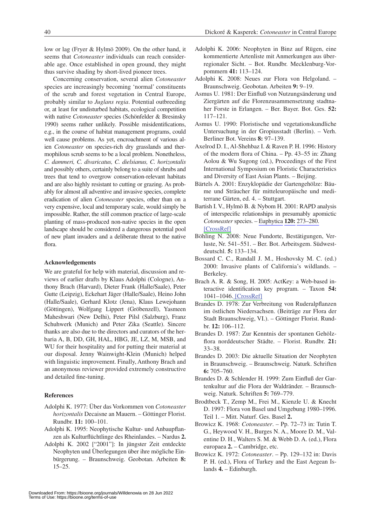low or lag (Fryer & Hylmö 2009). On the other hand, it seems that *Cotoneaster* individuals can reach considerable age. Once established in open ground, they might thus survive shading by short-lived pioneer trees.

Concerning conservation, several alien *Cotoneaster* species are increasingly becoming 'normal' constituents of the scrub and forest vegetation in Central Europe, probably similar to *Juglans regia*. Potential outbreeding or, at least for undisturbed habitats, ecological competition with native *Cotoneaster* species (Schönfelder & Bresinsky 1990) seems rather unlikely. Possible misidentifications, e.g., in the course of habitat management programs, could well cause problems. As yet, encroachment of various alien *Cotoneaster* on species-rich dry grasslands and thermophilous scrub seems to be a local problem. Nonetheless, *C. dammeri, C. divaricatus, C. dielsianus, C. horizontalis* and possibly others, certainly belong to a suite of shrubs and trees that tend to overgrow conservation-relevant habitats and are also highly resistant to cutting or grazing. As probably for almost all adventive and invasive species, complete eradication of alien *Cotoneaster* species, other than on a very expensive, local and temporary scale, would simply be impossible. Rather, the still common practice of large-scale planting of mass-produced non-native species in the open landscape should be considered a dangerous potential pool of new plant invaders and a deliberate threat to the native flora.

## **Acknowledgements**

We are grateful for help with material, discussion and reviews of earlier drafts by Klaus Adolphi (Cologne), Anthony Brach (Harvard), Dieter Frank (Halle/Saale), Peter Gutte (Leipzig), Eckehart Jäger (Halle/Saale), Heino John (Halle/Saale), Gerhard Klotz (Jena), Klaus Lewejohann (Göttingen), Wolfgang Lippert (Gröbenzell), Yasmeen Maheshwari (New Delhi), Peter Pilsl (Salzburg), Franz Schuhwerk (Munich) and Peter Zika (Seattle). Sincere thanks are also due to the directors and curators of the herbaria A, B, DD, GH, HAL, HBG, JE, LZ, M, MSB, and WU for their hospitality and for putting their material at our disposal. Jenny Wainwight-Klein (Munich) helped with linguistic improvement. Finally, Anthony Brach and an anonymous reviewer provided extremely constructive and detailed fine-tuning.

#### **References**

- Adolphi K. 1977: Über das Vorkommen von *Cotoneaster horizontalis* Decaisne an Mauern. – Göttinger Florist. Rundbr. **11:** 100–101.
- Adolphi K. 1995: Neophytische Kultur- und Anbaupflanzen als Kulturflüchtlinge des Rheinlandes. – Nardus **2.**
- Adolphi K. 2002 ["2001"]: In jüngster Zeit entdeckte Neophyten und Überlegungen über ihre mögliche Einbürgerung. – Braunschweig. Geobotan. Arbeiten **8:** 15–25.
- Adolphi K. 2006: Neophyten in Binz auf Rügen, eine kommentierte Artenliste mit Anmerkungen aus überregionaler Sicht. – Bot. Rundbr. Mecklenburg-Vorpommern **41:** 113–124.
- Adolphi K. 2008: Neues zur Flora von Helgoland. Braunschweig. Geobotan. Arbeiten **9:** 9–19.
- Asmus U. 1981: Der Einfluß von Nutzungsänderung und Ziergärten auf die Florenzusammensetzung stadtnaher Forste in Erlangen. – Ber. Bayer. Bot. Ges. **52:**  117–121.
- Asmus U. 1990: Floristische und vegetationskundliche Untersuchung in der Gropiusstadt (Berlin). – Verh. Berliner Bot. Vereins **8:** 97–139.
- Axelrod D. I., Al-Shehbaz I. & Raven P. H. 1996: History of the modern flora of China. – Pp. 43–55 in: Zhang Aolou & Wu Sugong (ed.), Proceedings of the First International Symposium on Floristic Characteristics and Diversity of East Asian Plants. – Beijing.
- Bärtels A. 2001: Enzyklopädie der Gartengehölze: Bäume und Sträucher für mitteleuropäische und mediterrane Gärten, ed. 4. – Stuttgart.
- Bartish I. V., Hylmö B. & Nybom H. 2001: RAPD analysis of interspecific relationships in presumably apomictic *Cotoneaster* species. – [Euphytica](http://www.ingentaconnect.com/content/external-references?article=0014-2336()120L.273[aid=7759957]) **[120:](http://www.ingentaconnect.com/content/external-references?article=0014-2336()120L.273[aid=7759957])** [273–280.](http://www.ingentaconnect.com/content/external-references?article=0014-2336()120L.273[aid=7759957]) [\[CrossRef\]](http://dx.doi.org/10.1023/A:1017585600386)
- Böhling N. 2008: Neue Fundorte, Bestätigungen, Verluste, Nr. 541–551. – Ber. Bot. Arbeitsgem. Südwestdeutschl. **5:** 133–134.
- Bossard C. C., Randall J. M., Hoshovsky M. C. (ed.) 2000: Invasive plants of California's wildlands. – Berkeley.
- Brach A. R. & Song, H. 2005: ActKey: a Web-based interactive identification key program. – Taxon **54:**  [1041–1046. \[CrossRef\]](http://dx.doi.org/10.2307/25065490)
- Brandes D. 1978: Zur Verbreitung von Ruderalpflanzen im östlichen Niedersachsen. (Beiträge zur Flora der Stadt Braunschweig, VI.). – Göttinger Florist. Rundbr. **12:** 106–112.
- Brandes D. 1987: Zur Kenntnis der spontanen Gehölzflora norddeutscher Städte. – Florist. Rundbr. **21:** 33–38.
- Brandes D. 2003: Die aktuelle Situation der Neophyten in Braunschweig. – Braunschweig. Naturk. Schriften **6:** 705–760.
- Brandes D. & Schlender H. 1999: Zum Einfluß der Gartenkultur auf die Flora der Waldränder. – Braunschweig. Naturk. Schriften **5:** 769–779.
- Brodtbeck T., Zemp M., Frei M., Kienzle U. & Knecht D. 1997: Flora von Basel und Umgebung 1980–1996. Teil 1. – Mitt. Naturf. Ges. Basel **2.**
- Browicz K. 1968: *Cotoneaster*. Pp. 72–73 in: Tutin T. G., Heywood V. H., Burges N. A., Moore D. M., Valentine D. H., Walters S. M. & Webb D. A. (ed.), Flora europaea **2.** – Cambridge, etc.
- Browicz K. 1972: *Cotoneaster*. Pp. 129–132 in: Davis P. H. (ed.), Flora of Turkey and the East Aegean Islands **4.** – Edinburgh.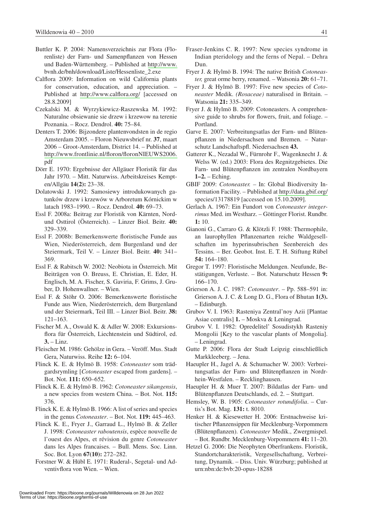- Buttler K. P. 2004: Namensverzeichnis zur Flora (Florenliste) der Farn- und Samenpflanzen von Hessen und Baden-Württemberg. – Published at [http://www.](http://www) bvnh.de/bnh/download/Liste/Hessenliste\_2.exe
- Calflora 2009: Information on wild California plants for conservation, education, and appreciation. – Published at <http://www.calflora.org/> [accessed on 28.8.2009]
- Czekalski M. & Wyrzykiewicz-Raszewska M. 1992: Naturalne obsiewanie sie drzew i krzewow na terenie Poznania. – Rocz. Dendrol. **40:** 75–84.
- Denters T. 2006: Bijzondere plantenvondsten in de regio Amsterdam 2005. – Floron Nieuwsbrief nr. **37**, maart 2006 – Groot-Amsterdam, District 14. – Published at [http://www.frontlinie.nl/floron/floronNIEUWS2006.](http://www.frontlinie.nl/floron/floronnieUWs2006) pdf
- Dörr E. 1970: Ergebnisse der Allgäuer Floristik für das Jahr 1970. – Mitt. Naturwiss. Arbeitskreises Kempten/Allgäu **14(2):** 23–38.
- Dolatowski J. 1992: Samosiewy introdukowanych gatunków drzew i krzewów w Arboretum Kórnickim w latach 1983–1990. – Rocz. Dendrol. **40:** 69–73.
- Essl F. 2008a: Beitrag zur Floristik von Kärnten, Nordund Osttirol (Österreich). – Linzer Biol. Beitr. **40:**  329–339.
- Essl F. 2008b: Bemerkenswerte floristische Funde aus Wien, Niederösterreich, dem Burgenland und der Steiermark, Teil V. – Linzer Biol. Beitr. **40:** 341– 369.
- Essl F. & Rabitsch W. 2002: Neobiota in Österreich. Mit Beiträgen von O. Breuss, E. Christian, E. Eder, H. Englisch, M. A. Fischer, S. Gaviria, F. Grims, J. Gruber, D. Hohenwallner. – Wien.
- Essl F. & Stöhr O. 2006: Bemerkenswerte floristische Funde aus Wien, Niederösterreich, dem Burgenland und der Steiermark, Teil III. – Linzer Biol. Beitr. **38:**  121–163.
- Fischer M. A., Oswald K. & Adler W. 2008: Exkursionsflora für Österreich, Liechtenstein und Südtirol, ed. **3.** – Linz.
- Fleischer M. 1986: Gehölze in Gera. Veröff. Mus. Stadt Gera, Naturwiss. Reihe **12:** 6–104.
- Flinck K. E. & Hylmö B. 1958: *Cotoneaster* som trädgardsrymling [*Cotoneaster* escaped from gardens]. – Bot. Not. **111:** 650–652.
- Flinck K. E. & Hylmö B. 1962: *Cotoneaster sikangensis*, a new species from western China. – Bot. Not. **115:**  376.
- Flinck K. E. & Hylmö B. 1966: A list of series and species in the genus *Cotoneaster*. – Bot. Not. **119:** 445–463.
- Flinck K. E., Fryer J., Garraud L., Hylmö B. & Zeller J. 1998: *Cotoneaster raboutensis*, espèce nouvelle de l'ouest des Alpes, et révision du genre *Cotoneaster* dans les Alpes francaises. – Bull. Mens. Soc. Linn. Soc. Bot. Lyon **67(10):** 272–282.
- Forstner W. & Hübl E. 1971: Ruderal-, Segetal- und Adventivflora von Wien. – Wien.
- Fraser-Jenkins C. R. 1997: New species syndrome in Indian pteridology and the ferns of Nepal. – Dehra Dun.
- Fryer J. & Hylmö B. 1994: The native British *Cotoneaster,* great orme berry, renamed. – Watsonia **20:** 61–71.
- Fryer J. & Hylmö B. 1997: Five new species of *Cotoneaster* Medik. *(Rosaceae)* naturalised in Britain. – Watsonia **21:** 335–349.
- Fryer J. & Hylmö B. 2009: Cotoneasters. A comprehensive guide to shrubs for flowers, fruit, and foliage. – Portland.
- Garve E. 2007: Verbreitungsatlas der Farn- und Blütenpflanzen in Niedersachsen und Bremen. – Naturschutz Landschaftspfl. Niedersachsen **43.**
- Gatterer K., Nezadal W., Fürnrohr F., Wagenknecht J. & Welss W. (ed.) 2003: Flora des Regnitzgebietes. Die Farn- und Blütenpflanzen im zentralen Nordbayern **1–2.** – Eching.
- GBIF 2009: *Cotoneaster. –* In: Global Biodiversity Information Facility. – Published at<http://data.gbif.org/> species/13178819 [accessed on 15.10.2009].
- Gerlach A. 1967: Ein Fundort von *Cotoneaster integerrimus* Med. im Westharz. – Göttinger Florist. Rundbr. **1:** 10.
- Gianoni G., Carraro G. & Klötzli F. 1988: Thermophile, an laurophyllen Pflanzenarten reiche Waldgesellschaften im hyperinsubrischen Seenbereich des Tessins. – Ber. Geobot. Inst. E. T. H. Stiftung Rübel **54:** 164–180.
- Gregor T. 1997: Floristische Meldungen. Neufunde, Bestätigungen, Verluste. – Bot. Naturschutz Hessen **9:**  166–170.
- Grierson A. J. C. 1987: *Cotoneaster*. Pp. 588–591 in: Grierson A. J. C. & Long D. G., Flora of Bhutan **1(3).**  – Edinburgh.
- Grubov V. I. 1963: Rasteniya Zentral'noy Azii [Plantae Asiae centralis] **1.** – Moskva & Leningrad.
- Grubov V. I. 1982: Opredelitel' Sosudistykh Rasteniy Mongolii [Key to the vascular plants of Mongolia]. – Leningrad.
- Gutte P. 2006: Flora der Stadt Leipzig einschließlich Markkleeberg. – Jena.
- Haeupler H., Jagel A. & Schumacher W. 2003: Verbreitungsatlas der Farn- und Blütenpflanzen in Nordrhein-Westfalen. – Recklinghausen.
- Haeupler H. & Muer T. 2007: Bildatlas der Farn- und Blütenpflanzen Deutschlands, ed. 2. – Stuttgart.
- Hemsley, W. B. 1905: *Cotoneaster rotundifolia*. Curtis's Bot. Mag. **131:** t. 8010.
- Henker H. & Kiesewetter H. 2006: Erstnachweise kritischer Pflanzensippen für Mecklenburg-Vorpommern (Blütenpflanzen). *Cotoneaster* Medik., Zwergmispel. – Bot. Rundbr. Mecklenburg-Vorpommern **41:** 11–20.
- Hetzel G. 2006: Die Neophyten Oberfrankens. Floristik, Standortcharakteristik, Vergesellschaftung, Verbreitung, Dynamik. – Diss. Univ. Würzburg; published at urn:nbn:de:bvb:20-opus-18288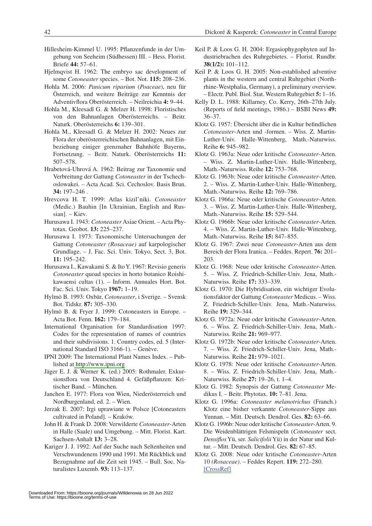- Hillesheim-Kimmel U. 1995: Pflanzenfunde in der Umgebung von Seeheim (Südhessen) III. – Hess. Florist. Briefe **44:** 57–61.
- Hjelmqvist H. 1962: The embryo sac development of some *Cotoneaster* species. – Bot. Not. **115:** 208–236.
- Hohla M. 2006: *Panicum riparium* (*Poaceae*), neu für Österreich, und weitere Beiträge zur Kenntnis der Adventivflora Oberösterreich. – Neilreichia **4:** 9–44.
- Hohla M., Kleesadl G. & Melzer H. 1998: Floristisches von den Bahnanlagen Oberösterreichs. – Beitr. Naturk. Oberösterreichs **6:** 139–301.
- Hohla M., Kleesadl G. & Melzer H. 2002: Neues zur Flora der oberösterreichischen Bahnanlagen, mit Einbeziehung einiger grenznaher Bahnhöfe Bayerns, Fortsetzung. – Beitr. Naturk. Oberösterreichs **11:**  507–578.
- Hrabetová-Uhrová A. 1962: Beitrag zur Taxonomie und Verbreitung der Gattung *Cotoneaster* in der Tschechoslowakei. – Acta Acad. Sci. Cechoslov. Basis Brun. **34:** 197–246 .
- Hrevcova H. T. 1999: Atlas kizil'niki. *Cotoneaster*  (Medic.) Bauhin [In Ukrainian, English and Russian]. – Kiev.
- Hurusawa I. 1943: *Cotoneaster* Asiae Orient. Acta Phytotax. Geobot. **13:** 225–237.
- Hurusawa I. 1973: Taxonomische Untersuchungen der Gattung *Cotoneaster (Rosaceae)* auf karpologischer Grundlage. – J. Fac. Sci. Univ. Tokyo, Sect. 3, Bot. **11:** 195–242.
- Hurusawa I., Kawakami S. & Ito Y. 1967: Revisio generis *Cotoneaster* quoad species in horto botanico Roishikawaensi cultas (1). – Inform. Annuales Hort. Bot. Fac. Sci. Univ. Tokyo **1967:** 1–19.
- Hylmö B. 1993: Oxbär, *Cotoneaster*, i Sverige. Svensk Bot. Tidskr. **87:** 305–330.
- Hylmö B. & Fryer J. 1999: Cotoneasters in Europe. Acta Bot. Fenn. **162:** 179–184.
- International Organisation for Standardisation 1997: Codes for the representation of names of countries and their subdivisions. 1. Country codes, ed. 5 (International Standard ISO 3166-1). – Genève.
- IPNI 2009: The International Plant Names Index. Published at<http://www.ipni.org>
- Jäger E. J. & Werner K. (ed.) 2005: Rothmaler. Exkursionsflora von Deutschland 4. Gefäßpflanzen: Kritischer Band. – München.
- Janchen E. 1977: Flora von Wien, Niederösterreich und Nordburgenland, ed. 2. – Wien.
- Jerzak E. 2007: Irgi uprawiane w Polsce [Cotoneasters cultivated in Poland]. – Kraków.
- John H. & Frank D. 2008: Verwilderte *Cotoneaster*-Arten in Halle (Saale) und Umgebung. – Mitt. Florist. Kart. Sachsen-Anhalt **13:** 3–28.
- Kariger J. J. 1992: Auf der Suche nach Seltenheiten und Verschwundenem 1990 und 1991. Mit Rückblick und Bezugnahme auf die Zeit seit 1945. – Bull. Soc. Naturalistes Luxemb. **93:** 113–137.
- Keil P. & Loos G. H. 2004: Ergasiophygophyten auf Industriebrachen des Ruhrgebietes. – Florist. Rundbr. **38(1/2):** 101–112.
- Keil P. & Loos G. H. 2005: Non-established adventive plants in the western and central Ruhrgebiet (Northrhine-Westphalia, Germany), a preliminary overview. – Electr. Publ. Biol. Stat. Western Ruhrgebiet **5:** 1–16.
- Kelly D. L. 1988: Killarney, Co. Kerry, 26th–27th July. (Reports of field meetings, 1986.) – BSBI News **49:**  36–37.
- Klotz G. 1957: Übersicht über die in Kultur befindlichen *Cotoneaster*-Arten und -formen. – Wiss. Z. Martin-Luther-Univ. Halle-Wittenberg, Math.-Naturwiss. Reihe **6:** 945–982.
- Klotz G. 1963a: Neue oder kritische *Cotoneaster*-Arten. – Wiss. Z. Martin-Luther-Univ. Halle-Wittenberg, Math.-Naturwiss. Reihe **12:** 753–768.
- Klotz G. 1963b: Neue oder kritische *Cotoneaster*-Arten. 2. – Wiss. Z. Martin-Luther-Univ. Halle-Wittenberg, Math.-Naturwiss. Reihe **12:** 769–786.
- Klotz G. 1966a: Neue oder kritische *Cotoneaster*-Arten. 3. – Wiss. Z. Martin-Luther-Univ. Halle-Wittenberg, Math.-Naturwiss. Reihe **15:** 529–544.
- Klotz G. 1966b: Neue oder kritische *Cotoneaster*-Arten. 4. – Wiss. Z. Martin-Luther-Univ. Halle-Wittenberg, Math.-Naturwiss. Reihe **15:** 847–855.
- Klotz G. 1967: Zwei neue *Cotoneaster*-Arten aus dem Bereich der Flora Iranica. – Feddes. Repert. **76:** 201– 203.
- Klotz G. 1968: Neue oder kritische *Cotoneaster*-Arten. 5. – Wiss. Z. Friedrich-Schiller-Univ. Jena, Math.- Naturwiss. Reihe **17:** 333–339.
- Klotz G. 1970: Die Hybridisation, ein wichtiger Evolutionsfaktor der Gattung *Cotoneaster* Medicus. – Wiss. Z. Friedrich-Schiller-Univ. Jena, Math.-Naturwiss. Reihe **19:** 329–344.
- Klotz G. 1972a: Neue oder kritische *Cotoneaster*-Arten. 6. – Wiss. Z. Friedrich-Schiller-Univ. Jena, Math.- Naturwiss. Reihe **21:** 969–977.
- Klotz G. 1972b: Neue oder kritische *Cotoneaster*-Arten. 7. – Wiss. Z. Friedrich-Schiller-Univ. Jena, Math.- Naturwiss. Reihe **21:** 979–1021.
- Klotz G. 1978: Neue oder kritische *Cotoneaster*-Arten. 8. – Wiss. Z. Friedrich-Schiller-Univ. Jena, Math.- Naturwiss. Reihe **27:** 19–26, t. 1–4.
- Klotz G. 1982: Synopsis der Gattung *Cotoneaster* Medikus I. – Beitr. Phytotax. **10:** 7–81. Jena.
- Klotz G. 1996a: *Cotoneaster melanotrichus* (Franch.) Klotz eine bisher verkannte *Cotoneaster*-Sippe aus Yunnan. – Mitt. Deutsch. Dendrol. Ges. **82:** 63–66.
- Klotz G. 1996b: Neue oder kritische *Cotoneaster*-Arten. 9. Die Weidenblättrigen Felsmispeln (*Cotoneaster* sect. *Densiflos* Yü, ser. *Salicifolii* Yü) in der Natur und Kultur. – Mitt. Deutsch. Dendrol. Ges. **82:** 67–85.
- Klotz G. 2008: Neue oder kritische *Cotoneaster*-Arten 10 *(Rosaceae)*. – Feddes Repert. **119:** 272–280. [\[CrossRef\]](http://dx.doi.org/10.1002/fedr.200811168)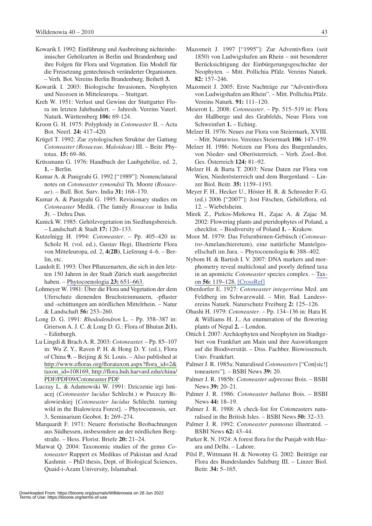- Kowarik I. 1992: Einführung und Ausbreitung nichteinheimischer Gehölzarten in Berlin und Brandenburg und ihre Folgen für Flora und Vegetation. Ein Modell für die Freisetzung gentechnisch veränderter Organismen. – Verh. Bot. Vereins Berlin Brandenburg, Beiheft **3.**
- Kowarik I. 2003: Biologische Invasionen, Neophyten und Neozoen in Mitteleuropa. – Stuttgart.
- Kreh W. 1951: Verlust und Gewinn der Stuttgarter Flora im letzten Jahrhundert. – Jahresh. Vereins Vaterl. Naturk. Württemberg **106:** 69-124.
- Kroon G. H. 1975: Polyploidy in *Cotoneaster* II. Acta Bot. Neerl. **24:** 417–420.
- Krügel T. 1992: Zur zytologischen Struktur der Gattung *Cotoneaster (Rosaceae, Maloideae)* III. – Beitr. Phytotax. **15:** 69–86.
- Krüssmann G. 1976: Handbuch der Laubgehölze, ed. 2, **1.** – Berlin.
- Kumar A. & Panigrahi G. 1992 ["1989"]: Nomenclatural notes on *Cotoneaster symondsii* Th. Moore (*Rosaceae*). – Bull. Bot. Surv. India **31:** 168–170.
- Kumar A. & Panigrahi G. 1995: Revisionary studies on *Cotoneaster* Medik. (The family *Rosaceae* in India **3**). – Dehra Dun.
- Kunick W. 1985: Gehölzvegetation im Siedlungsbereich. – Landschaft & Stadt **17:** 120–133.
- Kutzelnigg H. 1994: *Cotoneaster*. Pp. 405–420 in: Scholz H. (vol. ed.), Gustav Hegi, Illustrierte Flora von Mitteleuropa, ed. 2, **4(2B)**, Lieferung 4–6. – Berlin, etc.
- Landolt E. 1993: Über Pflanzenarten, die sich in den letzten 150 Jahren in der Stadt Zürich stark ausgebreitet haben. – [Phytocoenologia](http://www.ingentaconnect.com/content/external-references?article=0340-269x()23L.651[aid=9229972]) **23:** 651–663.
- Lohmeyer W. 1981: Über die Flora und Vegetation der dem Uferschutz dienenden Bruchsteinmauern, -pflaster und -schüttungen am nördlichen Mittelrhein. – Natur & Landschaft **56:** 253–260.
- Long D. G. 1991: *Rhododendron* L. Pp. 358–387 in: Grierson A. J. C. & Long D. G.: Flora of Bhutan **2(1).** – Edinburgh.
- Lu Lingdi & Brach A. R. 2003: *Cotoneaster.* Pp. 85–107 in: Wu Z. Y., Raven P. H. & Hong D. Y. (ed.), Flora of China **9.** – Beijing & St. Louis. – Also published at [http://www.efloras.org/florataxon.aspx?flora\\_id=2&](http://www.efloras.org/florataxon.aspx?flora_id=2&taxon_id=108169,http://flora.huh.harvard.edu/china/) [taxon\\_id=108169,](http://www.efloras.org/florataxon.aspx?flora_id=2&taxon_id=108169,http://flora.huh.harvard.edu/china/) [http://flora.huh.harvard.edu/china/](http://flora.huh.harvard.edu/china/pdf/pdf09/cotoneaster.pdf) [PDF/PDF09/Cotoneaster.PDF](http://flora.huh.harvard.edu/china/pdf/pdf09/cotoneaster.pdf)
- Luczay L. & Adamowski W. 1991: Dziczenie irgi lsniacej (*Cotoneaster lucidus* Schlecht.) w Puszczy Bialowieskiej [*Cotoneaster lucidus* Schlecht. turning wild in the Bialowieza Forest]. – Phytocoenosis, ser. 3, Seminarium Geobot. **1:** 269–274.
- Marquardt F. 1971: Neuere floristische Beobachtungen aus Südhessen, insbesondere an der nördlichen Bergstraße. – Hess. Florist. Briefe **20:** 21–24.
- Marwat Q. 2004: Taxonomic studies of the genus *Cotoneaster* Ruppert ex Medikus of Pakistan and Azad Kashmir. – PhD thesis, Dept. of Biological Sciences, Quaid-i-Azam University, Islamabad.
- Mazomeit J. 1997 ["1995"]: Zur Adventivflora (seit 1850) von Ludwigshafen am Rhein – mit besonderer Berücksichtigung der Einbürgerungsgeschichte der Neophyten. – Mitt. Pollichia Pfälz. Vereins Naturk. **82:** 157–246.
- Mazomeit J. 2005: Erste Nachträge zur "Adventivflora von Ludwigshafen am Rhein". – Mitt. Pollichia Pfälz. Vereins Naturk. **91:** 111–120.
- Meierott L. 2008: *Cotoneaster*. Pp. 515–519 in: Flora der Haßberge und des Grabfelds, Neue Flora von Schweinfurt **1.** – Eching.
- Melzer H. 1976: Neues zur Flora von Steiermark, XVIII. – Mitt. Naturwiss. Vereines Steiermark **106**: 147–159.
- Melzer H. 1986: Notizen zur Flora des Burgenlandes, von Nieder- und Oberösterreich. – Verh. Zool.-Bot. Ges. Österreich **124:** 81–92.
- Melzer H. & Barta T. 2003: Neue Daten zur Flora von Wien, Niederösterreich und dem Burgenland. – Linzer Biol. Beitr. **35:** 1159–1193.
- Meyer F. H., Hecker U., Höster H. R. & Schroeder F.-G. (ed.) 2006 ["2007"]: Jost Fitschen, Gehölzflora, ed. 12. – Wiebelsheim.
- Mirek Z., Piekos-Mirkowa H., Zajac A. & Zajac M. 2002: Flowering plants and pteridophytes of Poland, a checklist. – Biodiversity of Poland **1.** – Krakow.
- Moor M. 1979: Das Felsenbirnen-Gebüsch (*Cotoneastro*-Amelanchieretum), eine natürliche Mantelgesellschaft im Jura. – Phytocoenologia **6:** 388–402.
- Nybom H. & Bartish I. V. 2007: DNA markers and morphometry reveal multiclonal and poorly defined taxa in an apomictic *Cotoneaster* species complex. – [Tax](http://www.ingentaconnect.com/content/external-references?article=0040-0262()56L.119[aid=9229964])on **56:** [119–128.](http://www.ingentaconnect.com/content/external-references?article=0040-0262()56L.119[aid=9229964]) [\[CrossRef\]](http://dx.doi.org/10.2307/25065742)
- Oberdorfer E. 1927: *Cotoneaster integerrima* Med. am Feldberg im Schwarzwald. – Mitt. Bad. Landesvereins Naturk. Naturschutz Freiburg **2:** 125–126.
- Ohashi H. 1979: *Cotoneaster*. Pp. 134–136 in: Hara H. & Williams H. J., An enumeration of the flowering plants of Nepal **2.** – London.
- Ottich I. 2007: Archäophyten und Neophyten im Stadtgebiet von Frankfurt am Main und ihre Auswirkungen auf die Biodiversität. – Diss. Fachber. Biowissensch. Univ. Frankfurt.
- Palmer J. R. 1985a: Naturalised *Cotoneasters* ["Con[sic!] toneasters"]. – BSBI News **39:** 20.
- Palmer J. R. 1985b: *Cotoneaster adpressus* Bois. BSBI News **39:** 20–21.
- Palmer J. R. 1986: *Cotoneaster bullatus* Bois. BSBI News **44:** 18–19.
- Palmer J. R. 1988: A check-list for Cotoneasters naturalised in the British Isles. – BSBI News **50:** 32–33.
- Palmer J. R. 1992: *Cotoneaster pannosus* illustrated. BSBI News **62:** 43–44.
- Parker R. N. 1924: A forest flora for the Punjab with Hazara and Delhi. – Lahore.
- Pilsl P., Wittmann H. & Nowotny G. 2002: Beiträge zur Flora des Bundeslandes Salzburg III. – Linzer Biol. Beitr. **34:** 5–165.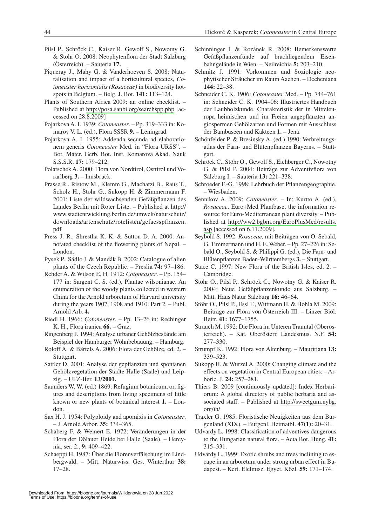- Pilsl P., Schröck C., Kaiser R. Gewolf S., Nowotny G. & Stöhr O. 2008: Neophytenflora der Stadt Salzburg (Österreich). – Sauteria **17.**
- Piqueray J., Mahy G. & Vanderhoeven S. 2008: Naturalisation and impact of a horticultural species, *Cotoneaster horizontalis (Rosaceae)* in biodiversity hotspots in Belgium. – [Belg. J. Bot.](http://www.ingentaconnect.com/content/external-references?article=0778-4031()141L.113[aid=9229991]) **141:** 113–124.
- Plants of Southern Africa 2009: an online checklist. Published at <http://posa.sanbi.org/searchspp.php> [accessed on 28.8.2009]
- Pojarkova A. I. 1939: *Cotoneaster*. Pp. 319–333 in: Komarov V. L. (ed.), Flora SSSR **9.** – Leningrad.
- Pojarkova A. I. 1955: Addenda secunda ad elaborationem generis *Cotoneaster* Med. in "Flora URSS". – Bot. Mater. Gerb. Bot. Inst. Komarova Akad. Nauk S.S.S.R. **17:** 179–212.
- Polatschek A. 2000: Flora von Nordtirol, Osttirol und Vorarlberg **3.** – Innsbruck.
- Prasse R., Ristow M., Klemm G., Machatzi B., Raus T., Scholz H., Stohr G., Sukopp H. & Zimmermann F. 2001: Liste der wildwachsenden Gefäßpflanzen des Landes Berlin mit Roter Liste. – Published at http:// [www.stadtentwicklung.berlin.de/umwelt/naturschutz/](http://www.stadtentwicklung.berlin.de/umwelt/naturschutz/) downloads/artenschutz/rotelisten/gefaesspflanzen. pdf
- Press J. R., Shrestha K. K. & Sutton D. A. 2000: Annotated checklist of the flowering plants of Nepal. – London.
- Pysek P., Sádlo J. & Mandák B. 2002: Catalogue of alien plants of the Czech Republic. – Preslia **74:** 97–186.
- Rehder A. & Wilson E. H. 1912: *Cotoneaster*. Pp. 154– 177 in: Sargent C. S. (ed.), Plantae wilsonianae. An enumeration of the woody plants collected in western China for the Arnold arboretum of Harvard university during the years 1907, 1908 and 1910. Part 2. – Publ. Arnold Arb. **4.**
- Riedl H. 1966: *Cotoneaster*. Pp. 13–26 in: Rechinger K. H., Flora iranica **66.** – Graz.
- Ringenberg J. 1994: Analyse urbaner Gehölzbestände am Beispiel der Hamburger Wohnbebauung. – Hamburg.
- Roloff A. & Bärtels A. 2006: Flora der Gehölze, ed. 2. Stuttgart.
- Sattler D. 2001: Analyse der gepflanzten und spontanen Gehölzvegetation der Städte Halle (Saale) und Leipzig. – UFZ-Ber. **13/2001.**
- Saunders W. W. (ed.) 1869: Refugium botanicum, or, figures and descriptions from living specimens of little known or new plants of botanical interest **1.** – London.
- Sax H. J. 1954: Polyploidy and apomixis in *Cotoneaster*. – J. Arnold Arbor. **35:** 334–365.
- Schaberg F. & Weinert E. 1972: Veränderungen in der Flora der Dölauer Heide bei Halle (Saale). – Hercynia, ser. 2., **9:** 409–422.
- Schaeppi H. 1987: Über die Florenverfälschung im Lindbergwald. – Mitt. Naturwiss. Ges. Winterthur **38:**  17–28.
- Schinninger I. & Rozánek R. 2008: Bemerkenswerte Gefäßpflanzenfunde auf brachliegendem Eisenbahngelände in Wien. – Neilreichia **5:** 203–210.
- Schmitz J. 1991: Vorkommen und Soziologie neophytischer Sträucher im Raum Aachen. – Decheniana **144:** 22–38.
- Schneider C. K. 1906: *Cotoneaster* Med. Pp. 744–761 in: Schneider C. K. 1904–06: Illustriertes Handbuch der Laubholzkunde. Charakteristik der in Mitteleuropa heimischen und im Freien angepflanzten angiospermen Gehölzarten und Formen mit Ausschluss der Bambuseen und Kakteen **1.** – Jena.
- Schönfelder P. & Bresinsky A. (ed.) 1990: Verbreitungsatlas der Farn- und Blütenpflanzen Bayerns. – Stuttgart.
- Schröck C., Stöhr O., Gewolf S., Eichberger C., Nowotny G. & Pilsl P. 2004: Beiträge zur Adventivflora von Salzburg I. – Sauteria **13:** 221–338.
- Schroeder F.-G. 1998: Lehrbuch der Pflanzengeographie. – Wiesbaden.
- Sennikov A. 2009: *Cotoneaster*. In: Kurtto A. (ed.), *Rosaceae*. Euro+Med Plantbase, the information resource for Euro-Mediterranean plant diversity. – Published at [http://ww2.bgbm.org/EuroPlusMed/results.](http://ww2.bgbm.org/EuroPlusMed/results.asp) [asp](http://ww2.bgbm.org/EuroPlusMed/results.asp) [accessed on 6.11.2009].
- Seybold S. 1992: *Rosaceae,* mit Beiträgen von O. Sebald, G. Timmermann und H. E. Weber. – Pp. 27–226 in: Sebald O., Seybold S. & Philippi G. (ed.), Die Farn- und Blütenpflanzen Baden-Württembergs **3.** – Stuttgart.
- Stace C. 1997: New Flora of the British Isles, ed. 2. Cambridge.
- Stöhr O., Pilsl P., Schröck C., Nowotny G. & Kaiser R. 2004: Neue Gefäßpflanzenkunde aus Salzburg. – Mitt. Haus Natur Salzburg **16:** 46–64.
- Stöhr O., Pilsl P., Essl F., Wittmann H. & Hohla M. 2009: Beiträge zur Flora von Österreich III. – Linzer Biol. Beitr. **41:** 1677–1755.
- Strauch M. 1992: Die Flora im Unteren Trauntal (Oberösterreich). – Kat. Oberösterr. Landesmus. N.F. **54:**  277–330.
- Strumpf K. 1992: Flora von Altenburg. Mauritiana **13:**  339–523.
- Sukopp H. & Wurzel A. 2000: Changing climate and the effects on vegetation in Central European cities. – Arboric. J. **24:** 257–281.
- Thiers B. 2009 [continuously updated]: Index Herbariorum: A global directory of public herbaria and associated staff. – Published at [http://sweetgum.nybg.](http://sweetgum.nybg.org/ih/) [org/ih/](http://sweetgum.nybg.org/ih/)
- Traxler G. 1985: Floristische Neuigkeiten aus dem Burgenland (XIX). – Burgenl. Heimatbl. **47(1):** 20–31.
- Udvardy L. 1998: Classification of adventives dangerous to the Hungarian natural flora. – Acta Bot. Hung. **41:**  315–331.
- Udvardy L. 1999: Exotic shrubs and trees inclining to escape in an arboretum under strong urban effect in Budapest. – Kert. Elelmisz. Egyet. Közl. **59:** 171–174.